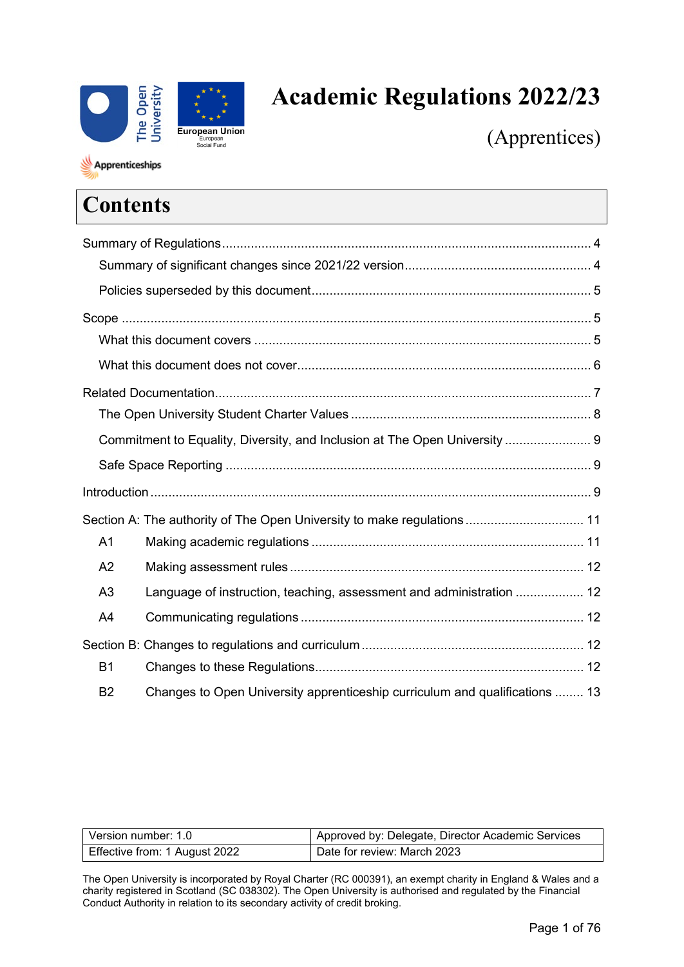

# **Academic Regulations 2022/23**

(Apprentices)

## **Contents**

Apprenticeships

|                | Commitment to Equality, Diversity, and Inclusion at The Open University  9  |  |
|----------------|-----------------------------------------------------------------------------|--|
|                |                                                                             |  |
|                |                                                                             |  |
|                | Section A: The authority of The Open University to make regulations  11     |  |
| A <sub>1</sub> |                                                                             |  |
| A2             |                                                                             |  |
| A <sub>3</sub> | Language of instruction, teaching, assessment and administration  12        |  |
| A4             |                                                                             |  |
|                |                                                                             |  |
| <b>B1</b>      |                                                                             |  |
| <b>B2</b>      | Changes to Open University apprenticeship curriculum and qualifications  13 |  |

| l Version number: 1.0_        | Approved by: Delegate, Director Academic Services |
|-------------------------------|---------------------------------------------------|
| Effective from: 1 August 2022 | Date for review: March 2023                       |

The Open University is incorporated by Royal Charter (RC 000391), an exempt charity in England & Wales and a charity registered in Scotland (SC 038302). The Open University is authorised and regulated by the Financial Conduct Authority in relation to its secondary activity of credit broking.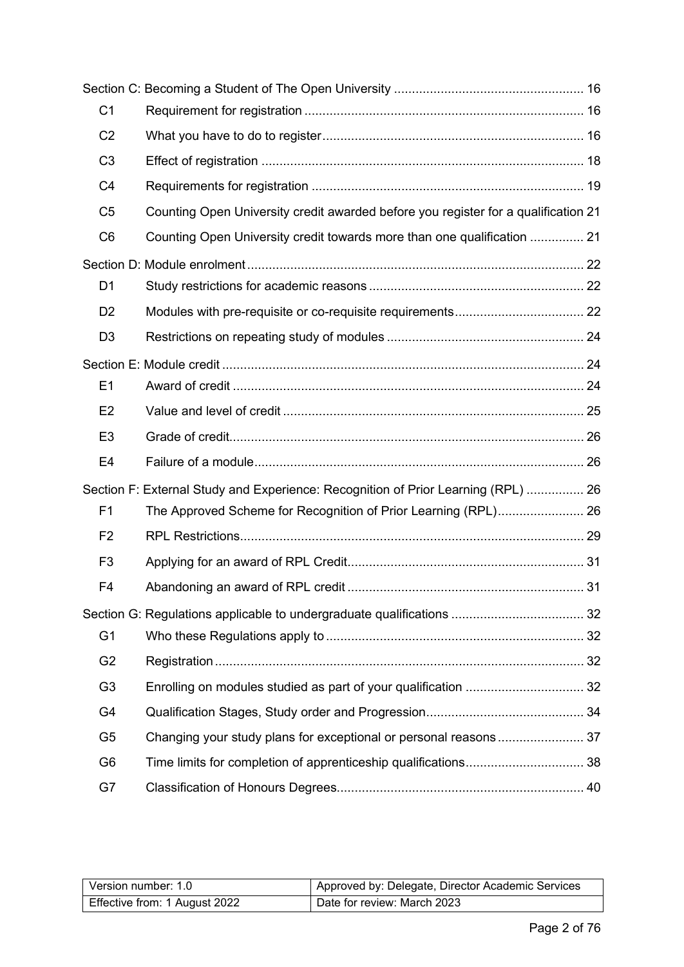| C <sub>1</sub> |                                                                                    |  |
|----------------|------------------------------------------------------------------------------------|--|
| C <sub>2</sub> |                                                                                    |  |
| C <sub>3</sub> |                                                                                    |  |
| C <sub>4</sub> |                                                                                    |  |
| C <sub>5</sub> | Counting Open University credit awarded before you register for a qualification 21 |  |
| C <sub>6</sub> | Counting Open University credit towards more than one qualification  21            |  |
|                |                                                                                    |  |
| D <sub>1</sub> |                                                                                    |  |
| D <sub>2</sub> |                                                                                    |  |
| D <sub>3</sub> |                                                                                    |  |
|                |                                                                                    |  |
| E1             |                                                                                    |  |
| E <sub>2</sub> |                                                                                    |  |
| E <sub>3</sub> |                                                                                    |  |
| E <sub>4</sub> |                                                                                    |  |
|                | Section F: External Study and Experience: Recognition of Prior Learning (RPL)  26  |  |
| F <sub>1</sub> |                                                                                    |  |
| F <sub>2</sub> |                                                                                    |  |
| F <sub>3</sub> |                                                                                    |  |
| F <sub>4</sub> |                                                                                    |  |
|                |                                                                                    |  |
| G <sub>1</sub> |                                                                                    |  |
| G <sub>2</sub> |                                                                                    |  |
| G <sub>3</sub> |                                                                                    |  |
| G4             |                                                                                    |  |
| G <sub>5</sub> |                                                                                    |  |
| G <sub>6</sub> |                                                                                    |  |
| G7             |                                                                                    |  |
|                |                                                                                    |  |

| Version number: 1.0           | Approved by: Delegate, Director Academic Services |
|-------------------------------|---------------------------------------------------|
| Effective from: 1 August 2022 | Date for review: March 2023                       |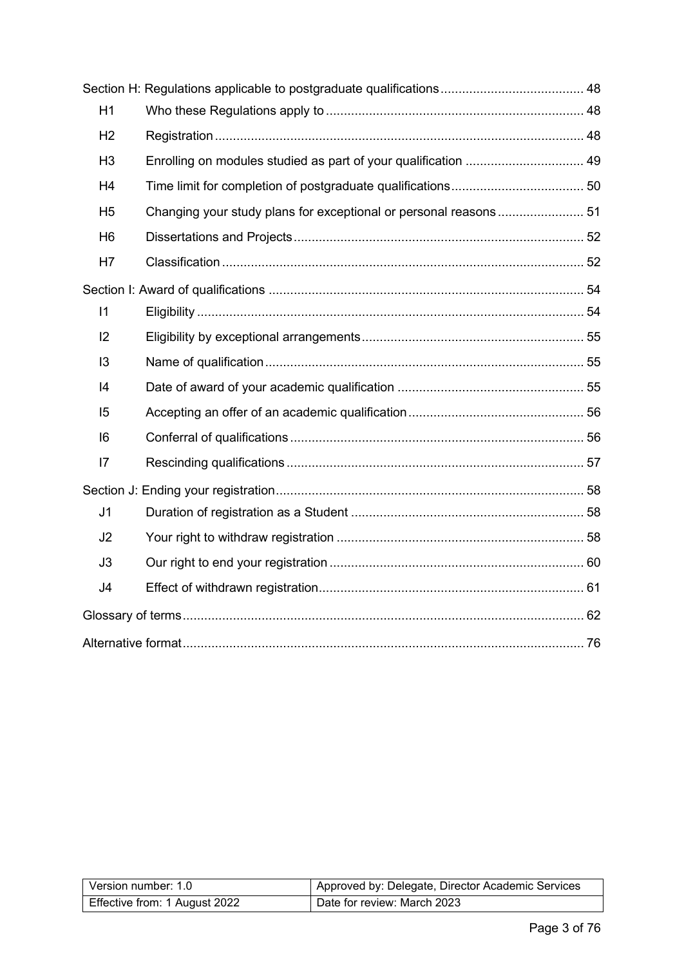| H1             |                                                                  |  |
|----------------|------------------------------------------------------------------|--|
| H <sub>2</sub> |                                                                  |  |
| H <sub>3</sub> | Enrolling on modules studied as part of your qualification  49   |  |
| H <sub>4</sub> |                                                                  |  |
| H <sub>5</sub> | Changing your study plans for exceptional or personal reasons 51 |  |
| H <sub>6</sub> |                                                                  |  |
| H <sub>7</sub> |                                                                  |  |
|                |                                                                  |  |
| $\vert$ 1      |                                                                  |  |
| 12             |                                                                  |  |
| 13             |                                                                  |  |
| 4              |                                                                  |  |
| 15             |                                                                  |  |
| 6              |                                                                  |  |
| 7              |                                                                  |  |
|                |                                                                  |  |
| J <sub>1</sub> |                                                                  |  |
| J2             |                                                                  |  |
| J3             |                                                                  |  |
| J <sub>4</sub> |                                                                  |  |
|                |                                                                  |  |
|                |                                                                  |  |

| l Version number: 1.0         | Approved by: Delegate, Director Academic Services |
|-------------------------------|---------------------------------------------------|
| Effective from: 1 August 2022 | Date for review: March 2023                       |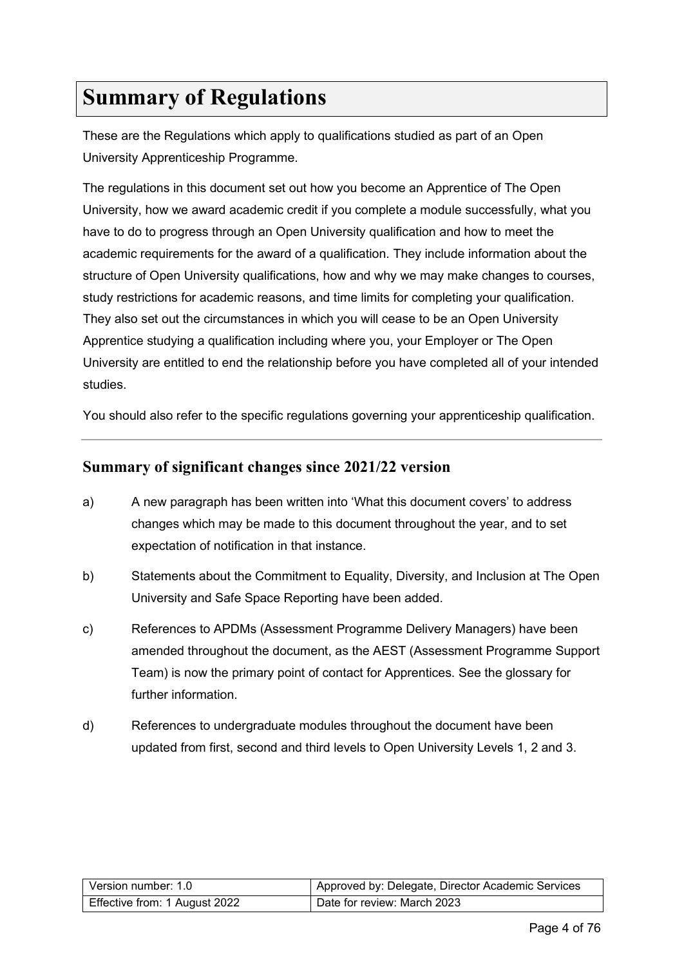## <span id="page-3-0"></span>**Summary of Regulations**

These are the Regulations which apply to qualifications studied as part of an Open University Apprenticeship Programme.

The regulations in this document set out how you become an Apprentice of The Open University, how we award academic credit if you complete a module successfully, what you have to do to progress through an Open University qualification and how to meet the academic requirements for the award of a qualification. They include information about the structure of Open University qualifications, how and why we may make changes to courses, study restrictions for academic reasons, and time limits for completing your qualification. They also set out the circumstances in which you will cease to be an Open University Apprentice studying a qualification including where you, your Employer or The Open University are entitled to end the relationship before you have completed all of your intended studies.

You should also refer to the specific regulations governing your apprenticeship qualification.

## <span id="page-3-1"></span>**Summary of significant changes since 2021/22 version**

- a) A new paragraph has been written into 'What this document covers' to address changes which may be made to this document throughout the year, and to set expectation of notification in that instance.
- b) Statements about the Commitment to Equality, Diversity, and Inclusion at The Open University and Safe Space Reporting have been added.
- c) References to APDMs (Assessment Programme Delivery Managers) have been amended throughout the document, as the AEST (Assessment Programme Support Team) is now the primary point of contact for Apprentices. See the glossary for further information.
- d) References to undergraduate modules throughout the document have been updated from first, second and third levels to Open University Levels 1, 2 and 3.

| Version number: 1.0           | Approved by: Delegate, Director Academic Services |
|-------------------------------|---------------------------------------------------|
| Effective from: 1 August 2022 | Date for review: March 2023                       |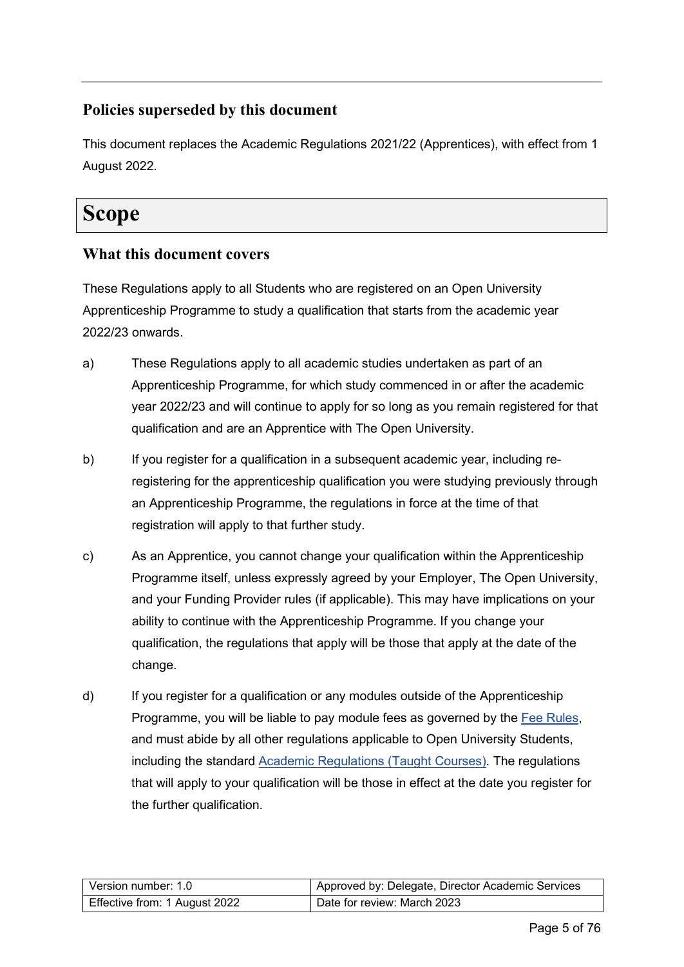## <span id="page-4-0"></span>**Policies superseded by this document**

This document replaces the Academic Regulations 2021/22 (Apprentices), with effect from 1 August 2022.

## <span id="page-4-1"></span>**Scope**

## <span id="page-4-2"></span>**What this document covers**

These Regulations apply to all Students who are registered on an Open University Apprenticeship Programme to study a qualification that starts from the academic year 2022/23 onwards.

- a) These Regulations apply to all academic studies undertaken as part of an Apprenticeship Programme, for which study commenced in or after the academic year 2022/23 and will continue to apply for so long as you remain registered for that qualification and are an Apprentice with The Open University.
- b) If you register for a qualification in a subsequent academic year, including reregistering for the apprenticeship qualification you were studying previously through an Apprenticeship Programme, the regulations in force at the time of that registration will apply to that further study.
- c) As an Apprentice, you cannot change your qualification within the Apprenticeship Programme itself, unless expressly agreed by your Employer, The Open University, and your Funding Provider rules (if applicable). This may have implications on your ability to continue with the Apprenticeship Programme. If you change your qualification, the regulations that apply will be those that apply at the date of the change.
- d) If you register for a qualification or any modules outside of the Apprenticeship Programme, you will be liable to pay module fees as governed by the Fee [Rules,](https://help.open.ac.uk/documents/policies/fee-rules) and must abide by all other regulations applicable to Open University Students, including the standard Academic [Regulations](https://help.open.ac.uk/documents/policies/academic-regulations) (Taught Courses). The regulations that will apply to your qualification will be those in effect at the date you register for the further qualification.

| l Version number: 1.0         | Approved by: Delegate, Director Academic Services |
|-------------------------------|---------------------------------------------------|
| Effective from: 1 August 2022 | Date for review: March 2023                       |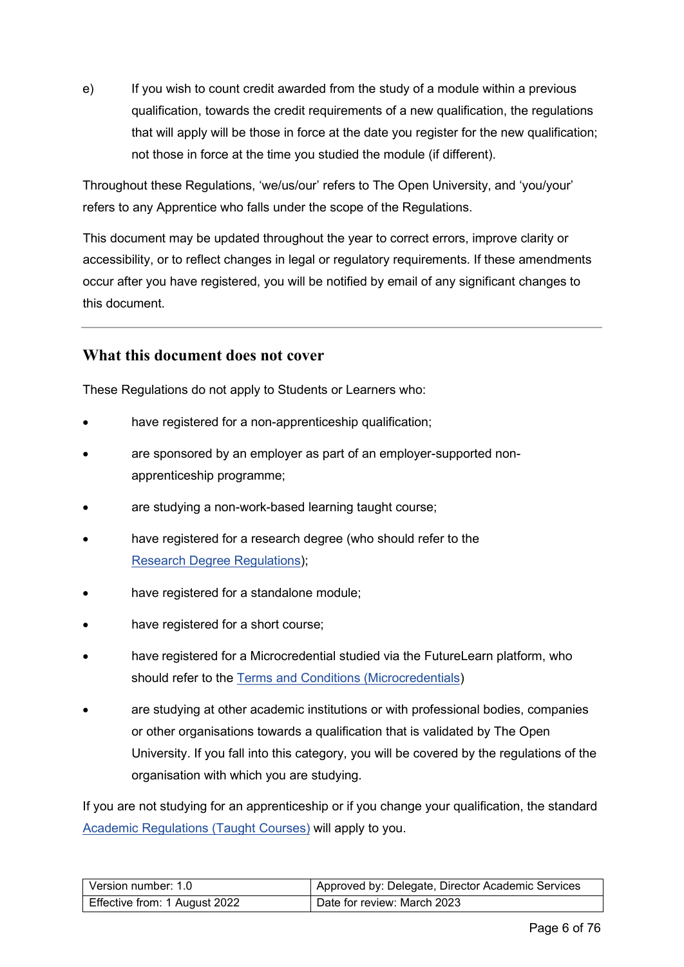e) If you wish to count credit awarded from the study of a module within a previous qualification, towards the credit requirements of a new qualification, the regulations that will apply will be those in force at the date you register for the new qualification; not those in force at the time you studied the module (if different).

Throughout these Regulations, 'we/us/our' refers to The Open University, and 'you/your' refers to any Apprentice who falls under the scope of the Regulations.

This document may be updated throughout the year to correct errors, improve clarity or accessibility, or to reflect changes in legal or regulatory requirements. If these amendments occur after you have registered, you will be notified by email of any significant changes to this document.

## <span id="page-5-0"></span>**What this document does not cover**

These Regulations do not apply to Students or Learners who:

- have registered for a non-apprenticeship qualification;
- are sponsored by an employer as part of an employer-supported nonapprenticeship programme;
- are studying a non-work-based learning taught course;
- have registered for a research degree (who should refer to the Research Degree [Regulations\)](https://help.open.ac.uk/documents/policies/research-degree-regulations);
- have registered for a standalone module;
- have registered for a short course;
- have registered for a Microcredential studied via the FutureLearn platform, who should refer to the [Terms and Conditions \(Microcredentials\)](https://help.open.ac.uk/documents/policies/terms-and-conditions-microcredentials)
- are studying at other academic institutions or with professional bodies, companies or other organisations towards a qualification that is validated by The Open University. If you fall into this category, you will be covered by the regulations of the organisation with which you are studying.

If you are not studying for an apprenticeship or if you change your qualification, the standard Academic [Regulations](https://help.open.ac.uk/documents/policies/academic-regulations) (Taught Courses) will apply to you.

| l Version number: 1.0         | Approved by: Delegate, Director Academic Services |
|-------------------------------|---------------------------------------------------|
| Effective from: 1 August 2022 | Date for review: March 2023                       |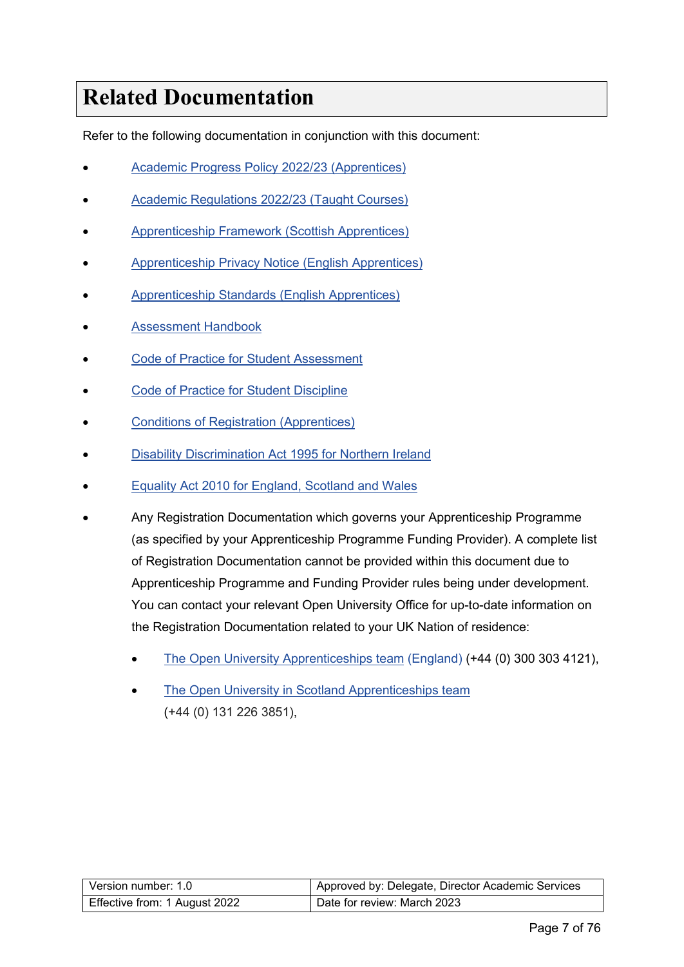# <span id="page-6-0"></span>**Related Documentation**

Refer to the following documentation in conjunction with this document:

- Academic Progress Policy [2022/23 \(Apprentices\)](https://help.open.ac.uk/documents/policies/academic-progress-policy)
- Academic Regulations [2022/23 \(Taught](https://help.open.ac.uk/documents/policies/academic-regulations) Courses)
- Apprenticeship [Framework \(Scottish Apprentices\)](https://www.skillsdevelopmentscotland.co.uk/what-we-do/apprenticeships/graduate-apprenticeships/)
- [Apprenticeship](https://help.open.ac.uk/documents/policies/privacy-notice) Privacy Notice (English Apprentices)
- [Apprenticeship](https://www.instituteforapprenticeships.org/apprenticeship-standards/) Standards (English Apprentices)
- **[Assessment Handbook](https://help.open.ac.uk/documents/policies/assessment-handbook)**
- Code of Practice for [Student Assessment](https://help.open.ac.uk/documents/policies/code-of-practice-student-assessment)
- **Code [of Practice for](https://help.open.ac.uk/documents/policies/code-of-practice-student-discipline) Student Discipline**
- Conditions of Registration [\(Apprentices\)](https://help.open.ac.uk/documents/policies/conditions-of-registration-apprentices)
- **[Disability Discrimination Act 1995 for Northern Ireland](https://www.legislation.gov.uk/ukpga/1995/50/contents)**
- [Equality Act 2010 for England, Scotland and Wales](https://www.legislation.gov.uk/ukpga/2010/15/contents)
- Any Registration Documentation which governs your Apprenticeship Programme (as specified by your Apprenticeship Programme Funding Provider). A complete list of Registration Documentation cannot be provided within this document due to Apprenticeship Programme and Funding Provider rules being under development. You can contact your relevant Open University Office for up-to-date information on the Registration Documentation related to your UK Nation of residence:
	- The Open University [Apprenticeships team](mailto:apprenticeships@open.ac.uk) (England) (+44 (0) 300 303 4121),
	- [The Open University in Scotland Apprenticeships team](mailto:scotland-apprenticeships@open.ac.uk) (+44 (0) 131 226 3851),

| Version number: 1.0           | Approved by: Delegate, Director Academic Services |
|-------------------------------|---------------------------------------------------|
| Effective from: 1 August 2022 | Date for review: March 2023                       |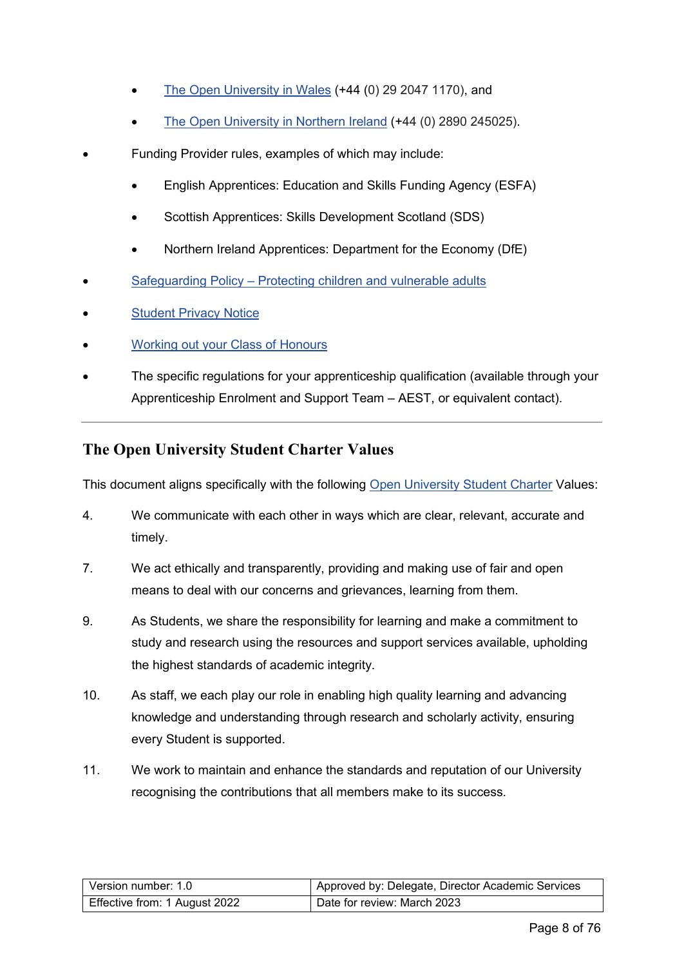- The Open [University](mailto:Wales-Support@open.ac.uk) in Wales (+44 (0) 29 2047 1170), and
- The Open [University](mailto:northernireland@open.ac.uk) in Northern Ireland (+44 (0) 2890 245025).
- Funding Provider rules, examples of which may include:
	- English Apprentices: Education and Skills Funding Agency (ESFA)
	- Scottish Apprentices: Skills Development Scotland (SDS)
	- Northern Ireland Apprentices: Department for the Economy (DfE)
- Safeguarding [Policy Protecting](https://help.open.ac.uk/documents/policies/ensuring-the-safety-of-children-and-vulnerable-protected-adults) children and vulnerable adults
- **[Student Privacy Notice](https://help.open.ac.uk/documents/policies/privacy-notice)**
- Working out your Class of [Honours](https://help.open.ac.uk/documents/policies/working-out-your-class-of-honours)
- The specific regulations for your apprenticeship qualification (available through your Apprenticeship Enrolment and Support Team – AEST, or equivalent contact).

## <span id="page-7-0"></span>**The Open University Student Charter Values**

This document aligns specifically with the following [Open University Student Charter](http://www2.open.ac.uk/students/charter) Values:

- 4. We communicate with each other in ways which are clear, relevant, accurate and timely.
- 7. We act ethically and transparently, providing and making use of fair and open means to deal with our concerns and grievances, learning from them.
- 9. As Students, we share the responsibility for learning and make a commitment to study and research using the resources and support services available, upholding the highest standards of academic integrity.
- 10. As staff, we each play our role in enabling high quality learning and advancing knowledge and understanding through research and scholarly activity, ensuring every Student is supported.
- 11. We work to maintain and enhance the standards and reputation of our University recognising the contributions that all members make to its success.

| l Version number: 1.0         | Approved by: Delegate, Director Academic Services |
|-------------------------------|---------------------------------------------------|
| Effective from: 1 August 2022 | Date for review: March 2023                       |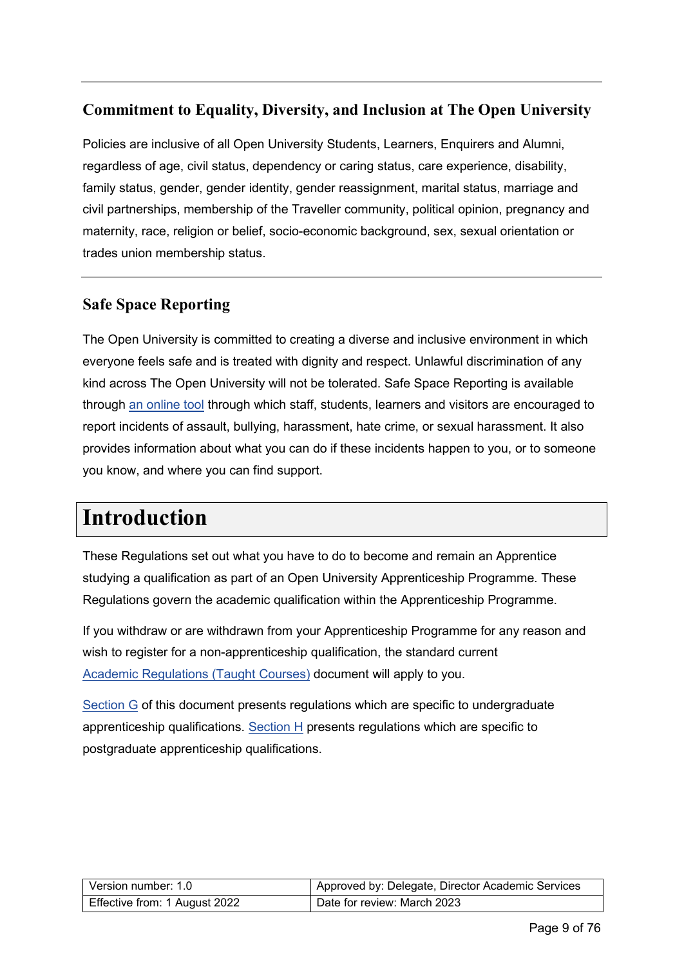## <span id="page-8-0"></span>**Commitment to Equality, Diversity, and Inclusion at The Open University**

Policies are inclusive of all Open University Students, Learners, Enquirers and Alumni, regardless of age, civil status, dependency or caring status, care experience, disability, family status, gender, gender identity, gender reassignment, marital status, marriage and civil partnerships, membership of the Traveller community, political opinion, pregnancy and maternity, race, religion or belief, socio-economic background, sex, sexual orientation or trades union membership status.

## <span id="page-8-1"></span>**Safe Space Reporting**

The Open University is committed to creating a diverse and inclusive environment in which everyone feels safe and is treated with dignity and respect. Unlawful discrimination of any kind across The Open University will not be tolerated. Safe Space Reporting is available through [an online tool](https://report-and-support.open.ac.uk/) through which staff, students, learners and visitors are encouraged to report incidents of assault, bullying, harassment, hate crime, or sexual harassment. It also provides information about what you can do if these incidents happen to you, or to someone you know, and where you can find support.

## <span id="page-8-2"></span>**Introduction**

These Regulations set out what you have to do to become and remain an Apprentice studying a qualification as part of an Open University Apprenticeship Programme. These Regulations govern the academic qualification within the Apprenticeship Programme.

If you withdraw or are withdrawn from your Apprenticeship Programme for any reason and wish to register for a non-apprenticeship qualification, the standard current Academic [Regulations](https://help.open.ac.uk/documents/policies/academic-regulations) (Taught Courses) document will apply to you.

[Section G](#page-31-0) of this document presents regulations which are specific to undergraduate apprenticeship qualifications. [Section H](#page-47-0) presents regulations which are specific to postgraduate apprenticeship qualifications.

| l Version number: 1.0         | Approved by: Delegate, Director Academic Services |
|-------------------------------|---------------------------------------------------|
| Effective from: 1 August 2022 | Date for review: March 2023                       |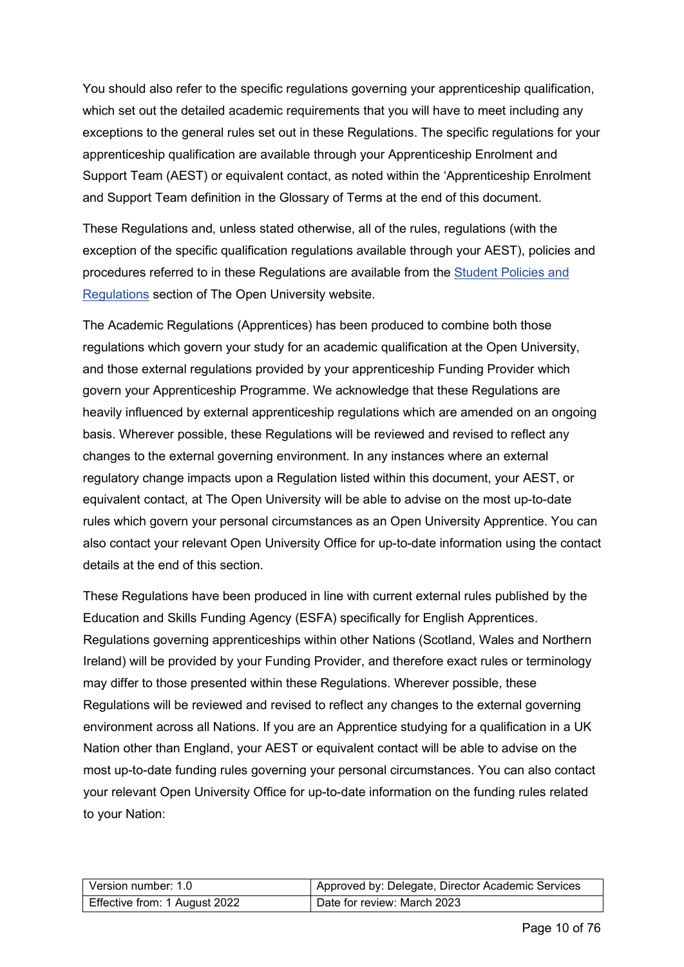You should also refer to the specific regulations governing your apprenticeship qualification, which set out the detailed academic requirements that you will have to meet including any exceptions to the general rules set out in these Regulations. The specific regulations for your apprenticeship qualification are available through your Apprenticeship Enrolment and Support Team (AEST) or equivalent contact, as noted within the 'Apprenticeship Enrolment and Support Team definition in the Glossary of Terms at the end of this document.

These Regulations and, unless stated otherwise, all of the rules, regulations (with the exception of the specific qualification regulations available through your AEST), policies and procedures referred to in these Regulations are available from the [Student](https://help.open.ac.uk/documents/policies) Policies and [Regulations](https://help.open.ac.uk/documents/policies) section of The Open University website.

The Academic Regulations (Apprentices) has been produced to combine both those regulations which govern your study for an academic qualification at the Open University, and those external regulations provided by your apprenticeship Funding Provider which govern your Apprenticeship Programme. We acknowledge that these Regulations are heavily influenced by external apprenticeship regulations which are amended on an ongoing basis. Wherever possible, these Regulations will be reviewed and revised to reflect any changes to the external governing environment. In any instances where an external regulatory change impacts upon a Regulation listed within this document, your AEST, or equivalent contact, at The Open University will be able to advise on the most up-to-date rules which govern your personal circumstances as an Open University Apprentice. You can also contact your relevant Open University Office for up-to-date information using the contact details at the end of this section.

These Regulations have been produced in line with current external rules published by the Education and Skills Funding Agency (ESFA) specifically for English Apprentices. Regulations governing apprenticeships within other Nations (Scotland, Wales and Northern Ireland) will be provided by your Funding Provider, and therefore exact rules or terminology may differ to those presented within these Regulations. Wherever possible, these Regulations will be reviewed and revised to reflect any changes to the external governing environment across all Nations. If you are an Apprentice studying for a qualification in a UK Nation other than England, your AEST or equivalent contact will be able to advise on the most up-to-date funding rules governing your personal circumstances. You can also contact your relevant Open University Office for up-to-date information on the funding rules related to your Nation:

| l Version number: 1.0         | Approved by: Delegate, Director Academic Services |
|-------------------------------|---------------------------------------------------|
| Effective from: 1 August 2022 | Date for review: March 2023                       |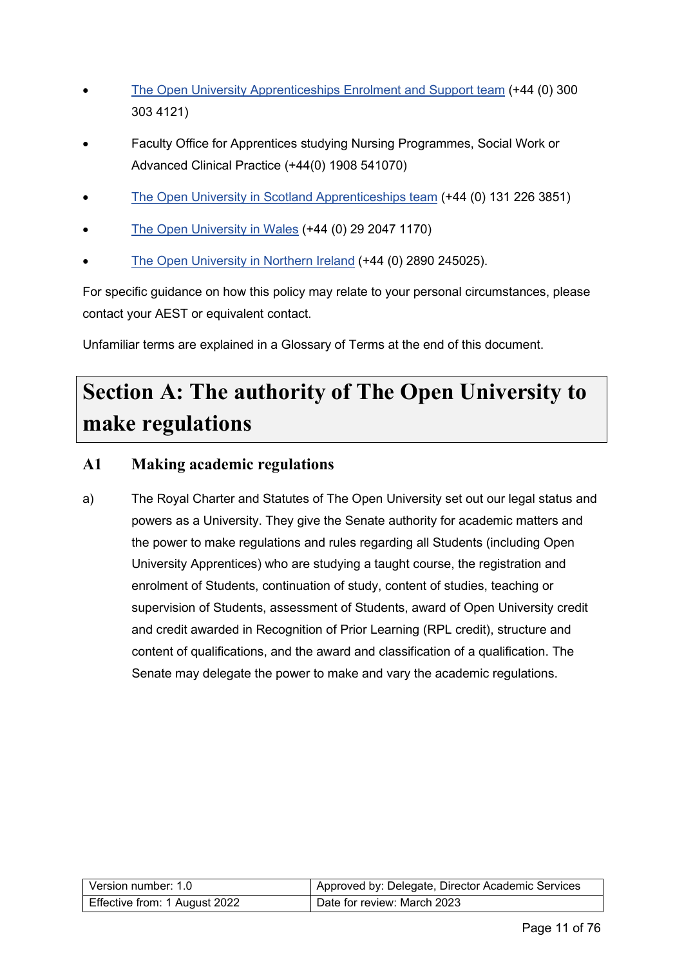- The Open University Apprenticeships [Enrolment and Support](mailto:apprenticeships@open.ac.uk) team (+44 (0) 300 303 4121)
- Faculty Office for Apprentices studying Nursing Programmes, Social Work or Advanced Clinical Practice (+44(0) 1908 541070)
- [The Open University in Scotland Apprenticeships team](mailto:scotland-apprenticeships@open.ac.uk) (+44 (0) 131 226 3851)
- The Open [University](mailto:Wales-Support@open.ac.uk) in Wales (+44 (0) 29 2047 1170)
- The Open [University](mailto:northernireland@open.ac.uk) in Northern Ireland (+44 (0) 2890 245025).

For specific guidance on how this policy may relate to your personal circumstances, please contact your AEST or equivalent contact.

Unfamiliar terms are explained in a Glossary of Terms at the end of this document.

# <span id="page-10-0"></span>**Section A: The authority of The Open University to make regulations**

## <span id="page-10-1"></span>**A1 Making academic regulations**

a) The Royal Charter and Statutes of The Open University set out our legal status and powers as a University. They give the Senate authority for academic matters and the power to make regulations and rules regarding all Students (including Open University Apprentices) who are studying a taught course, the registration and enrolment of Students, continuation of study, content of studies, teaching or supervision of Students, assessment of Students, award of Open University credit and credit awarded in Recognition of Prior Learning (RPL credit), structure and content of qualifications, and the award and classification of a qualification. The Senate may delegate the power to make and vary the academic regulations.

<span id="page-10-2"></span>

| Version number: 1.0           | Approved by: Delegate, Director Academic Services |
|-------------------------------|---------------------------------------------------|
| Effective from: 1 August 2022 | Date for review: March 2023                       |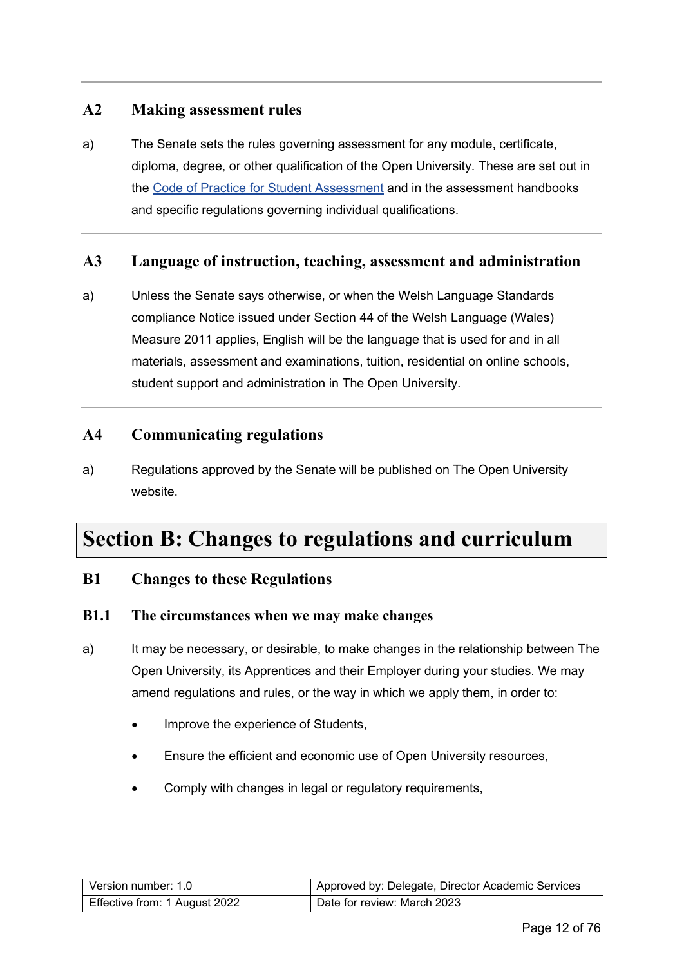## **A2 Making assessment rules**

a) The Senate sets the rules governing assessment for any module, certificate, diploma, degree, or other qualification of the Open University. These are set out in the Code of Practice for Student [Assessment](https://help.open.ac.uk/documents/policies/code-of-practice-student-assessment) and in the assessment handbooks and specific regulations governing individual qualifications.

### <span id="page-11-0"></span>**A3 Language of instruction, teaching, assessment and administration**

a) Unless the Senate says otherwise, or when the Welsh Language Standards compliance Notice issued under Section 44 of the Welsh Language (Wales) Measure 2011 applies, English will be the language that is used for and in all materials, assessment and examinations, tuition, residential on online schools, student support and administration in The Open University.

### <span id="page-11-1"></span>**A4 Communicating regulations**

a) Regulations approved by the Senate will be published on The Open University website.

## <span id="page-11-2"></span>**Section B: Changes to regulations and curriculum**

### <span id="page-11-3"></span>**B1 Changes to these Regulations**

#### **B1.1 The circumstances when we may make changes**

- a) It may be necessary, or desirable, to make changes in the relationship between The Open University, its Apprentices and their Employer during your studies. We may amend regulations and rules, or the way in which we apply them, in order to:
	- Improve the experience of Students,
	- Ensure the efficient and economic use of Open University resources,
	- Comply with changes in legal or regulatory requirements,

| l Version number: 1.0         | Approved by: Delegate, Director Academic Services |
|-------------------------------|---------------------------------------------------|
| Effective from: 1 August 2022 | Date for review: March 2023                       |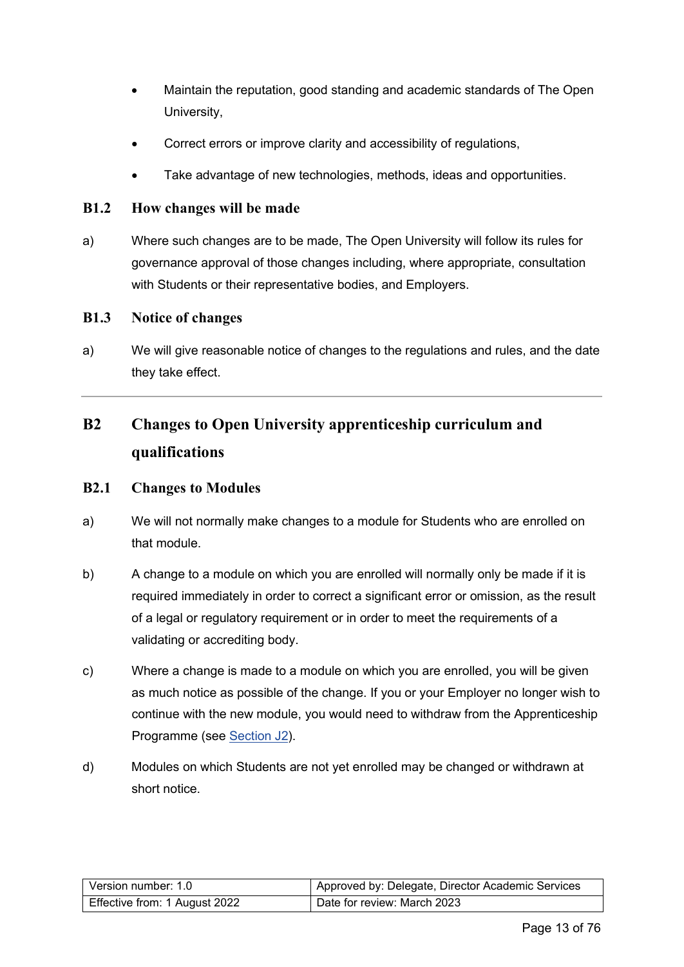- Maintain the reputation, good standing and academic standards of The Open University,
- Correct errors or improve clarity and accessibility of regulations,
- Take advantage of new technologies, methods, ideas and opportunities.

#### **B1.2 How changes will be made**

a) Where such changes are to be made, The Open University will follow its rules for governance approval of those changes including, where appropriate, consultation with Students or their representative bodies, and Employers.

#### **B1.3 Notice of changes**

a) We will give reasonable notice of changes to the regulations and rules, and the date they take effect.

## <span id="page-12-0"></span>**B2 Changes to Open University apprenticeship curriculum and qualifications**

#### **B2.1 Changes to Modules**

- a) We will not normally make changes to a module for Students who are enrolled on that module.
- b) A change to a module on which you are enrolled will normally only be made if it is required immediately in order to correct a significant error or omission, as the result of a legal or regulatory requirement or in order to meet the requirements of a validating or accrediting body.
- c) Where a change is made to a module on which you are enrolled, you will be given as much notice as possible of the change. If you or your Employer no longer wish to continue with the new module, you would need to withdraw from the Apprenticeship Programme (see [Section J2\)](#page-57-2).
- d) Modules on which Students are not yet enrolled may be changed or withdrawn at short notice.

| Version number: 1.0           | Approved by: Delegate, Director Academic Services |
|-------------------------------|---------------------------------------------------|
| Effective from: 1 August 2022 | Date for review: March 2023                       |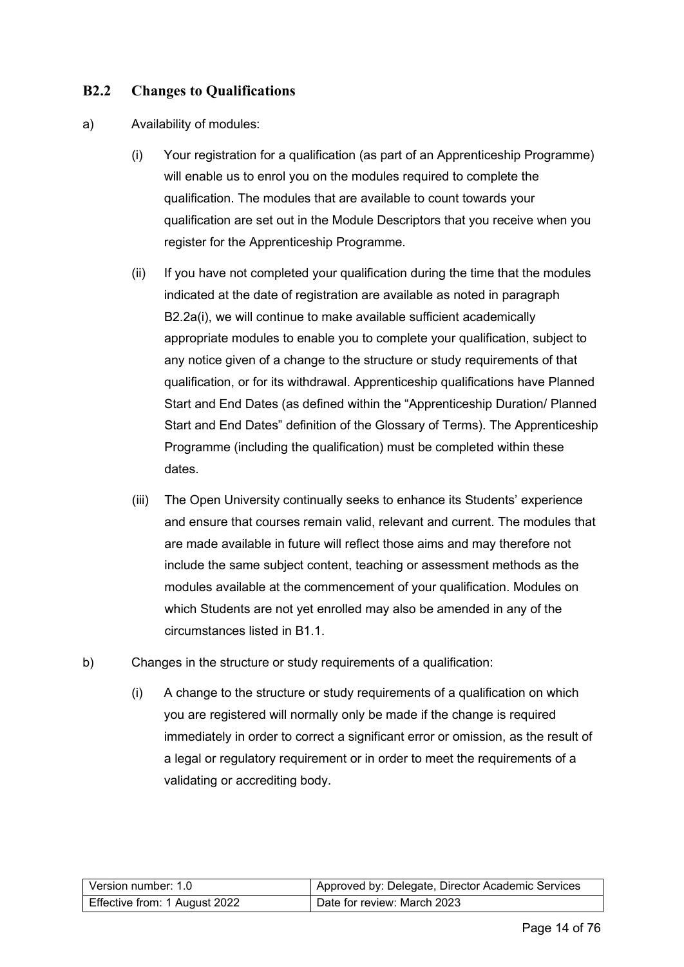### **B2.2 Changes to Qualifications**

#### a) Availability of modules:

- (i) Your registration for a qualification (as part of an Apprenticeship Programme) will enable us to enrol you on the modules required to complete the qualification. The modules that are available to count towards your qualification are set out in the Module Descriptors that you receive when you register for the Apprenticeship Programme.
- (ii) If you have not completed your qualification during the time that the modules indicated at the date of registration are available as noted in paragraph B2.2a(i), we will continue to make available sufficient academically appropriate modules to enable you to complete your qualification, subject to any notice given of a change to the structure or study requirements of that qualification, or for its withdrawal. Apprenticeship qualifications have Planned Start and End Dates (as defined within the "Apprenticeship Duration/ Planned Start and End Dates" definition of the Glossary of Terms). The Apprenticeship Programme (including the qualification) must be completed within these dates.
- (iii) The Open University continually seeks to enhance its Students' experience and ensure that courses remain valid, relevant and current. The modules that are made available in future will reflect those aims and may therefore not include the same subject content, teaching or assessment methods as the modules available at the commencement of your qualification. Modules on which Students are not yet enrolled may also be amended in any of the circumstances listed in B1.1.
- b) Changes in the structure or study requirements of a qualification:
	- (i) A change to the structure or study requirements of a qualification on which you are registered will normally only be made if the change is required immediately in order to correct a significant error or omission, as the result of a legal or regulatory requirement or in order to meet the requirements of a validating or accrediting body.

| Version number: 1.0           | Approved by: Delegate, Director Academic Services |
|-------------------------------|---------------------------------------------------|
| Effective from: 1 August 2022 | Date for review: March 2023                       |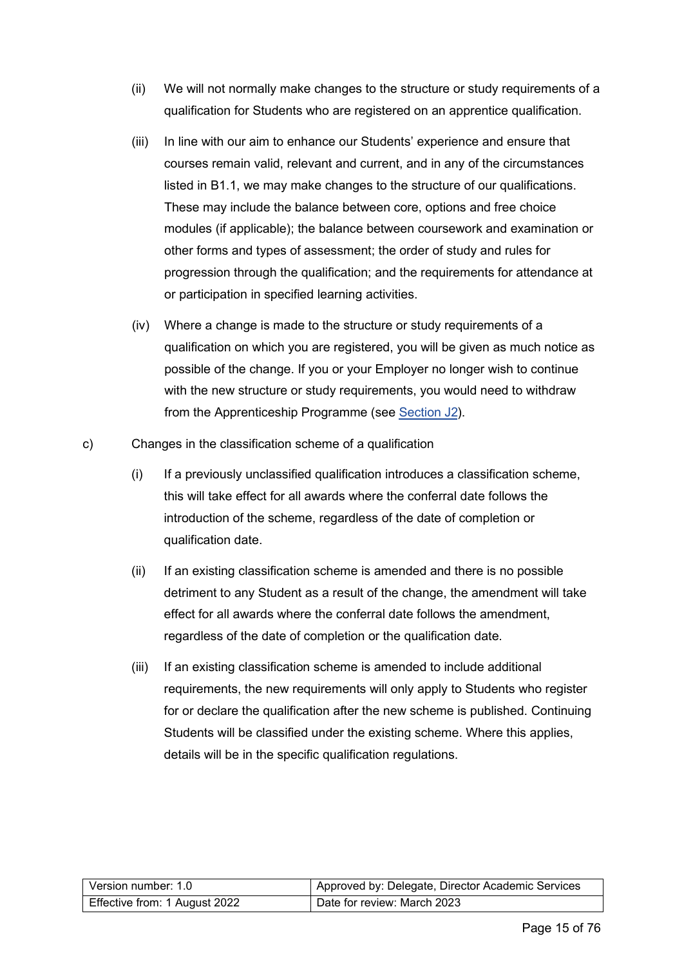- (ii) We will not normally make changes to the structure or study requirements of a qualification for Students who are registered on an apprentice qualification.
- (iii) In line with our aim to enhance our Students' experience and ensure that courses remain valid, relevant and current, and in any of the circumstances listed in B1.1, we may make changes to the structure of our qualifications. These may include the balance between core, options and free choice modules (if applicable); the balance between coursework and examination or other forms and types of assessment; the order of study and rules for progression through the qualification; and the requirements for attendance at or participation in specified learning activities.
- (iv) Where a change is made to the structure or study requirements of a qualification on which you are registered, you will be given as much notice as possible of the change. If you or your Employer no longer wish to continue with the new structure or study requirements, you would need to withdraw from the Apprenticeship Programme (see [Section J2\)](#page-57-2).
- c) Changes in the classification scheme of a qualification
	- (i) If a previously unclassified qualification introduces a classification scheme, this will take effect for all awards where the conferral date follows the introduction of the scheme, regardless of the date of completion or qualification date.
	- (ii) If an existing classification scheme is amended and there is no possible detriment to any Student as a result of the change, the amendment will take effect for all awards where the conferral date follows the amendment, regardless of the date of completion or the qualification date.
	- (iii) If an existing classification scheme is amended to include additional requirements, the new requirements will only apply to Students who register for or declare the qualification after the new scheme is published. Continuing Students will be classified under the existing scheme. Where this applies, details will be in the specific qualification regulations.

| l Version number: 1.0         | Approved by: Delegate, Director Academic Services |
|-------------------------------|---------------------------------------------------|
| Effective from: 1 August 2022 | Date for review: March 2023                       |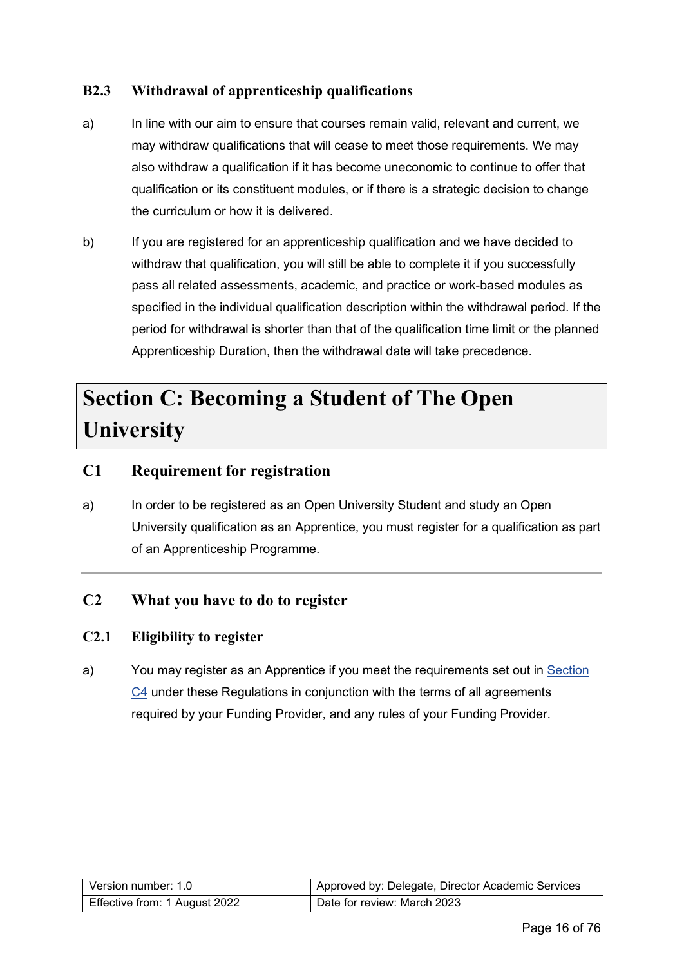### **B2.3 Withdrawal of apprenticeship qualifications**

- a) In line with our aim to ensure that courses remain valid, relevant and current, we may withdraw qualifications that will cease to meet those requirements. We may also withdraw a qualification if it has become uneconomic to continue to offer that qualification or its constituent modules, or if there is a strategic decision to change the curriculum or how it is delivered.
- b) If you are registered for an apprenticeship qualification and we have decided to withdraw that qualification, you will still be able to complete it if you successfully pass all related assessments, academic, and practice or work-based modules as specified in the individual qualification description within the withdrawal period. If the period for withdrawal is shorter than that of the qualification time limit or the planned Apprenticeship Duration, then the withdrawal date will take precedence.

# <span id="page-15-0"></span>**Section C: Becoming a Student of The Open University**

### <span id="page-15-1"></span>**C1 Requirement for registration**

a) In order to be registered as an Open University Student and study an Open University qualification as an Apprentice, you must register for a qualification as part of an Apprenticeship Programme.

#### <span id="page-15-2"></span>**C2 What you have to do to register**

#### **C2.1 Eligibility to register**

a) You may register as an Apprentice if you meet the requirements set out in [Section](#page-18-1) [C4](#page-18-1) under these Regulations in conjunction with the terms of all agreements required by your Funding Provider, and any rules of your Funding Provider.

| l Version number: 1.0         | Approved by: Delegate, Director Academic Services |
|-------------------------------|---------------------------------------------------|
| Effective from: 1 August 2022 | Date for review: March 2023                       |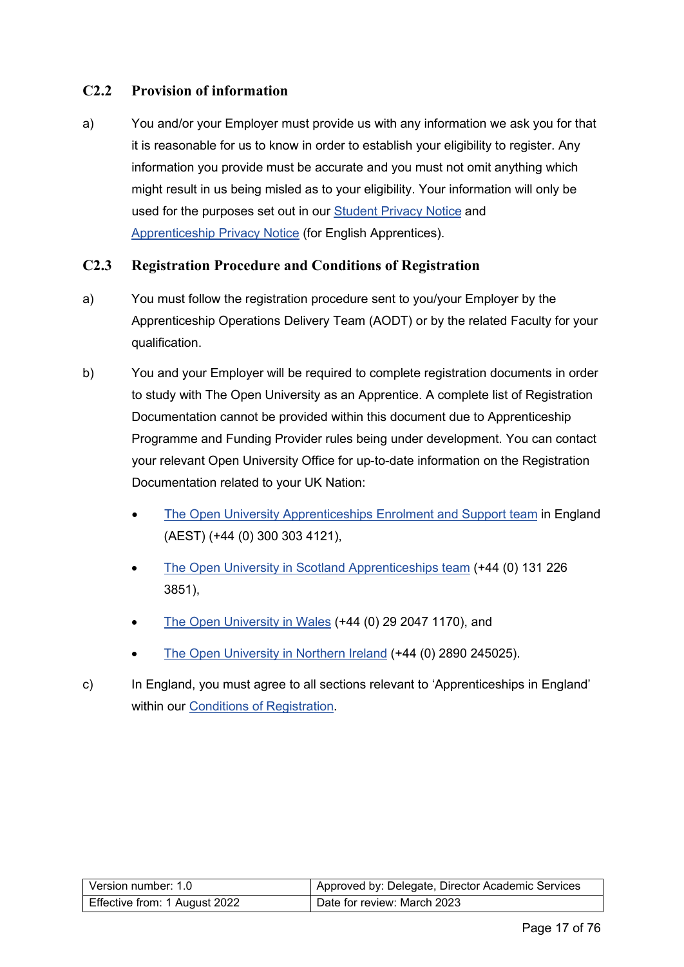### **C2.2 Provision of information**

a) You and/or your Employer must provide us with any information we ask you for that it is reasonable for us to know in order to establish your eligibility to register. Any information you provide must be accurate and you must not omit anything which might result in us being misled as to your eligibility. Your information will only be used for the purposes set out in our **Student [Privacy Notice](https://help.open.ac.uk/documents/policies/privacy-notice)** and [Apprenticeship](https://help.open.ac.uk/documents/policies/privacy-notice) Privacy Notice (for English Apprentices).

### **C2.3 Registration Procedure and Conditions of Registration**

- a) You must follow the registration procedure sent to you/your Employer by the Apprenticeship Operations Delivery Team (AODT) or by the related Faculty for your qualification.
- b) You and your Employer will be required to complete registration documents in order to study with The Open University as an Apprentice. A complete list of Registration Documentation cannot be provided within this document due to Apprenticeship Programme and Funding Provider rules being under development. You can contact your relevant Open University Office for up-to-date information on the Registration Documentation related to your UK Nation:
	- The Open University Apprenticeships [Enrolment and Support](mailto:apprenticeships@open.ac.uk) team in England (AEST) (+44 (0) 300 303 4121),
	- [The Open University in Scotland Apprenticeships team](mailto:scotland-apprenticeships@open.ac.uk) (+44 (0) 131 226 3851),
	- The Open [University](mailto:Wales-Support@open.ac.uk) in Wales (+44 (0) 29 2047 1170), and
	- The Open [University](mailto:northernireland@open.ac.uk) in Northern Ireland (+44 (0) 2890 245025).
- c) In England, you must agree to all sections relevant to 'Apprenticeships in England' within our **Conditions of Registration**.

| Version number: 1.0           | Approved by: Delegate, Director Academic Services |
|-------------------------------|---------------------------------------------------|
| Effective from: 1 August 2022 | Date for review: March 2023                       |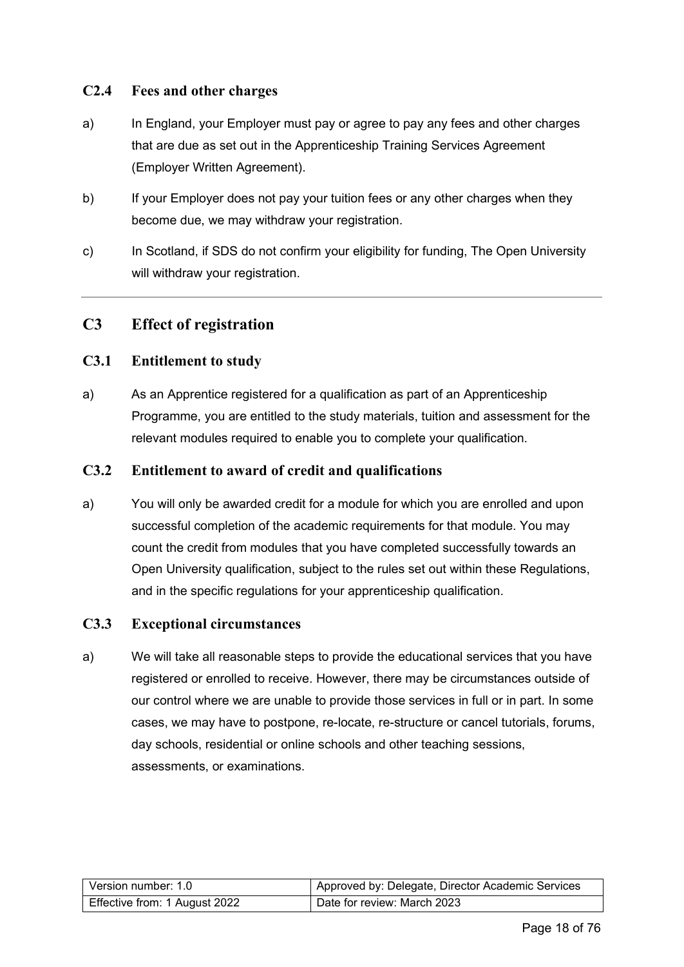#### **C2.4 Fees and other charges**

- a) In England, your Employer must pay or agree to pay any fees and other charges that are due as set out in the Apprenticeship Training Services Agreement (Employer Written Agreement).
- b) If your Employer does not pay your tuition fees or any other charges when they become due, we may withdraw your registration.
- c) In Scotland, if SDS do not confirm your eligibility for funding, The Open University will withdraw your registration.

## <span id="page-17-0"></span>**C3 Effect of registration**

#### **C3.1 Entitlement to study**

a) As an Apprentice registered for a qualification as part of an Apprenticeship Programme, you are entitled to the study materials, tuition and assessment for the relevant modules required to enable you to complete your qualification.

### **C3.2 Entitlement to award of credit and qualifications**

a) You will only be awarded credit for a module for which you are enrolled and upon successful completion of the academic requirements for that module. You may count the credit from modules that you have completed successfully towards an Open University qualification, subject to the rules set out within these Regulations, and in the specific regulations for your apprenticeship qualification.

#### **C3.3 Exceptional circumstances**

a) We will take all reasonable steps to provide the educational services that you have registered or enrolled to receive. However, there may be circumstances outside of our control where we are unable to provide those services in full or in part. In some cases, we may have to postpone, re-locate, re-structure or cancel tutorials, forums, day schools, residential or online schools and other teaching sessions, assessments, or examinations.

| l Version number: 1.0         | Approved by: Delegate, Director Academic Services |
|-------------------------------|---------------------------------------------------|
| Effective from: 1 August 2022 | Date for review: March 2023                       |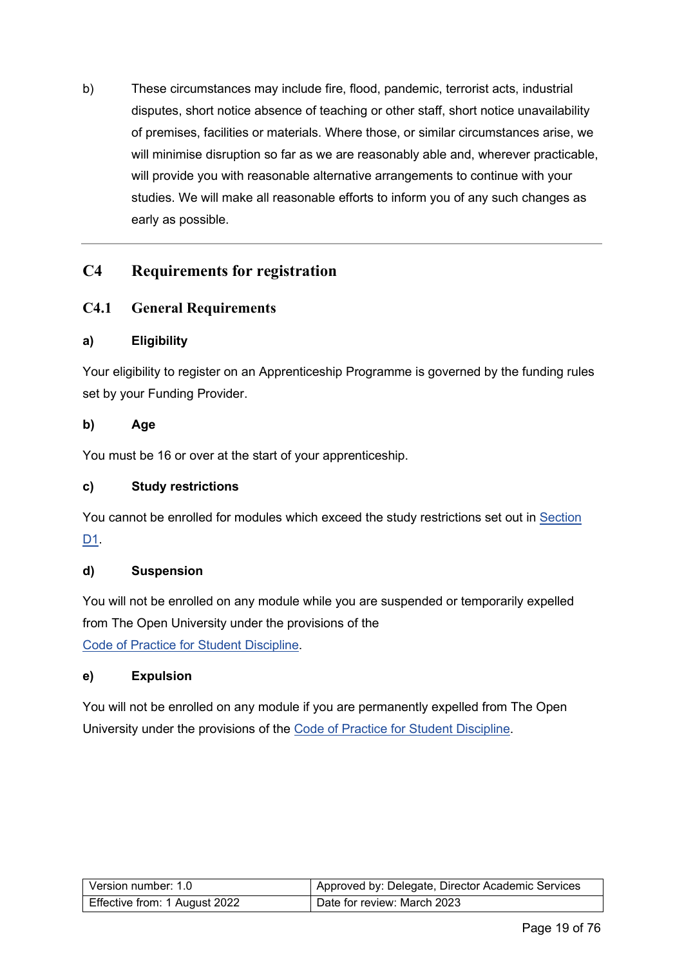b) These circumstances may include fire, flood, pandemic, terrorist acts, industrial disputes, short notice absence of teaching or other staff, short notice unavailability of premises, facilities or materials. Where those, or similar circumstances arise, we will minimise disruption so far as we are reasonably able and, wherever practicable, will provide you with reasonable alternative arrangements to continue with your studies. We will make all reasonable efforts to inform you of any such changes as early as possible.

## <span id="page-18-0"></span>**C4 Requirements for registration**

#### <span id="page-18-1"></span>**C4.1 General Requirements**

#### **a) Eligibility**

Your eligibility to register on an Apprenticeship Programme is governed by the funding rules set by your Funding Provider.

#### **b) Age**

You must be 16 or over at the start of your apprenticeship.

#### **c) Study restrictions**

You cannot be enrolled for modules which exceed the study restrictions set out in [Section](#page-21-0) D<sub>1</sub>

#### **d) Suspension**

You will not be enrolled on any module while you are suspended or temporarily expelled from The Open University under the provisions of the Code [of Practice for](https://help.open.ac.uk/documents/policies/code-of-practice-student-discipline) Student Discipline.

#### **e) Expulsion**

You will not be enrolled on any module if you are permanently expelled from The Open University under the provisions of the Code of Practice for [Student Discipline.](https://help.open.ac.uk/documents/policies/code-of-practice-student-discipline)

| l Version number: 1.0         | Approved by: Delegate, Director Academic Services |
|-------------------------------|---------------------------------------------------|
| Effective from: 1 August 2022 | Date for review: March 2023                       |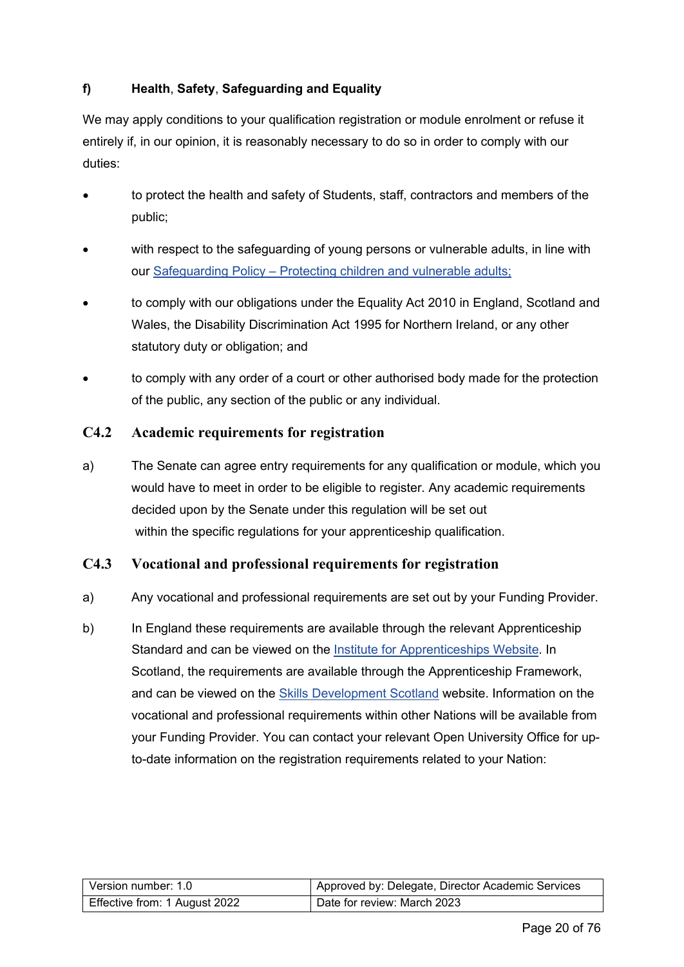### **f) Health**, **Safety**, **Safeguarding and Equality**

We may apply conditions to your qualification registration or module enrolment or refuse it entirely if, in our opinion, it is reasonably necessary to do so in order to comply with our duties:

- to protect the health and safety of Students, staff, contractors and members of the public;
- with respect to the safeguarding of young persons or vulnerable adults, in line with our Safeguarding [Policy – Protecting](https://help.open.ac.uk/documents/policies/ensuring-the-safety-of-children-and-vulnerable-protected-adults) children and vulnerable adults;
- to comply with our obligations under the Equality Act 2010 in England, Scotland and Wales, the Disability Discrimination Act 1995 for Northern Ireland, or any other statutory duty or obligation; and
- to comply with any order of a court or other authorised body made for the protection of the public, any section of the public or any individual.

### **C4.2 Academic requirements for registration**

a) The Senate can agree entry requirements for any qualification or module, which you would have to meet in order to be eligible to register. Any academic requirements decided upon by the Senate under this regulation will be set out within the specific regulations for your apprenticeship qualification.

#### **C4.3 Vocational and professional requirements for registration**

- a) Any vocational and professional requirements are set out by your Funding Provider.
- b) In England these requirements are available through the relevant Apprenticeship Standard and can be viewed on the Institute for [Apprenticeships](https://www.instituteforapprenticeships.org/apprenticeship-standards/) Website. In Scotland, the requirements are available through the Apprenticeship Framework, and can be viewed on the Skills [Development](https://www.skillsdevelopmentscotland.co.uk/what-we-do/apprenticeships/graduate-apprenticeships/) Scotland website. Information on the vocational and professional requirements within other Nations will be available from your Funding Provider. You can contact your relevant Open University Office for upto-date information on the registration requirements related to your Nation:

| Version number: 1.0           | Approved by: Delegate, Director Academic Services |
|-------------------------------|---------------------------------------------------|
| Effective from: 1 August 2022 | Date for review: March 2023                       |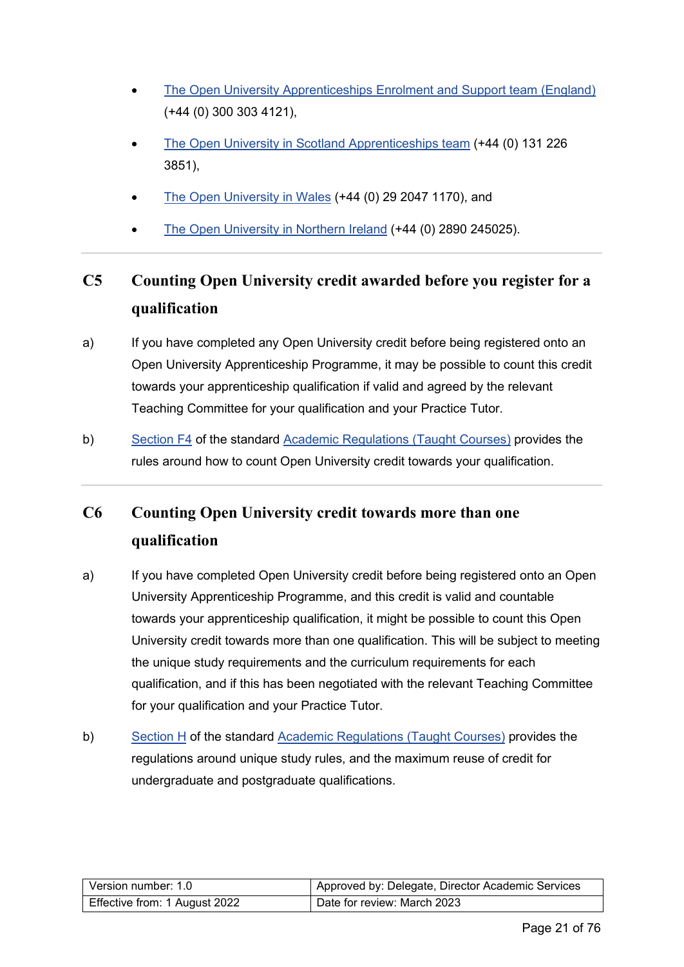- The Open University Apprenticeships [Enrolment and Support team](mailto:apprenticeships@open.ac.uk) (England) (+44 (0) 300 303 4121),
- [The Open University in Scotland Apprenticeships team](mailto:scotland-apprenticeships@open.ac.uk) (+44 (0) 131 226 3851),
- The Open [University](mailto:Wales-Support@open.ac.uk) in Wales (+44 (0) 29 2047 1170), and
- The Open [University](mailto:northernireland@open.ac.uk) in Northern Ireland (+44 (0) 2890 245025).

## <span id="page-20-0"></span>**C5 Counting Open University credit awarded before you register for a qualification**

- a) If you have completed any Open University credit before being registered onto an Open University Apprenticeship Programme, it may be possible to count this credit towards your apprenticeship qualification if valid and agreed by the relevant Teaching Committee for your qualification and your Practice Tutor.
- b) [Section](#page-30-1) F4 of the standard Academic [Regulations](https://help.open.ac.uk/documents/policies/academic-regulations) (Taught Courses) provides the rules around how to count Open University credit towards your qualification.

## <span id="page-20-1"></span>**C6 Counting Open University credit towards more than one qualification**

- a) If you have completed Open University credit before being registered onto an Open University Apprenticeship Programme, and this credit is valid and countable towards your apprenticeship qualification, it might be possible to count this Open University credit towards more than one qualification. This will be subject to meeting the unique study requirements and the curriculum requirements for each qualification, and if this has been negotiated with the relevant Teaching Committee for your qualification and your Practice Tutor.
- b) [Section H](#page-47-0) of the standard Academic [Regulations](https://help.open.ac.uk/documents/policies/academic-regulations) (Taught Courses) provides the regulations around unique study rules, and the maximum reuse of credit for undergraduate and postgraduate qualifications.

| l Version number: 1.0         | Approved by: Delegate, Director Academic Services |
|-------------------------------|---------------------------------------------------|
| Effective from: 1 August 2022 | Date for review: March 2023                       |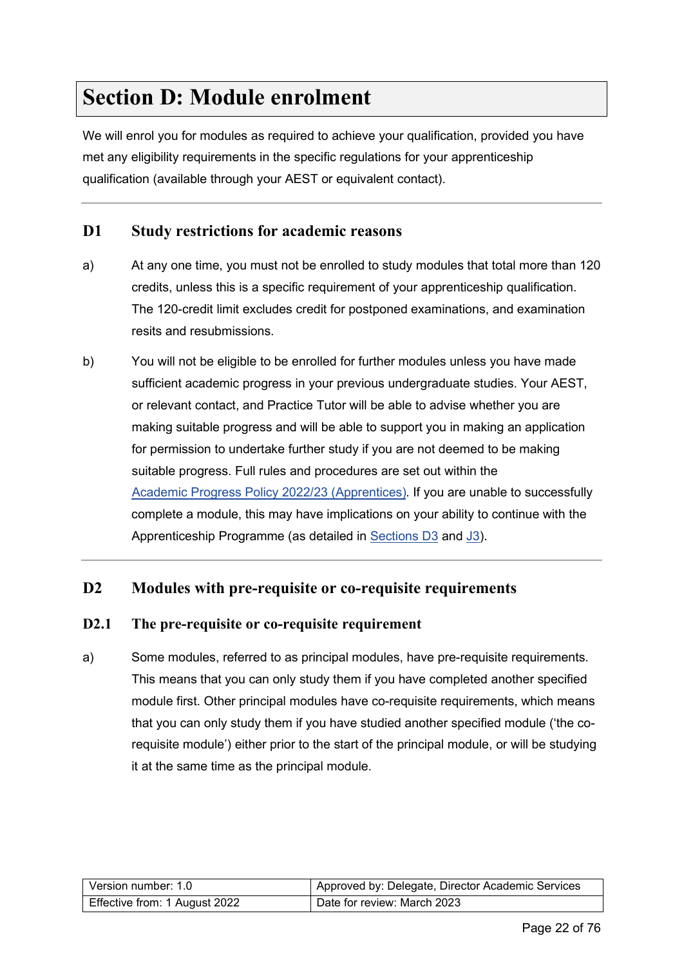## <span id="page-21-0"></span>**Section D: Module enrolment**

We will enrol you for modules as required to achieve your qualification, provided you have met any eligibility requirements in the specific regulations for your apprenticeship qualification (available through your AEST or equivalent contact).

## <span id="page-21-1"></span>**D1 Study restrictions for academic reasons**

- a) At any one time, you must not be enrolled to study modules that total more than 120 credits, unless this is a specific requirement of your apprenticeship qualification. The 120-credit limit excludes credit for postponed examinations, and examination resits and resubmissions.
- b) You will not be eligible to be enrolled for further modules unless you have made sufficient academic progress in your previous undergraduate studies. Your AEST, or relevant contact, and Practice Tutor will be able to advise whether you are making suitable progress and will be able to support you in making an application for permission to undertake further study if you are not deemed to be making suitable progress. Full rules and procedures are set out within the Academic Progress Policy [2022/23 \(Apprentices\).](https://help.open.ac.uk/documents/policies/academic-progress-policy) If you are unable to successfully complete a module, this may have implications on your ability to continue with the Apprenticeship Programme (as detailed in [Sections D3](#page-21-0) and [J3\)](#page-60-1).

### <span id="page-21-2"></span>**D2 Modules with pre-requisite or co-requisite requirements**

### **D2.1 The pre-requisite or co-requisite requirement**

a) Some modules, referred to as principal modules, have pre-requisite requirements. This means that you can only study them if you have completed another specified module first. Other principal modules have co-requisite requirements, which means that you can only study them if you have studied another specified module ('the corequisite module') either prior to the start of the principal module, or will be studying it at the same time as the principal module.

| l Version number: 1.0         | Approved by: Delegate, Director Academic Services |
|-------------------------------|---------------------------------------------------|
| Effective from: 1 August 2022 | Date for review: March 2023                       |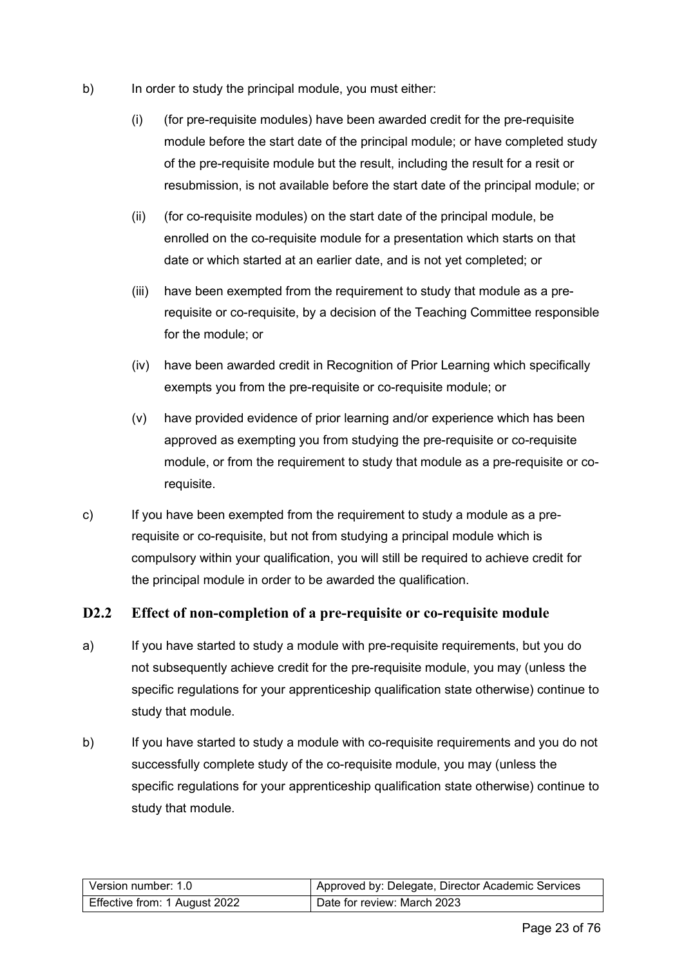- b) In order to study the principal module, you must either:
	- (i) (for pre-requisite modules) have been awarded credit for the pre-requisite module before the start date of the principal module; or have completed study of the pre-requisite module but the result, including the result for a resit or resubmission, is not available before the start date of the principal module; or
	- (ii) (for co-requisite modules) on the start date of the principal module, be enrolled on the co-requisite module for a presentation which starts on that date or which started at an earlier date, and is not yet completed; or
	- (iii) have been exempted from the requirement to study that module as a prerequisite or co-requisite, by a decision of the Teaching Committee responsible for the module; or
	- (iv) have been awarded credit in Recognition of Prior Learning which specifically exempts you from the pre-requisite or co-requisite module; or
	- (v) have provided evidence of prior learning and/or experience which has been approved as exempting you from studying the pre-requisite or co-requisite module, or from the requirement to study that module as a pre-requisite or corequisite.
- c) If you have been exempted from the requirement to study a module as a prerequisite or co-requisite, but not from studying a principal module which is compulsory within your qualification, you will still be required to achieve credit for the principal module in order to be awarded the qualification.

#### <span id="page-22-0"></span>**D2.2 Effect of non-completion of a pre-requisite or co-requisite module**

- a) If you have started to study a module with pre-requisite requirements, but you do not subsequently achieve credit for the pre-requisite module, you may (unless the specific regulations for your apprenticeship qualification state otherwise) continue to study that module.
- b) If you have started to study a module with co-requisite requirements and you do not successfully complete study of the co-requisite module, you may (unless the specific regulations for your apprenticeship qualification state otherwise) continue to study that module.

| l Version number: 1.0         | Approved by: Delegate, Director Academic Services |
|-------------------------------|---------------------------------------------------|
| Effective from: 1 August 2022 | Date for review: March 2023                       |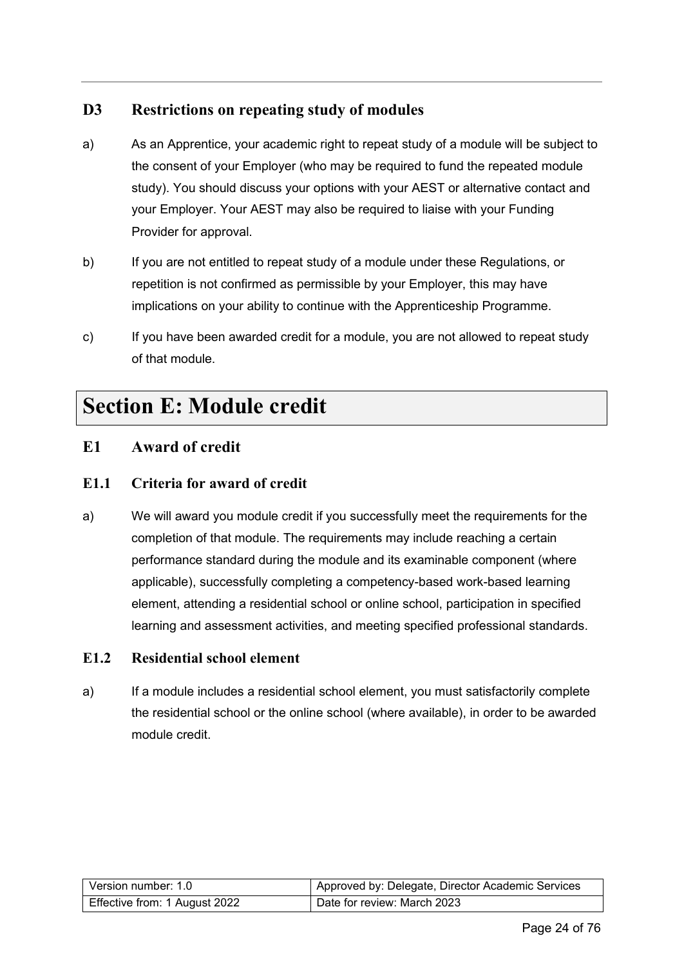## <span id="page-23-0"></span>**D3 Restrictions on repeating study of modules**

- a) As an Apprentice, your academic right to repeat study of a module will be subject to the consent of your Employer (who may be required to fund the repeated module study). You should discuss your options with your AEST or alternative contact and your Employer. Your AEST may also be required to liaise with your Funding Provider for approval.
- b) If you are not entitled to repeat study of a module under these Regulations, or repetition is not confirmed as permissible by your Employer, this may have implications on your ability to continue with the Apprenticeship Programme.
- c) If you have been awarded credit for a module, you are not allowed to repeat study of that module.

## <span id="page-23-1"></span>**Section E: Module credit**

## <span id="page-23-2"></span>**E1 Award of credit**

## **E1.1 Criteria for award of credit**

a) We will award you module credit if you successfully meet the requirements for the completion of that module. The requirements may include reaching a certain performance standard during the module and its examinable component (where applicable), successfully completing a competency-based work-based learning element, attending a residential school or online school, participation in specified learning and assessment activities, and meeting specified professional standards.

### **E1.2 Residential school element**

a) If a module includes a residential school element, you must satisfactorily complete the residential school or the online school (where available), in order to be awarded module credit.

| Version number: 1.0           | Approved by: Delegate, Director Academic Services |
|-------------------------------|---------------------------------------------------|
| Effective from: 1 August 2022 | Date for review: March 2023                       |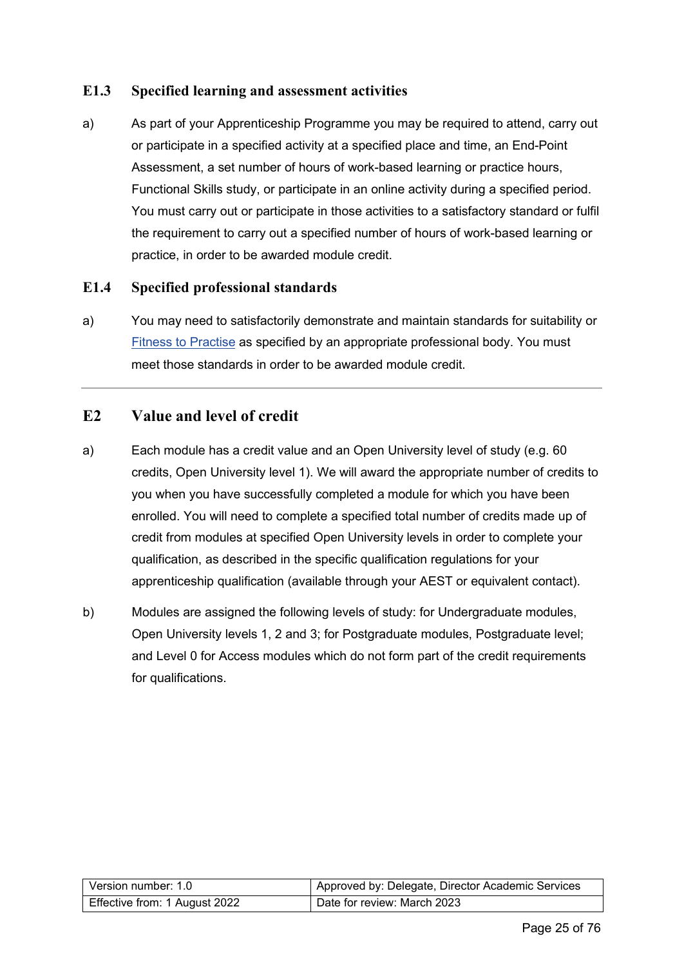### **E1.3 Specified learning and assessment activities**

a) As part of your Apprenticeship Programme you may be required to attend, carry out or participate in a specified activity at a specified place and time, an End-Point Assessment, a set number of hours of work-based learning or practice hours, Functional Skills study, or participate in an online activity during a specified period. You must carry out or participate in those activities to a satisfactory standard or fulfil the requirement to carry out a specified number of hours of work-based learning or practice, in order to be awarded module credit.

#### **E1.4 Specified professional standards**

a) You may need to satisfactorily demonstrate and maintain standards for suitability or [Fitness to Practise](https://help.open.ac.uk/documents/policies/fitness-to-practise) as specified by an appropriate professional body. You must meet those standards in order to be awarded module credit.

### <span id="page-24-0"></span>**E2 Value and level of credit**

- a) Each module has a credit value and an Open University level of study (e.g. 60 credits, Open University level 1). We will award the appropriate number of credits to you when you have successfully completed a module for which you have been enrolled. You will need to complete a specified total number of credits made up of credit from modules at specified Open University levels in order to complete your qualification, as described in the specific qualification regulations for your apprenticeship qualification (available through your AEST or equivalent contact).
- <span id="page-24-1"></span>b) Modules are assigned the following levels of study: for Undergraduate modules, Open University levels 1, 2 and 3; for Postgraduate modules, Postgraduate level; and Level 0 for Access modules which do not form part of the credit requirements for qualifications.

| l Version number: 1.0         | Approved by: Delegate, Director Academic Services |
|-------------------------------|---------------------------------------------------|
| Effective from: 1 August 2022 | Date for review: March 2023                       |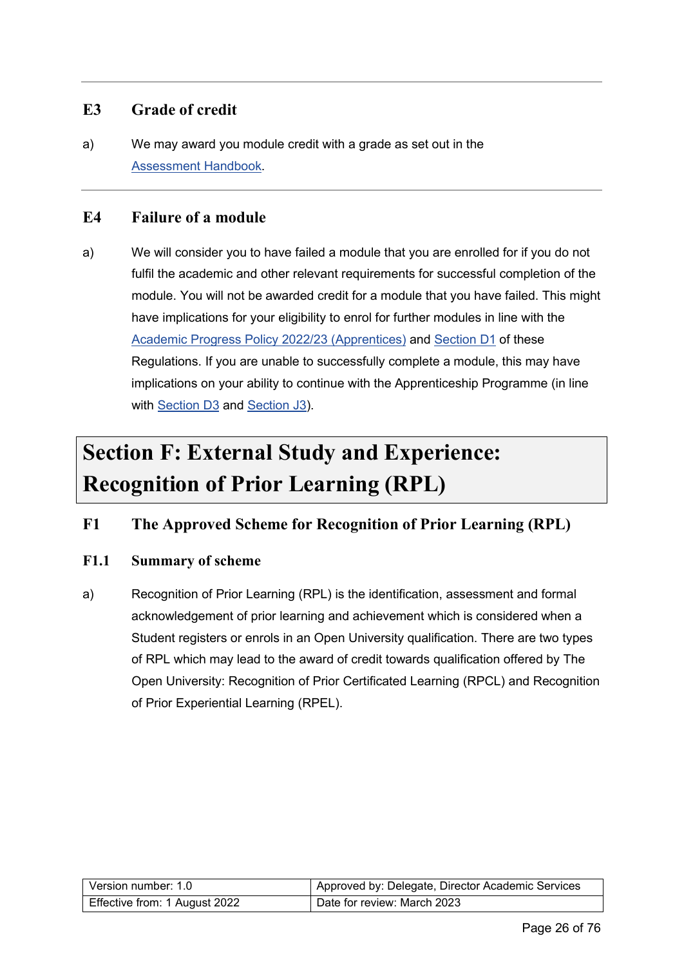## **E3 Grade of credit**

a) We may award you module credit with a grade as set out in the [Assessment Handbook.](https://help.open.ac.uk/documents/policies/assessment-handbook)

#### <span id="page-25-0"></span>**E4 Failure of a module**

a) We will consider you to have failed a module that you are enrolled for if you do not fulfil the academic and other relevant requirements for successful completion of the module. You will not be awarded credit for a module that you have failed. This might have implications for your eligibility to enrol for further modules in line with the Academic Progress Policy [2022/23 \(Apprentices\)](https://help.open.ac.uk/documents/policies/academic-progress-policy) and [Section](#page-21-0) D1 of these Regulations. If you are unable to successfully complete a module, this may have implications on your ability to continue with the Apprenticeship Programme (in line with [Section](#page-22-0) D3 and [Section J3\)](#page-60-1).

# <span id="page-25-1"></span>**Section F: External Study and Experience: Recognition of Prior Learning (RPL)**

## <span id="page-25-2"></span>**F1 The Approved Scheme for Recognition of Prior Learning (RPL)**

#### **F1.1 Summary of scheme**

a) Recognition of Prior Learning (RPL) is the identification, assessment and formal acknowledgement of prior learning and achievement which is considered when a Student registers or enrols in an Open University qualification. There are two types of RPL which may lead to the award of credit towards qualification offered by The Open University: Recognition of Prior Certificated Learning (RPCL) and Recognition of Prior Experiential Learning (RPEL).

| Version number: 1.0           | Approved by: Delegate, Director Academic Services |
|-------------------------------|---------------------------------------------------|
| Effective from: 1 August 2022 | Date for review: March 2023                       |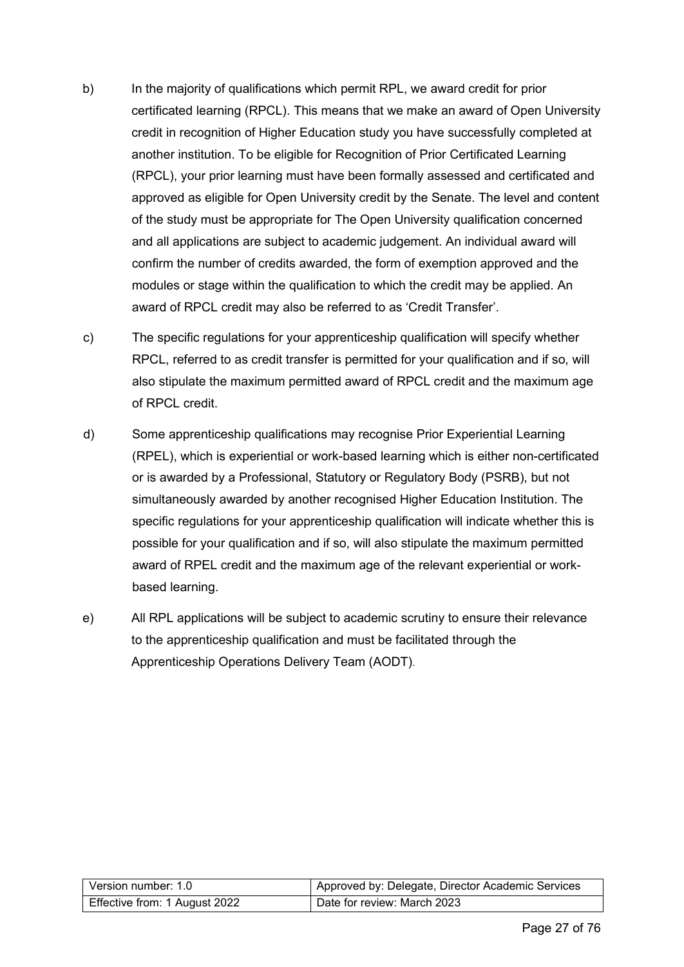## Policies superseded by this document

This document replaces the Academic Regulations 2021/22 (Apprentices), with effect from 1 August 2022.

## **Scope**

## What this document covers

These Regulations apply to all Students who are registered on an Open University Apprenticeship Programme to study a qualification that starts from the academic year 2022/23 onwards.

- These Regulations apply to all academic studies undertaken as part of an  $a)$ Apprenticeship Programme, for which study commenced in or after the academic year 2022/23 and will continue to apply for so long as you remain registered for that qualification and are an Apprentice with The Open University.
- $b)$ If you register for a qualification in a subsequent academic year, including reregistering for the apprenticeship qualification you were studying previously through an Apprenticeship Programme, the regulations in force at the time of that registration will apply to that further study.
- As an Apprentice, you cannot change your qualification within the Apprenticeship  $c)$ Programme itself, unless expressly agreed by your Employer, The Open University, and your Funding Provider rules (if applicable). This may have implications on your ability to continue with the Apprenticeship Programme. If you change your qualification, the regulations that apply will be those that apply at the date of the change.
- $\mathsf{d}$ If you register for a qualification or any modules outside of the Apprenticeship Programme, you will be liable to pay module fees as governed by the Fee Rules, and must abide by all other regulations applicable to Open University Students, including the standard Academic Regulations (Taught Courses). The regulations that will apply to your qualification will be those in effect at the date you register for the further qualification.

| l Version number: 1.0         | Approved by: Delegate, Director Academic Services |
|-------------------------------|---------------------------------------------------|
| Effective from: 1 August 2022 | Date for review: March 2023                       |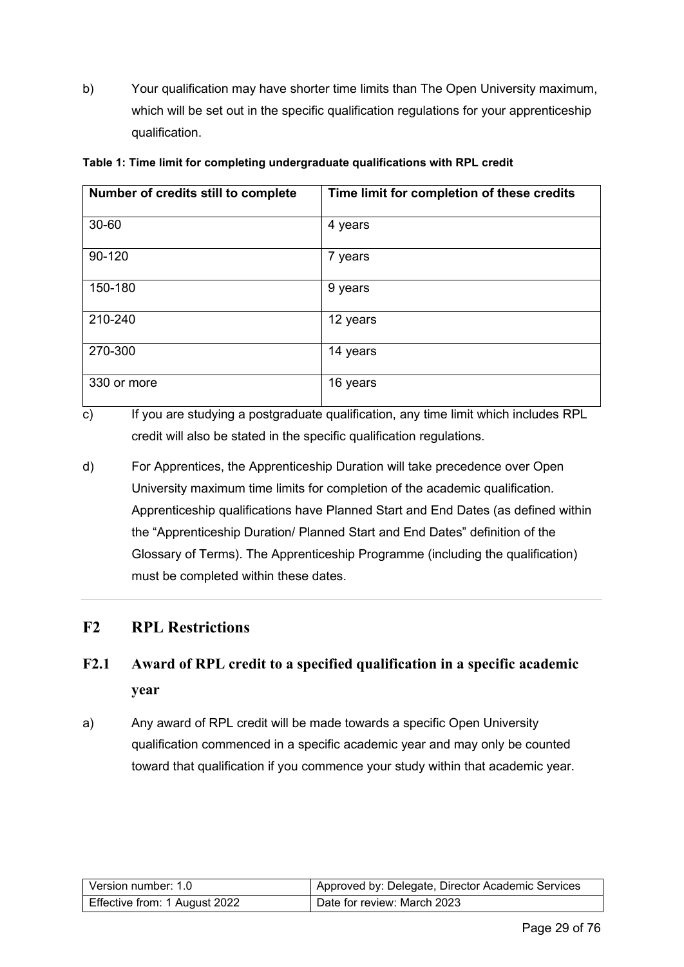b) Your qualification may have shorter time limits than The Open University maximum, which will be set out in the specific qualification regulations for your apprenticeship qualification.

| Number of credits still to complete | Time limit for completion of these credits |
|-------------------------------------|--------------------------------------------|
| 30-60                               | 4 years                                    |
| 90-120                              | 7 years                                    |
| 150-180                             | 9 years                                    |
| 210-240                             | 12 years                                   |
| 270-300                             | 14 years                                   |
| 330 or more                         | 16 years                                   |

#### **Table 1: Time limit for completing undergraduate qualifications with RPL credit**

c) If you are studying a postgraduate qualification, any time limit which includes RPL credit will also be stated in the specific qualification regulations.

d) For Apprentices, the Apprenticeship Duration will take precedence over Open University maximum time limits for completion of the academic qualification. Apprenticeship qualifications have Planned Start and End Dates (as defined within the "Apprenticeship Duration/ Planned Start and End Dates" definition of the Glossary of Terms). The Apprenticeship Programme (including the qualification) must be completed within these dates.

## <span id="page-28-0"></span>**F2 RPL Restrictions**

## **F2.1 Award of RPL credit to a specified qualification in a specific academic year**

a) Any award of RPL credit will be made towards a specific Open University qualification commenced in a specific academic year and may only be counted toward that qualification if you commence your study within that academic year.

| l Version number: 1.0         | Approved by: Delegate, Director Academic Services |
|-------------------------------|---------------------------------------------------|
| Effective from: 1 August 2022 | Date for review: March 2023                       |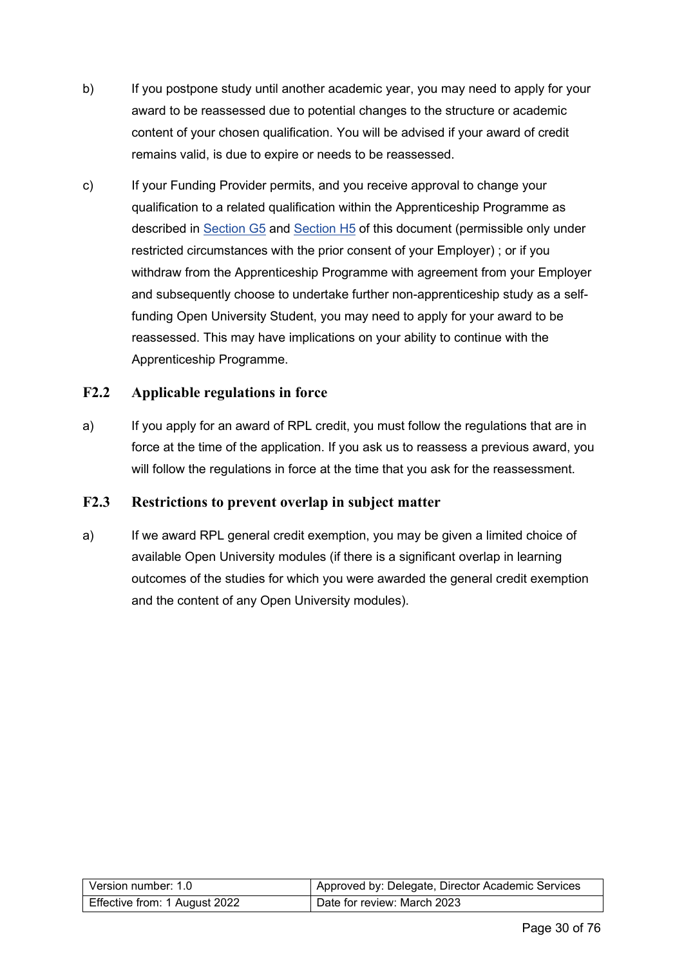- b) If you postpone study until another academic year, you may need to apply for your award to be reassessed due to potential changes to the structure or academic content of your chosen qualification. You will be advised if your award of credit remains valid, is due to expire or needs to be reassessed.
- c) If your Funding Provider permits, and you receive approval to change your qualification to a related qualification within the Apprenticeship Programme as described in [Section G5](#page-37-0) and [Section H5](#page-51-1) of this document (permissible only under restricted circumstances with the prior consent of your Employer) ; or if you withdraw from the Apprenticeship Programme with agreement from your Employer and subsequently choose to undertake further non-apprenticeship study as a selffunding Open University Student, you may need to apply for your award to be reassessed. This may have implications on your ability to continue with the Apprenticeship Programme.

### **F2.2 Applicable regulations in force**

a) If you apply for an award of RPL credit, you must follow the regulations that are in force at the time of the application. If you ask us to reassess a previous award, you will follow the regulations in force at the time that you ask for the reassessment.

### **F2.3 Restrictions to prevent overlap in subject matter**

<span id="page-29-0"></span>a) If we award RPL general credit exemption, you may be given a limited choice of available Open University modules (if there is a significant overlap in learning outcomes of the studies for which you were awarded the general credit exemption and the content of any Open University modules).

| l Version number: 1.0_        | Approved by: Delegate, Director Academic Services |
|-------------------------------|---------------------------------------------------|
| Effective from: 1 August 2022 | Date for review: March 2023                       |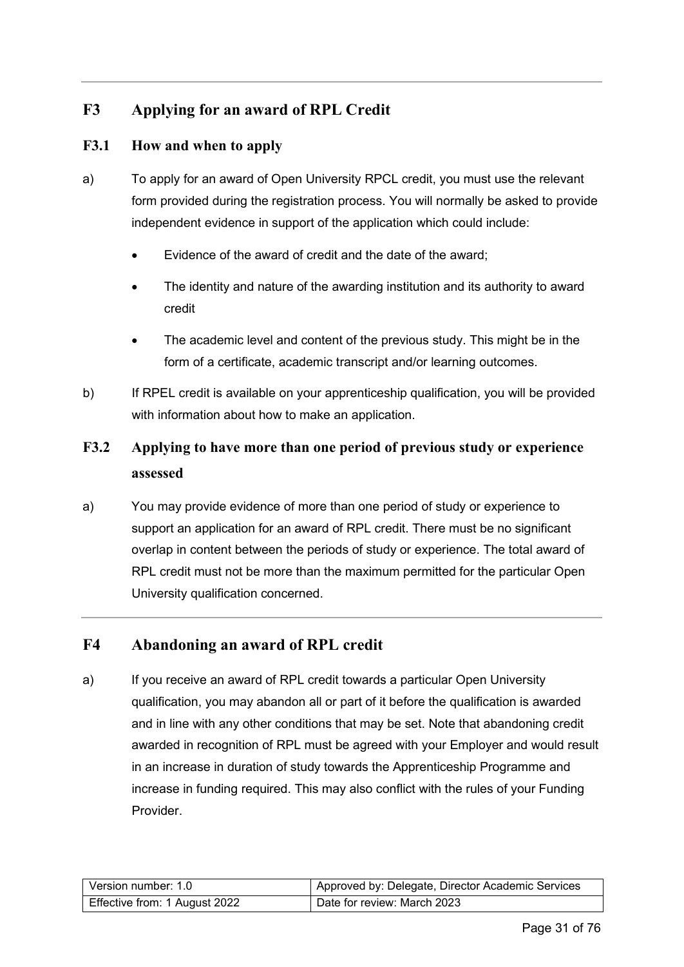## **F3 Applying for an award of RPL Credit**

## **F3.1 How and when to apply**

- a) To apply for an award of Open University RPCL credit, you must use the relevant form provided during the registration process. You will normally be asked to provide independent evidence in support of the application which could include:
	- Evidence of the award of credit and the date of the award;
	- The identity and nature of the awarding institution and its authority to award credit
	- The academic level and content of the previous study. This might be in the form of a certificate, academic transcript and/or learning outcomes.
- b) If RPEL credit is available on your apprenticeship qualification, you will be provided with information about how to make an application.

## <span id="page-30-1"></span>**F3.2 Applying to have more than one period of previous study or experience assessed**

a) You may provide evidence of more than one period of study or experience to support an application for an award of RPL credit. There must be no significant overlap in content between the periods of study or experience. The total award of RPL credit must not be more than the maximum permitted for the particular Open University qualification concerned.

## <span id="page-30-0"></span>**F4 Abandoning an award of RPL credit**

a) If you receive an award of RPL credit towards a particular Open University qualification, you may abandon all or part of it before the qualification is awarded and in line with any other conditions that may be set. Note that abandoning credit awarded in recognition of RPL must be agreed with your Employer and would result in an increase in duration of study towards the Apprenticeship Programme and increase in funding required. This may also conflict with the rules of your Funding Provider.

| Version number: 1.0           | Approved by: Delegate, Director Academic Services |
|-------------------------------|---------------------------------------------------|
| Effective from: 1 August 2022 | Date for review: March 2023                       |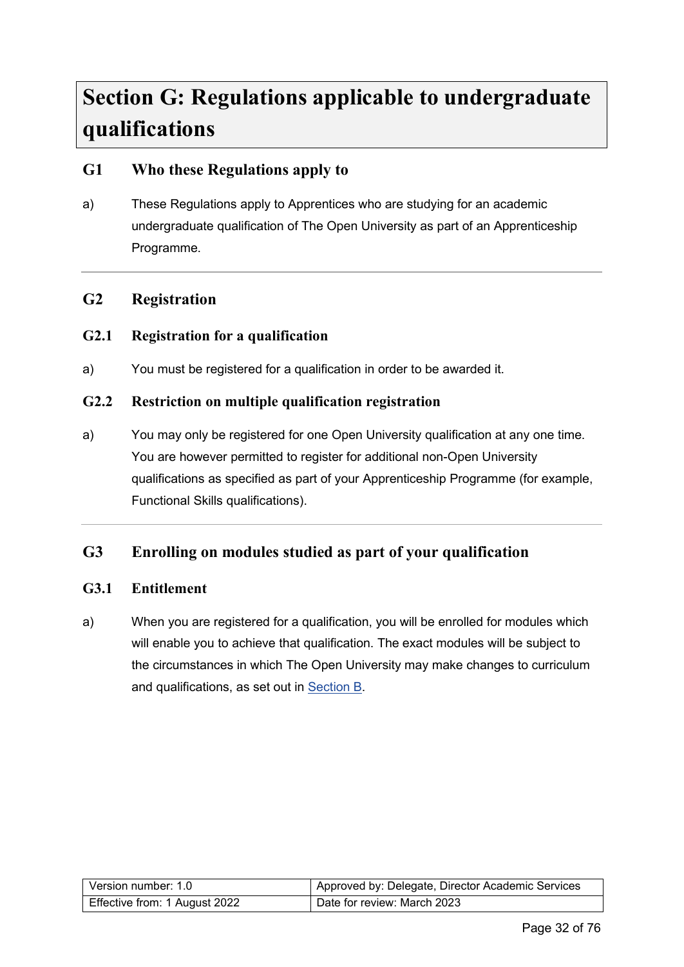# <span id="page-31-0"></span>**Section G: Regulations applicable to undergraduate qualifications**

## <span id="page-31-1"></span>**G1 Who these Regulations apply to**

a) These Regulations apply to Apprentices who are studying for an academic undergraduate qualification of The Open University as part of an Apprenticeship Programme.

### <span id="page-31-2"></span>**G2 Registration**

### **G2.1 Registration for a qualification**

a) You must be registered for a qualification in order to be awarded it.

#### **G2.2 Restriction on multiple qualification registration**

a) You may only be registered for one Open University qualification at any one time. You are however permitted to register for additional non-Open University qualifications as specified as part of your Apprenticeship Programme (for example, Functional Skills qualifications).

## <span id="page-31-3"></span>**G3 Enrolling on modules studied as part of your qualification**

#### **G3.1 Entitlement**

a) When you are registered for a qualification, you will be enrolled for modules which will enable you to achieve that qualification. The exact modules will be subject to the circumstances in which The Open University may make changes to curriculum and qualifications, as set out in [Section B.](#page-11-2)

| Version number: 1.0           | Approved by: Delegate, Director Academic Services |
|-------------------------------|---------------------------------------------------|
| Effective from: 1 August 2022 | Date for review: March 2023                       |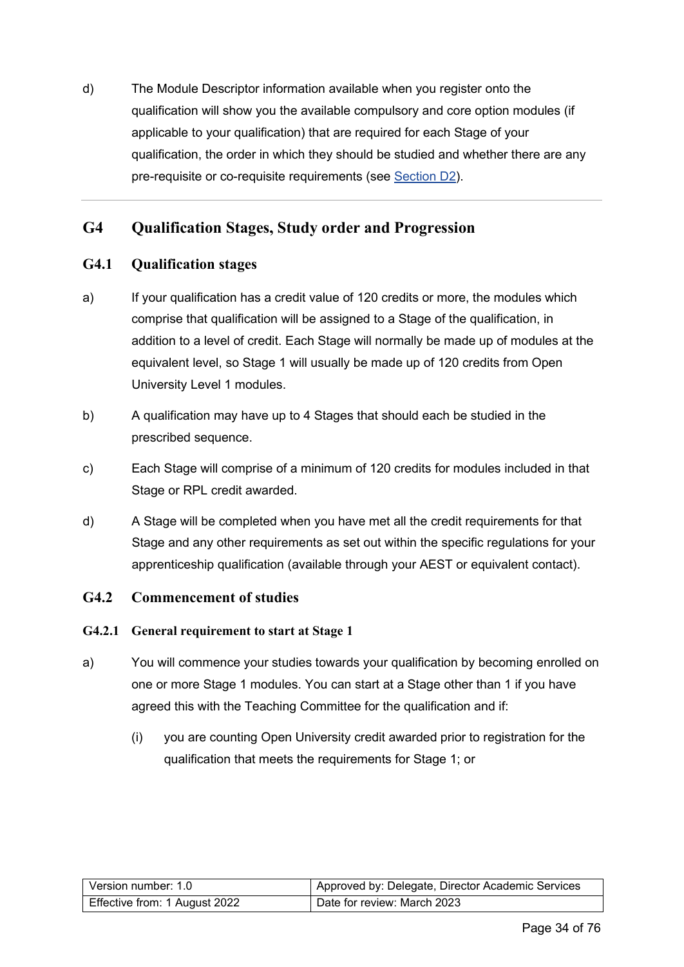d) The Module Descriptor information available when you register onto the qualification will show you the available compulsory and core option modules (if applicable to your qualification) that are required for each Stage of your qualification, the order in which they should be studied and whether there are any pre-requisite or co-requisite requirements (see [Section](#page-21-0) D2).

## <span id="page-33-0"></span>**G4 Qualification Stages, Study order and Progression**

#### **G4.1 Qualification stages**

- a) If your qualification has a credit value of 120 credits or more, the modules which comprise that qualification will be assigned to a Stage of the qualification, in addition to a level of credit. Each Stage will normally be made up of modules at the equivalent level, so Stage 1 will usually be made up of 120 credits from Open University Level 1 modules.
- b) A qualification may have up to 4 Stages that should each be studied in the prescribed sequence.
- c) Each Stage will comprise of a minimum of 120 credits for modules included in that Stage or RPL credit awarded.
- d) A Stage will be completed when you have met all the credit requirements for that Stage and any other requirements as set out within the specific regulations for your apprenticeship qualification (available through your AEST or equivalent contact).

#### **G4.2 Commencement of studies**

#### **G4.2.1 General requirement to start at Stage 1**

- a) You will commence your studies towards your qualification by becoming enrolled on one or more Stage 1 modules. You can start at a Stage other than 1 if you have agreed this with the Teaching Committee for the qualification and if:
	- (i) you are counting Open University credit awarded prior to registration for the qualification that meets the requirements for Stage 1; or

| l Version number: 1.0         | Approved by: Delegate, Director Academic Services |
|-------------------------------|---------------------------------------------------|
| Effective from: 1 August 2022 | Date for review: March 2023                       |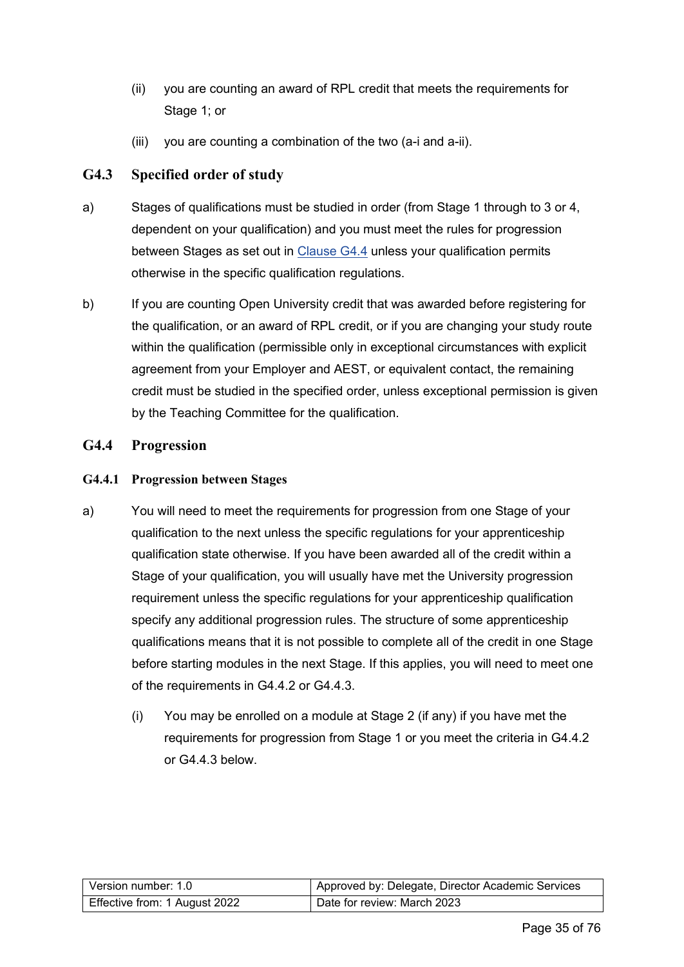- (ii) you are counting an award of RPL credit that meets the requirements for Stage 1; or
- (iii) you are counting a combination of the two (a-i and a-ii).

## **G4.3 Specified order of study**

- a) Stages of qualifications must be studied in order (from Stage 1 through to 3 or 4, dependent on your qualification) and you must meet the rules for progression between Stages as set out in [Clause G4.4](#page-34-0) unless your qualification permits otherwise in the specific qualification regulations.
- b) If you are counting Open University credit that was awarded before registering for the qualification, or an award of RPL credit, or if you are changing your study route within the qualification (permissible only in exceptional circumstances with explicit agreement from your Employer and AEST, or equivalent contact, the remaining credit must be studied in the specified order, unless exceptional permission is given by the Teaching Committee for the qualification.

### <span id="page-34-0"></span>**G4.4 Progression**

#### **G4.4.1 Progression between Stages**

- a) You will need to meet the requirements for progression from one Stage of your qualification to the next unless the specific regulations for your apprenticeship qualification state otherwise. If you have been awarded all of the credit within a Stage of your qualification, you will usually have met the University progression requirement unless the specific regulations for your apprenticeship qualification specify any additional progression rules. The structure of some apprenticeship qualifications means that it is not possible to complete all of the credit in one Stage before starting modules in the next Stage. If this applies, you will need to meet one of the requirements in G4.4.2 or G4.4.3.
	- (i) You may be enrolled on a module at Stage 2 (if any) if you have met the requirements for progression from Stage 1 or you meet the criteria in G4.4.2 or G4.4.3 below.

| l Version number: 1.0         | Approved by: Delegate, Director Academic Services |
|-------------------------------|---------------------------------------------------|
| Effective from: 1 August 2022 | Date for review: March 2023                       |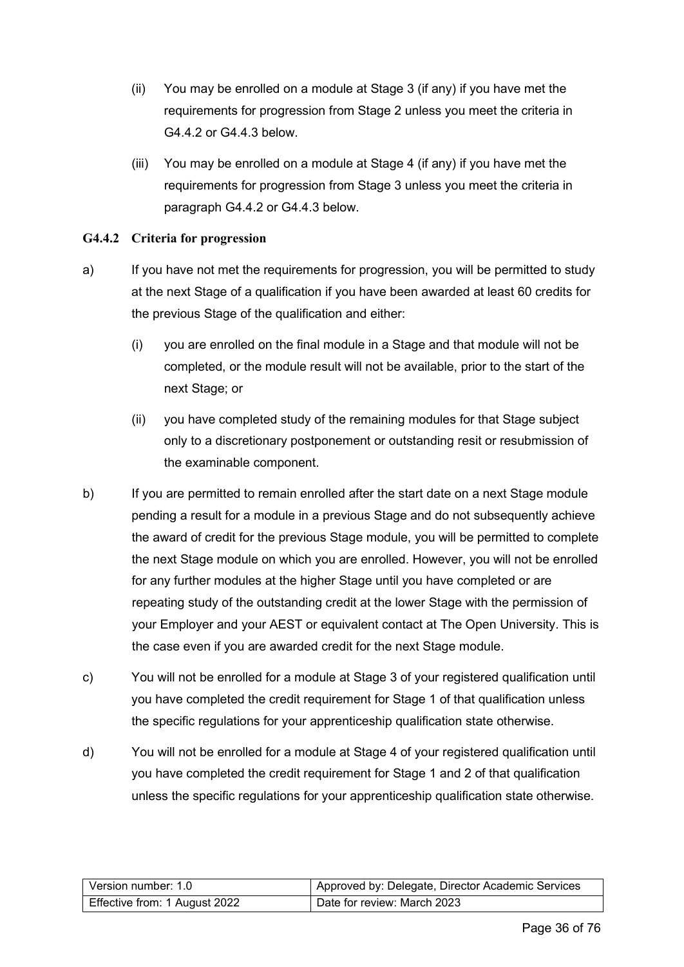| H1             |                                                                  |  |
|----------------|------------------------------------------------------------------|--|
| H <sub>2</sub> |                                                                  |  |
| H <sub>3</sub> | Enrolling on modules studied as part of your qualification  49   |  |
| H <sub>4</sub> |                                                                  |  |
| H <sub>5</sub> | Changing your study plans for exceptional or personal reasons 51 |  |
| H <sub>6</sub> |                                                                  |  |
| H <sub>7</sub> |                                                                  |  |
|                |                                                                  |  |
| $\vert$ 1      |                                                                  |  |
| 12             |                                                                  |  |
| 13             |                                                                  |  |
| 4              |                                                                  |  |
| 15             |                                                                  |  |
| 6              |                                                                  |  |
| 7              |                                                                  |  |
|                |                                                                  |  |
| J <sub>1</sub> |                                                                  |  |
| J2             |                                                                  |  |
| J3             |                                                                  |  |
| J <sub>4</sub> |                                                                  |  |
|                |                                                                  |  |
|                |                                                                  |  |

| l Version number: 1.0         | Approved by: Delegate, Director Academic Services |
|-------------------------------|---------------------------------------------------|
| Effective from: 1 August 2022 | Date for review: March 2023                       |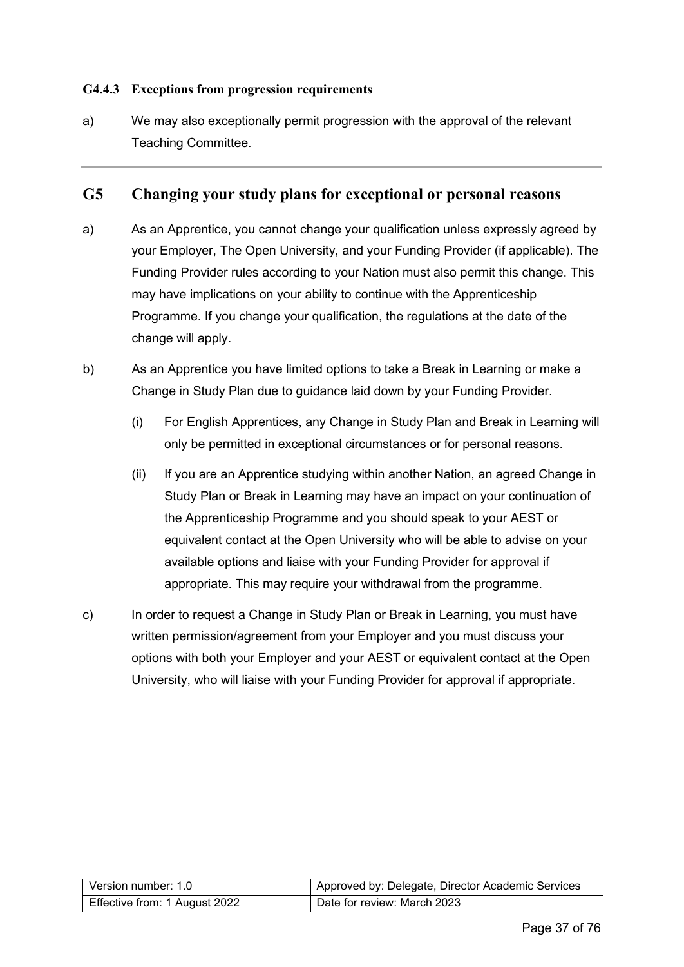#### **G4.4.3 Exceptions from progression requirements**

a) We may also exceptionally permit progression with the approval of the relevant Teaching Committee.

#### **G5 Changing your study plans for exceptional or personal reasons**

- a) As an Apprentice, you cannot change your qualification unless expressly agreed by your Employer, The Open University, and your Funding Provider (if applicable). The Funding Provider rules according to your Nation must also permit this change. This may have implications on your ability to continue with the Apprenticeship Programme. If you change your qualification, the regulations at the date of the change will apply.
- b) As an Apprentice you have limited options to take a Break in Learning or make a Change in Study Plan due to guidance laid down by your Funding Provider.
	- (i) For English Apprentices, any Change in Study Plan and Break in Learning will only be permitted in exceptional circumstances or for personal reasons.
	- (ii) If you are an Apprentice studying within another Nation, an agreed Change in Study Plan or Break in Learning may have an impact on your continuation of the Apprenticeship Programme and you should speak to your AEST or equivalent contact at the Open University who will be able to advise on your available options and liaise with your Funding Provider for approval if appropriate. This may require your withdrawal from the programme.
- c) In order to request a Change in Study Plan or Break in Learning, you must have written permission/agreement from your Employer and you must discuss your options with both your Employer and your AEST or equivalent contact at the Open University, who will liaise with your Funding Provider for approval if appropriate.

| l Version number: 1.0         | Approved by: Delegate, Director Academic Services |
|-------------------------------|---------------------------------------------------|
| Effective from: 1 August 2022 | Date for review: March 2023                       |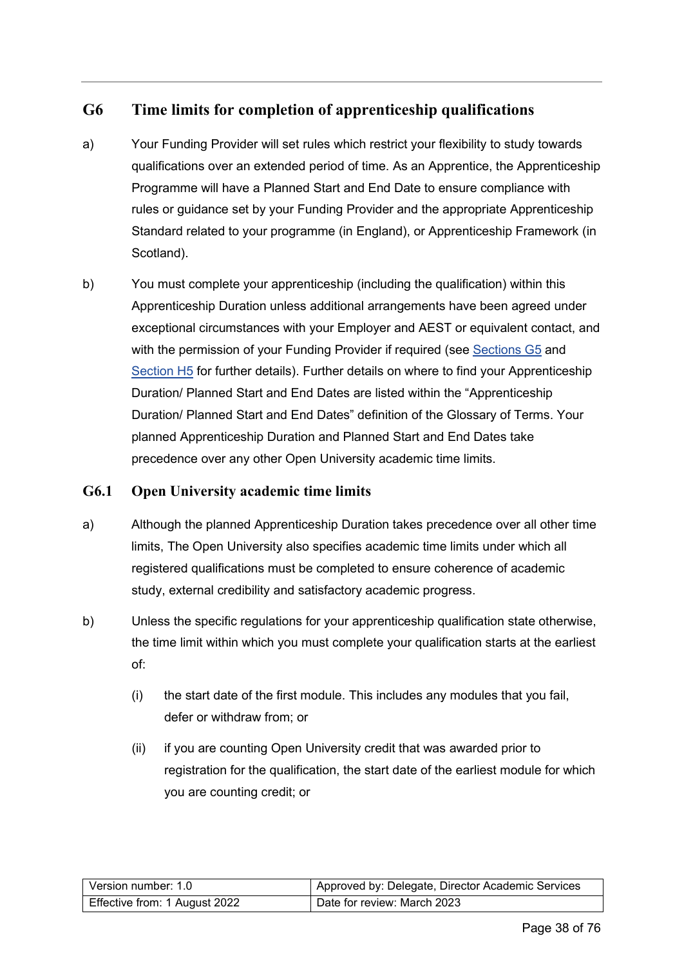### **G6 Time limits for completion of apprenticeship qualifications**

- a) Your Funding Provider will set rules which restrict your flexibility to study towards qualifications over an extended period of time. As an Apprentice, the Apprenticeship Programme will have a Planned Start and End Date to ensure compliance with rules or guidance set by your Funding Provider and the appropriate Apprenticeship Standard related to your programme (in England), or Apprenticeship Framework (in Scotland).
- b) You must complete your apprenticeship (including the qualification) within this Apprenticeship Duration unless additional arrangements have been agreed under exceptional circumstances with your Employer and AEST or equivalent contact, and with the permission of your Funding Provider if required (see [Sections G5](#page-37-0) and [Section H5](#page-51-0) for further details). Further details on where to find your Apprenticeship Duration/ Planned Start and End Dates are listed within the "Apprenticeship Duration/ Planned Start and End Dates" definition of the Glossary of Terms. Your planned Apprenticeship Duration and Planned Start and End Dates take precedence over any other Open University academic time limits.

#### <span id="page-37-0"></span>**G6.1 Open University academic time limits**

- a) Although the planned Apprenticeship Duration takes precedence over all other time limits, The Open University also specifies academic time limits under which all registered qualifications must be completed to ensure coherence of academic study, external credibility and satisfactory academic progress.
- b) Unless the specific regulations for your apprenticeship qualification state otherwise, the time limit within which you must complete your qualification starts at the earliest of:
	- (i) the start date of the first module. This includes any modules that you fail, defer or withdraw from; or
	- (ii) if you are counting Open University credit that was awarded prior to registration for the qualification, the start date of the earliest module for which you are counting credit; or

| Version number: 1.0           | Approved by: Delegate, Director Academic Services |
|-------------------------------|---------------------------------------------------|
| Effective from: 1 August 2022 | Date for review: March 2023                       |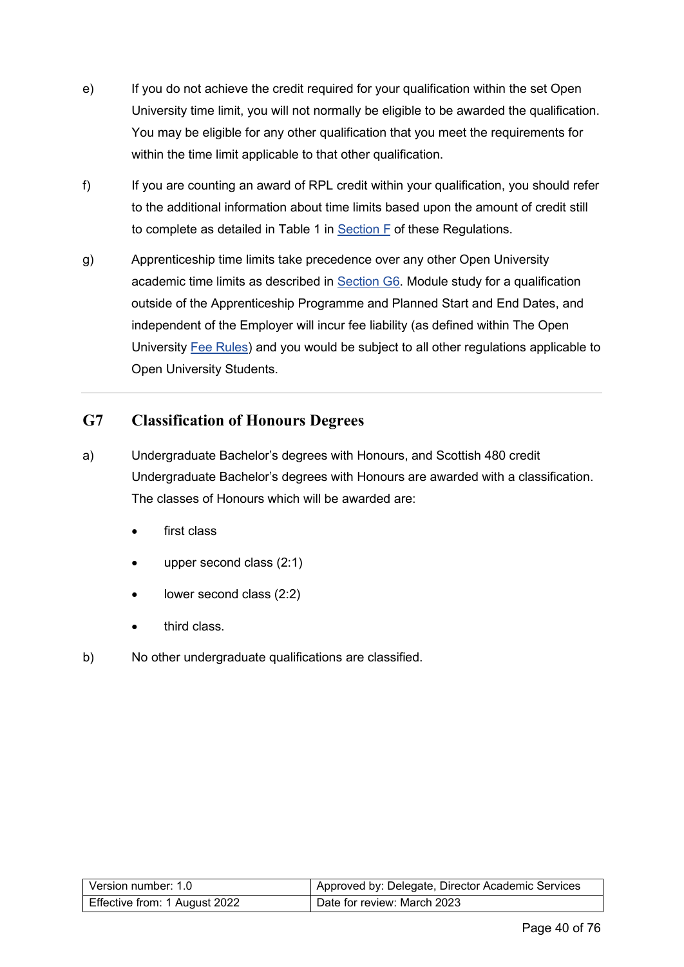- e) If you do not achieve the credit required for your qualification within the set Open University time limit, you will not normally be eligible to be awarded the qualification. You may be eligible for any other qualification that you meet the requirements for within the time limit applicable to that other qualification.
- f) If you are counting an award of RPL credit within your qualification, you should refer to the additional information about time limits based upon the amount of credit still to complete as detailed in Table 1 in [Section F](#page-25-0) of these Regulations.
- g) Apprenticeship time limits take precedence over any other Open University academic time limits as described in **[Section](#page-37-0) G6**. Module study for a qualification outside of the Apprenticeship Programme and Planned Start and End Dates, and independent of the Employer will incur fee liability (as defined within The Open University Fee [Rules\)](https://help.open.ac.uk/documents/policies/fee-rules) and you would be subject to all other regulations applicable to Open University Students.

#### **G7 Classification of Honours Degrees**

- a) Undergraduate Bachelor's degrees with Honours, and Scottish 480 credit Undergraduate Bachelor's degrees with Honours are awarded with a classification. The classes of Honours which will be awarded are:
	- first class
	- upper second class (2:1)
	- lower second class (2:2)
	- third class.
- b) No other undergraduate qualifications are classified.

| l Version number: 1.0_        | Approved by: Delegate, Director Academic Services |
|-------------------------------|---------------------------------------------------|
| Effective from: 1 August 2022 | Date for review: March 2023                       |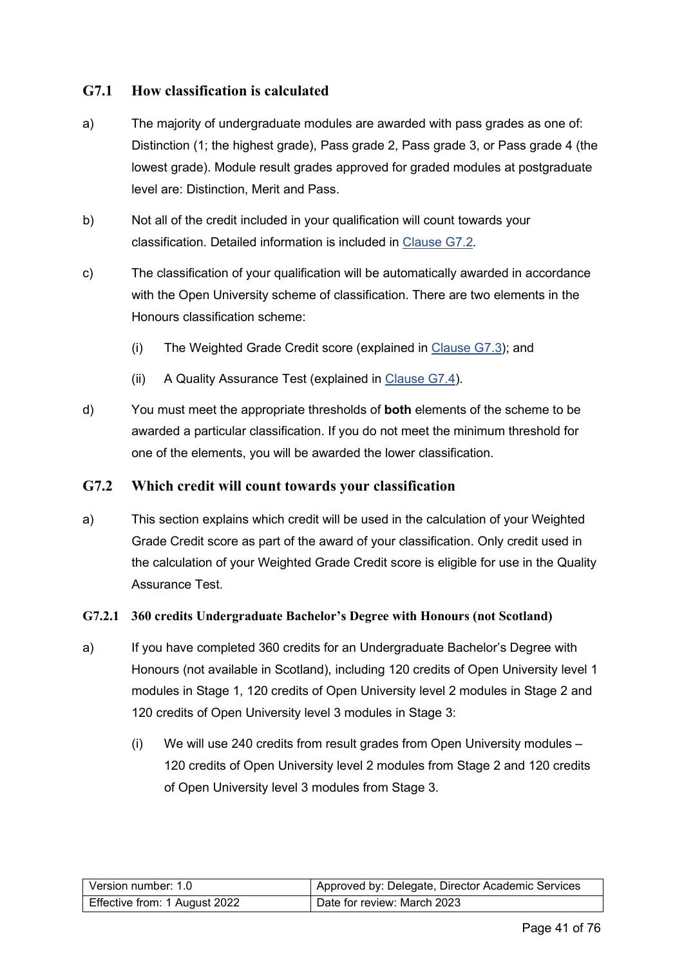#### <span id="page-40-1"></span>**G7.1 How classification is calculated**

- a) The majority of undergraduate modules are awarded with pass grades as one of: Distinction (1; the highest grade), Pass grade 2, Pass grade 3, or Pass grade 4 (the lowest grade). Module result grades approved for graded modules at postgraduate level are: Distinction, Merit and Pass.
- b) Not all of the credit included in your qualification will count towards your classification. Detailed information is included in [Clause G7.2.](#page-40-0)
- c) The classification of your qualification will be automatically awarded in accordance with the Open University scheme of classification. There are two elements in the Honours classification scheme:
	- (i) The Weighted Grade Credit score (explained in [Clause G7.3\)](#page-42-0); and
	- (ii) A Quality Assurance Test (explained in [Clause G7.4\)](#page-42-1).
- d) You must meet the appropriate thresholds of **both** elements of the scheme to be awarded a particular classification. If you do not meet the minimum threshold for one of the elements, you will be awarded the lower classification.

#### <span id="page-40-0"></span>**G7.2 Which credit will count towards your classification**

a) This section explains which credit will be used in the calculation of your Weighted Grade Credit score as part of the award of your classification. Only credit used in the calculation of your Weighted Grade Credit score is eligible for use in the Quality Assurance Test.

#### **G7.2.1 360 credits Undergraduate Bachelor's Degree with Honours (not Scotland)**

- a) If you have completed 360 credits for an Undergraduate Bachelor's Degree with Honours (not available in Scotland), including 120 credits of Open University level 1 modules in Stage 1, 120 credits of Open University level 2 modules in Stage 2 and 120 credits of Open University level 3 modules in Stage 3:
	- (i) We will use 240 credits from result grades from Open University modules 120 credits of Open University level 2 modules from Stage 2 and 120 credits of Open University level 3 modules from Stage 3.

| l Version number: 1.0         | Approved by: Delegate, Director Academic Services |
|-------------------------------|---------------------------------------------------|
| Effective from: 1 August 2022 | Date for review: March 2023                       |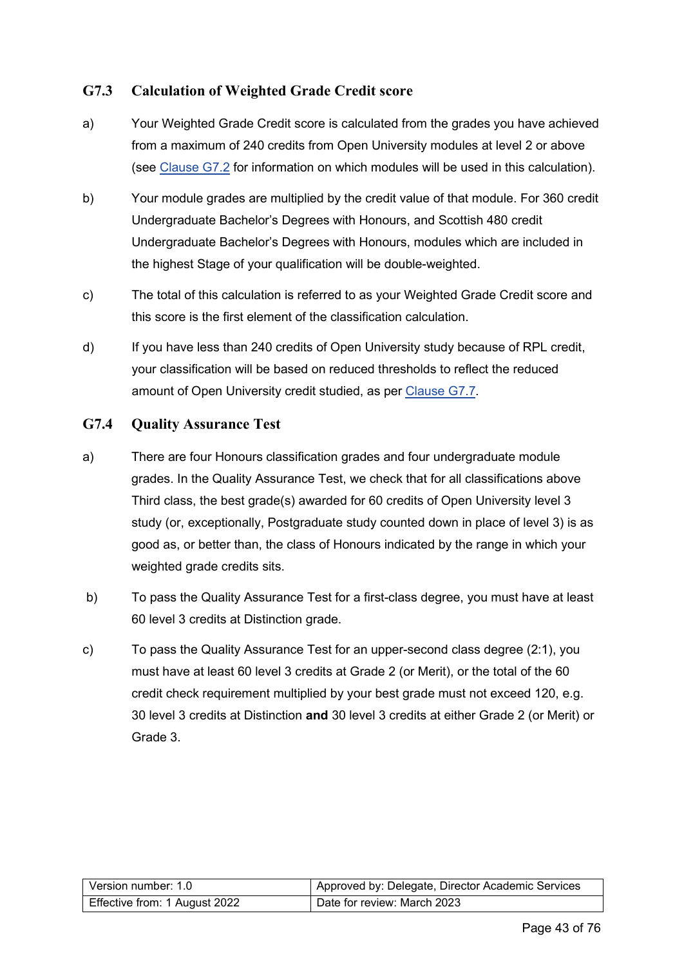#### <span id="page-42-0"></span>**G7.3 Calculation of Weighted Grade Credit score**

- a) Your Weighted Grade Credit score is calculated from the grades you have achieved from a maximum of 240 credits from Open University modules at level 2 or above (see [Clause G7.2](#page-40-0) for information on which modules will be used in this calculation).
- b) Your module grades are multiplied by the credit value of that module. For 360 credit Undergraduate Bachelor's Degrees with Honours, and Scottish 480 credit Undergraduate Bachelor's Degrees with Honours, modules which are included in the highest Stage of your qualification will be double-weighted.
- c) The total of this calculation is referred to as your Weighted Grade Credit score and this score is the first element of the classification calculation.
- d) If you have less than 240 credits of Open University study because of RPL credit, your classification will be based on reduced thresholds to reflect the reduced amount of Open University credit studied, as per [Clause G7.7.](#page-46-0)

#### <span id="page-42-1"></span>**G7.4 Quality Assurance Test**

- a) There are four Honours classification grades and four undergraduate module grades. In the Quality Assurance Test, we check that for all classifications above Third class, the best grade(s) awarded for 60 credits of Open University level 3 study (or, exceptionally, Postgraduate study counted down in place of level 3) is as good as, or better than, the class of Honours indicated by the range in which your weighted grade credits sits.
- b) To pass the Quality Assurance Test for a first-class degree, you must have at least 60 level 3 credits at Distinction grade.
- c) To pass the Quality Assurance Test for an upper-second class degree (2:1), you must have at least 60 level 3 credits at Grade 2 (or Merit), or the total of the 60 credit check requirement multiplied by your best grade must not exceed 120, e.g. 30 level 3 credits at Distinction **and** 30 level 3 credits at either Grade 2 (or Merit) or Grade 3.

| Version number: 1.0           | Approved by: Delegate, Director Academic Services |
|-------------------------------|---------------------------------------------------|
| Effective from: 1 August 2022 | Date for review: March 2023                       |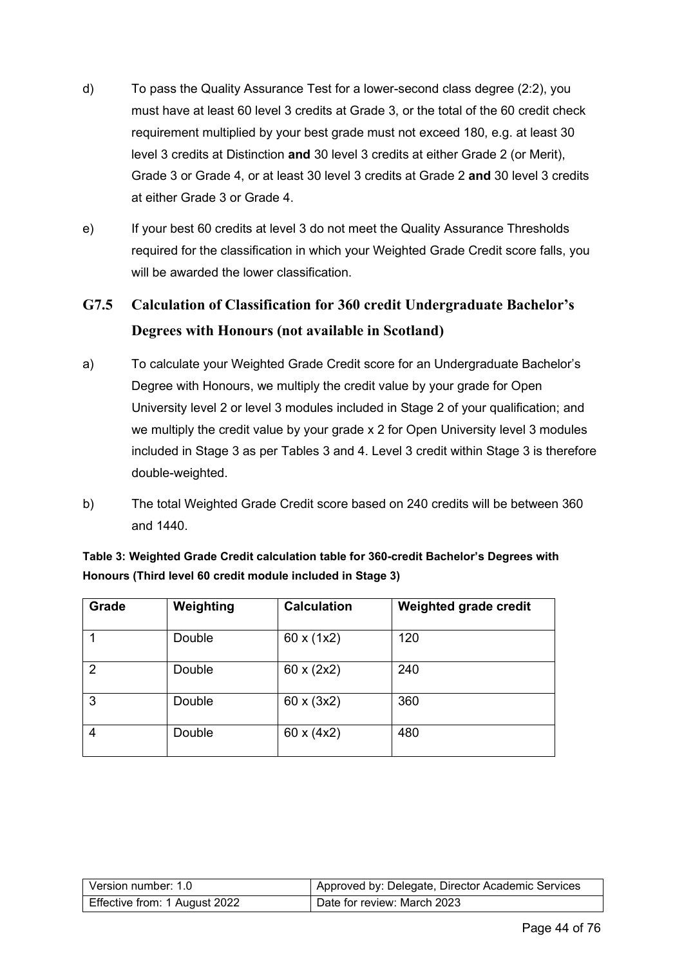- If you do not achieve the credit required for your qualification within the set Open  $e)$ University time limit, you will not normally be eligible to be awarded the qualification. You may be eligible for any other qualification that you meet the requirements for within the time limit applicable to that other qualification.
- $f$ ) If you are counting an award of RPL credit within your qualification, you should refer to the additional information about time limits based upon the amount of credit still to complete as detailed in Table 1 in Section F of these Regulations.
- $q)$ Apprenticeship time limits take precedence over any other Open University academic time limits as described in Section G6. Module study for a qualification outside of the Apprenticeship Programme and Planned Start and End Dates, and independent of the Employer will incur fee liability (as defined within The Open University Fee Rules) and you would be subject to all other regulations applicable to Open University Students.

#### **Classification fHonoursDegrees**  $G7$

- Undergraduate Bachelor's degrees with Honours, and Scottish 480 credit a) Undergraduate Bachelor's degrees with Honours are awarded with a classification. The classes of Honours which will be awarded are:
	- first class  $\mathsf{x}$
	- upper second class (2:1)  $\mathsf{x}$
	- lower second class (2:2)  $\mathsf{x}$
	- third class  $\mathbf{x}$
- b) No other undergraduate qualifications are classified.

| l Version number: 1.0         | Approved by: Delegate, Director Academic Services |
|-------------------------------|---------------------------------------------------|
| Effective from: 1 August 2022 | Date for review: March 2023                       |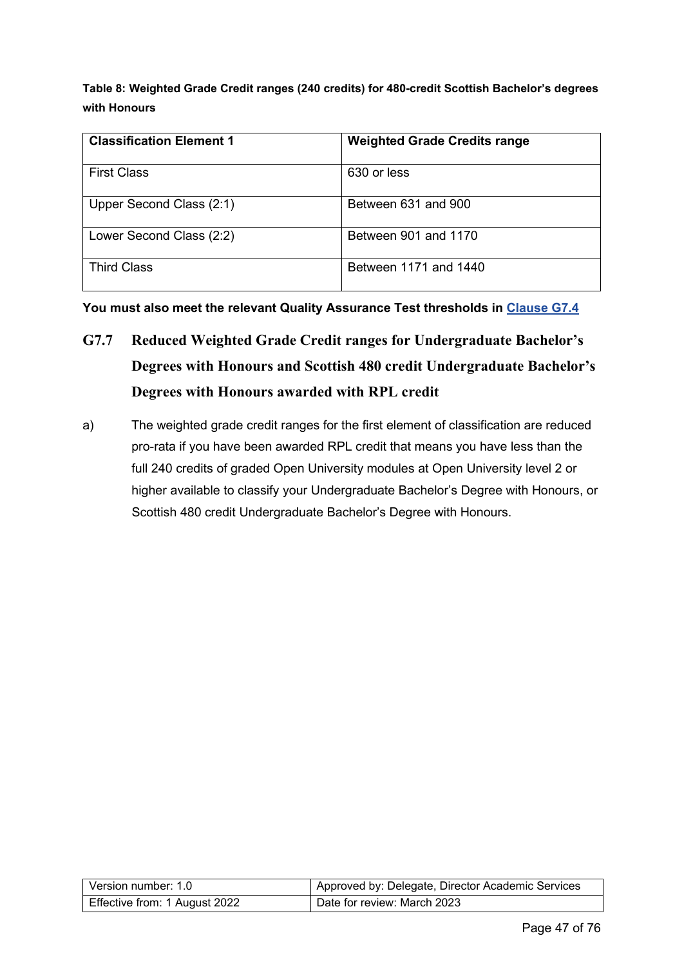**Table 8: Weighted Grade Credit ranges (240 credits) for 480-credit Scottish Bachelor's degrees with Honours**

| <b>Classification Element 1</b> | <b>Weighted Grade Credits range</b> |
|---------------------------------|-------------------------------------|
| <b>First Class</b>              | 630 or less                         |
| Upper Second Class (2:1)        | Between 631 and 900                 |
| Lower Second Class (2:2)        | Between 901 and 1170                |
| <b>Third Class</b>              | Between 1171 and 1440               |

**You must also meet the relevant Quality Assurance Test thresholds in [Clause G7.4](#page-42-1)**

- <span id="page-46-0"></span>**G7.7 Reduced Weighted Grade Credit ranges for Undergraduate Bachelor's Degrees with Honours and Scottish 480 credit Undergraduate Bachelor's Degrees with Honours awarded with RPL credit**
- a) The weighted grade credit ranges for the first element of classification are reduced pro-rata if you have been awarded RPL credit that means you have less than the full 240 credits of graded Open University modules at Open University level 2 or higher available to classify your Undergraduate Bachelor's Degree with Honours, or Scottish 480 credit Undergraduate Bachelor's Degree with Honours.

| l Version number: 1.0         | Approved by: Delegate, Director Academic Services |
|-------------------------------|---------------------------------------------------|
| Effective from: 1 August 2022 | Date for review: March 2023                       |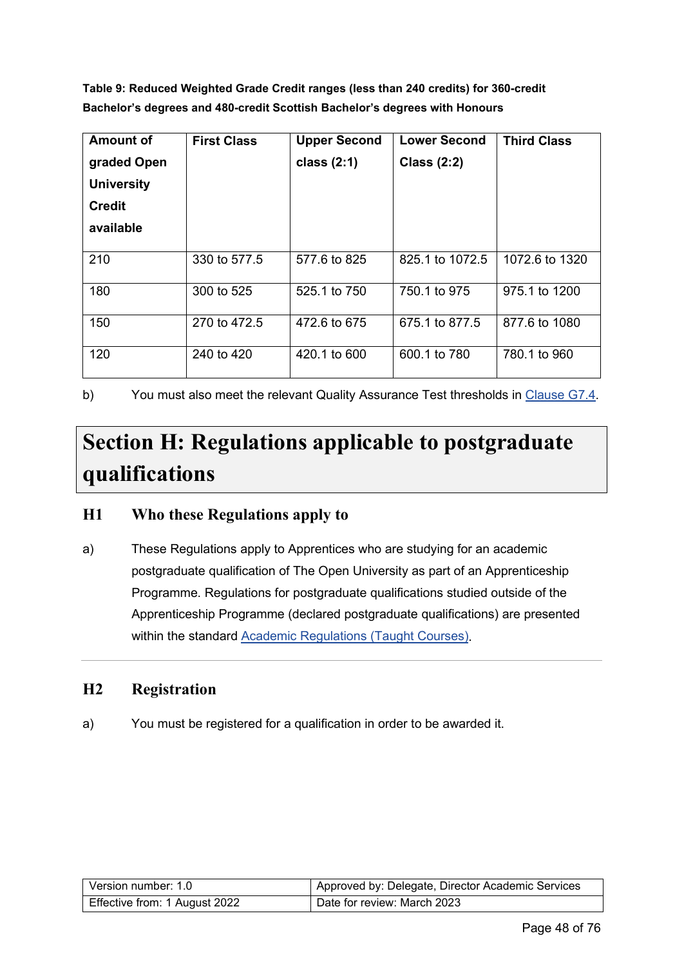**Table 9: Reduced Weighted Grade Credit ranges (less than 240 credits) for 360-credit Bachelor's degrees and 480-credit Scottish Bachelor's degrees with Honours**

| <b>Amount of</b><br>graded Open<br><b>University</b><br><b>Credit</b><br>available | <b>First Class</b> | <b>Upper Second</b><br>class $(2:1)$ | <b>Lower Second</b><br><b>Class (2:2)</b> | <b>Third Class</b> |
|------------------------------------------------------------------------------------|--------------------|--------------------------------------|-------------------------------------------|--------------------|
| 210                                                                                | 330 to 577.5       | 577.6 to 825                         | 825.1 to 1072.5                           | 1072.6 to 1320     |
| 180                                                                                | 300 to 525         | 525.1 to 750                         | 750.1 to 975                              | 975.1 to 1200      |
| 150                                                                                | 270 to 472.5       | 472.6 to 675                         | 675.1 to 877.5                            | 877.6 to 1080      |
| 120                                                                                | 240 to 420         | 420.1 to 600                         | 600.1 to 780                              | 780.1 to 960       |

b) You must also meet the relevant Quality Assurance Test thresholds in [Clause G7.4.](#page-42-1)

# **Section H: Regulations applicable to postgraduate qualifications**

### **H1 Who these Regulations apply to**

a) These Regulations apply to Apprentices who are studying for an academic postgraduate qualification of The Open University as part of an Apprenticeship Programme. Regulations for postgraduate qualifications studied outside of the Apprenticeship Programme (declared postgraduate qualifications) are presented within the standard Academic [Regulations](https://help.open.ac.uk/documents/policies/academic-regulations) (Taught Courses).

#### **H2 Registration**

a) You must be registered for a qualification in order to be awarded it.

| Version number: 1.0           | Approved by: Delegate, Director Academic Services |
|-------------------------------|---------------------------------------------------|
| Effective from: 1 August 2022 | Date for review: March 2023                       |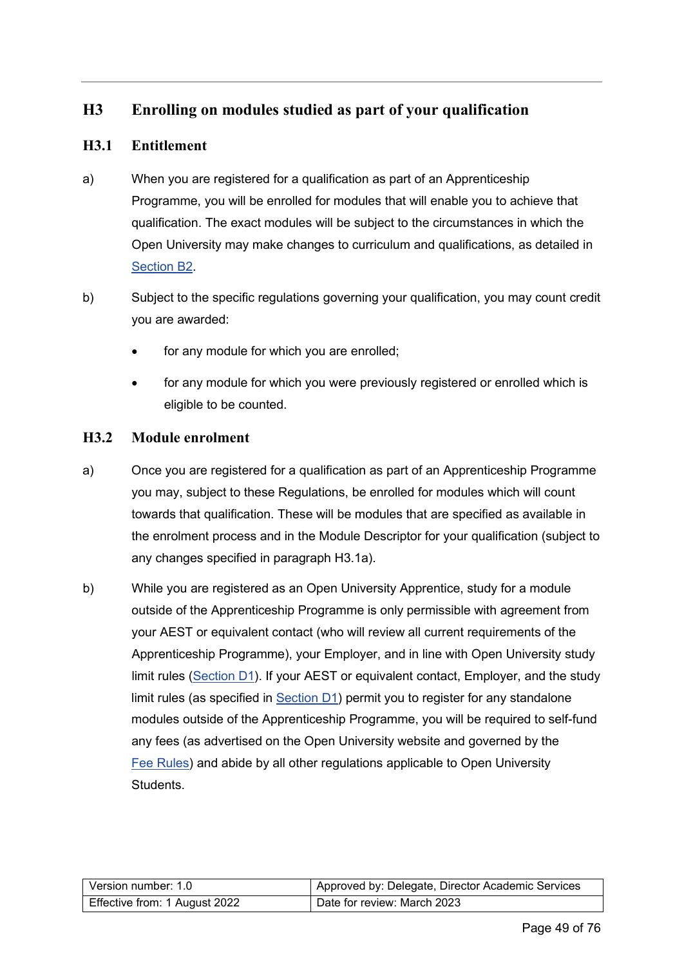#### $G6$ Time limits for completion of apprenticeship qualifications

- Your Funding Provider will set rules which restrict your flexibility to study towards a) qualifications over an extended period of time. As an Apprentice, the Apprenticeship Programme will have a Planned Start and End Date to ensure compliance with rules or guidance set by your Funding Provider and the appropriate Apprenticeship Standard related to your programme (in England), or Apprenticeship Framework (in Scotland).
- $b)$ You must complete your apprenticeship (including the qualification) within this Apprenticeship Duration unless additional arrangements have been agreed under exceptional circumstances with your Employer and AEST or equivalent contact, and with the permission of your Funding Provider if required (see Sections G5 and Section H5 for further details). Further details on where to find your Apprenticeship Duration/ Planned Start and End Dates are listed within the "Apprenticeship Duration/ Planned Start and End Dates" definition of the Glossary of Terms. Your planned Apprenticeship Duration and Planned Start and End Dates take precedence over any other Open University academic time limits.

#### $G6.1$ **Open University academic time limits**

- Although the planned Apprenticeship Duration takes precedence over all other time  $a)$ limits, The Open University also specifies academic time limits under which all registered qualifications must be completed to ensure coherence of academic study, external credibility and satisfactory academic progress.
- b) Unless the specific regulations for your apprenticeship qualification state otherwise, the time limit within which you must complete your qualification starts at the earliest  $of:$ 
	- $(i)$ the start date of the first module. This includes any modules that you fail, defer or withdraw from; or
	- if you are counting Open University credit that was awarded prior to  $(ii)$ registration for the qualification, the start date of the earliest module for which you are counting credit; or

| Version number: 1.0           | Approved by: Delegate, Director Academic Services |
|-------------------------------|---------------------------------------------------|
| Effective from: 1 August 2022 | Date for review: March 2023                       |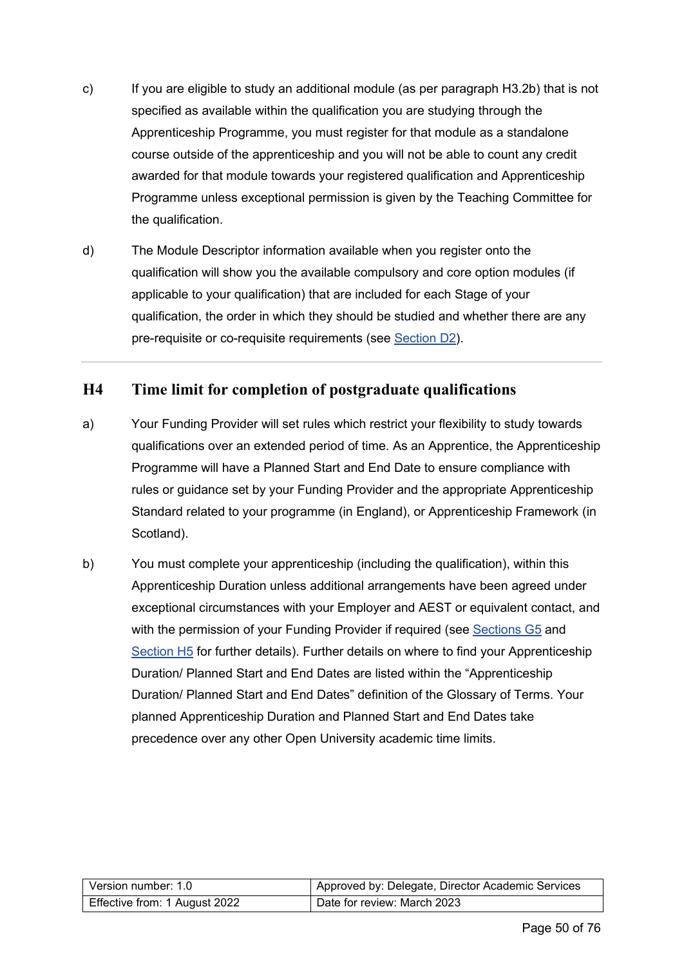- c) If you are eligible to study an additional module (as per paragraph H3.2b) that is not specified as available within the qualification you are studying through the Apprenticeship Programme, you must register for that module as a standalone course outside of the apprenticeship and you will not be able to count any credit awarded for that module towards your registered qualification and Apprenticeship Programme unless exceptional permission is given by the Teaching Committee for the qualification.
- d) The Module Descriptor information available when you register onto the qualification will show you the available compulsory and core option modules (if applicable to your qualification) that are included for each Stage of your qualification, the order in which they should be studied and whether there are any pre-requisite or co-requisite requirements (see [Section](#page-21-0) D2).

#### **H4 Time limit for completion of postgraduate qualifications**

- a) Your Funding Provider will set rules which restrict your flexibility to study towards qualifications over an extended period of time. As an Apprentice, the Apprenticeship Programme will have a Planned Start and End Date to ensure compliance with rules or guidance set by your Funding Provider and the appropriate Apprenticeship Standard related to your programme (in England), or Apprenticeship Framework (in Scotland).
- b) You must complete your apprenticeship (including the qualification), within this Apprenticeship Duration unless additional arrangements have been agreed under exceptional circumstances with your Employer and AEST or equivalent contact, and with the permission of your Funding Provider if required (see [Sections](#page-37-0) G5 and [Section H5](#page-51-0) for further details). Further details on where to find your Apprenticeship Duration/ Planned Start and End Dates are listed within the "Apprenticeship Duration/ Planned Start and End Dates" definition of the Glossary of Terms. Your planned Apprenticeship Duration and Planned Start and End Dates take precedence over any other Open University academic time limits.

| l Version number: 1.0         | Approved by: Delegate, Director Academic Services |
|-------------------------------|---------------------------------------------------|
| Effective from: 1 August 2022 | Date for review: March 2023                       |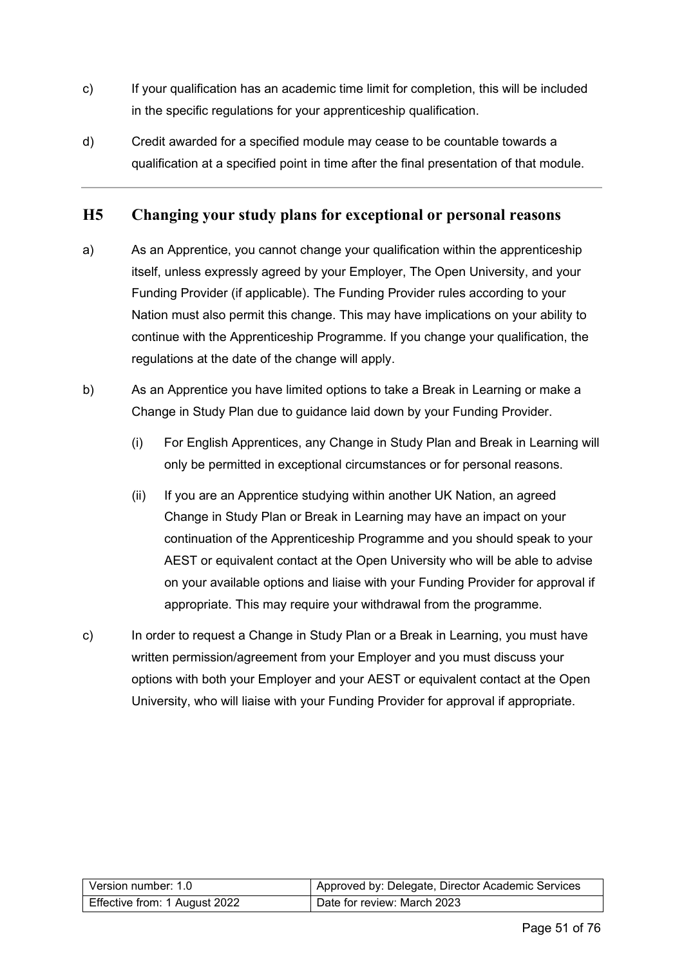- c) If your qualification has an academic time limit for completion, this will be included in the specific regulations for your apprenticeship qualification.
- d) Credit awarded for a specified module may cease to be countable towards a qualification at a specified point in time after the final presentation of that module.

#### **H5 Changing your study plans for exceptional or personal reasons**

- a) As an Apprentice, you cannot change your qualification within the apprenticeship itself, unless expressly agreed by your Employer, The Open University, and your Funding Provider (if applicable). The Funding Provider rules according to your Nation must also permit this change. This may have implications on your ability to continue with the Apprenticeship Programme. If you change your qualification, the regulations at the date of the change will apply.
- b) As an Apprentice you have limited options to take a Break in Learning or make a Change in Study Plan due to guidance laid down by your Funding Provider.
	- (i) For English Apprentices, any Change in Study Plan and Break in Learning will only be permitted in exceptional circumstances or for personal reasons.
	- (ii) If you are an Apprentice studying within another UK Nation, an agreed Change in Study Plan or Break in Learning may have an impact on your continuation of the Apprenticeship Programme and you should speak to your AEST or equivalent contact at the Open University who will be able to advise on your available options and liaise with your Funding Provider for approval if appropriate. This may require your withdrawal from the programme.
- c) In order to request a Change in Study Plan or a Break in Learning, you must have written permission/agreement from your Employer and you must discuss your options with both your Employer and your AEST or equivalent contact at the Open University, who will liaise with your Funding Provider for approval if appropriate.

| l Version number: 1.0_        | Approved by: Delegate, Director Academic Services |
|-------------------------------|---------------------------------------------------|
| Effective from: 1 August 2022 | Date for review: March 2023                       |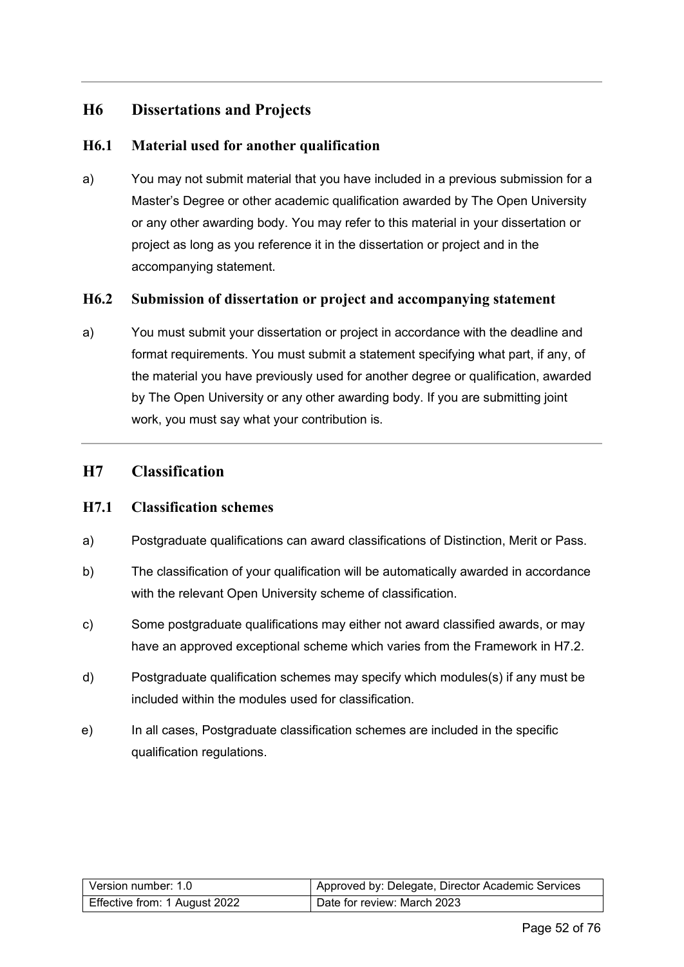### **H6 Dissertations and Projects**

#### <span id="page-51-0"></span>**H6.1 Material used for another qualification**

a) You may not submit material that you have included in a previous submission for a Master's Degree or other academic qualification awarded by The Open University or any other awarding body. You may refer to this material in your dissertation or project as long as you reference it in the dissertation or project and in the accompanying statement.

#### **H6.2 Submission of dissertation or project and accompanying statement**

a) You must submit your dissertation or project in accordance with the deadline and format requirements. You must submit a statement specifying what part, if any, of the material you have previously used for another degree or qualification, awarded by The Open University or any other awarding body. If you are submitting joint work, you must say what your contribution is.

#### **H7 Classification**

#### **H7.1 Classification schemes**

- a) Postgraduate qualifications can award classifications of Distinction, Merit or Pass.
- b) The classification of your qualification will be automatically awarded in accordance with the relevant Open University scheme of classification.
- c) Some postgraduate qualifications may either not award classified awards, or may have an approved exceptional scheme which varies from the Framework in H7.2.
- d) Postgraduate qualification schemes may specify which modules(s) if any must be included within the modules used for classification.
- e) In all cases, Postgraduate classification schemes are included in the specific qualification regulations.

| Version number: 1.0           | Approved by: Delegate, Director Academic Services |
|-------------------------------|---------------------------------------------------|
| Effective from: 1 August 2022 | Date for review: March 2023                       |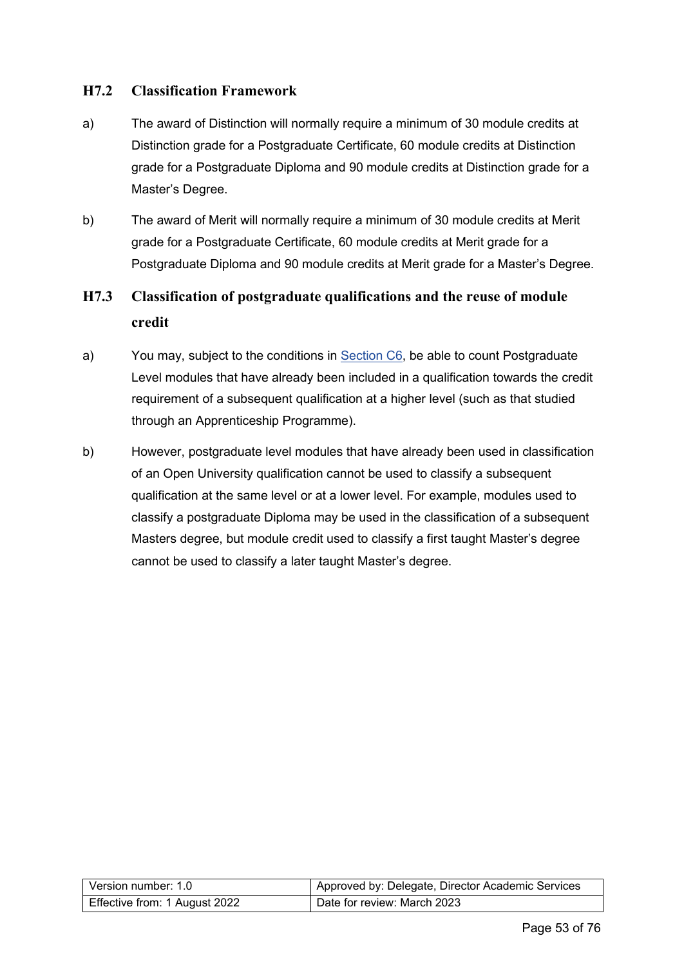#### **H7.2 Classification Framework**

- a) The award of Distinction will normally require a minimum of 30 module credits at Distinction grade for a Postgraduate Certificate, 60 module credits at Distinction grade for a Postgraduate Diploma and 90 module credits at Distinction grade for a Master's Degree.
- b) The award of Merit will normally require a minimum of 30 module credits at Merit grade for a Postgraduate Certificate, 60 module credits at Merit grade for a Postgraduate Diploma and 90 module credits at Merit grade for a Master's Degree.

## **H7.3 Classification of postgraduate qualifications and the reuse of module credit**

- a) You may, subject to the conditions in [Section](#page-19-0) C6, be able to count Postgraduate Level modules that have already been included in a qualification towards the credit requirement of a subsequent qualification at a higher level (such as that studied through an Apprenticeship Programme).
- b) However, postgraduate level modules that have already been used in classification of an Open University qualification cannot be used to classify a subsequent qualification at the same level or at a lower level. For example, modules used to classify a postgraduate Diploma may be used in the classification of a subsequent Masters degree, but module credit used to classify a first taught Master's degree cannot be used to classify a later taught Master's degree.

| Version number: 1.0           | Approved by: Delegate, Director Academic Services |
|-------------------------------|---------------------------------------------------|
| Effective from: 1 August 2022 | Date for review: March 2023                       |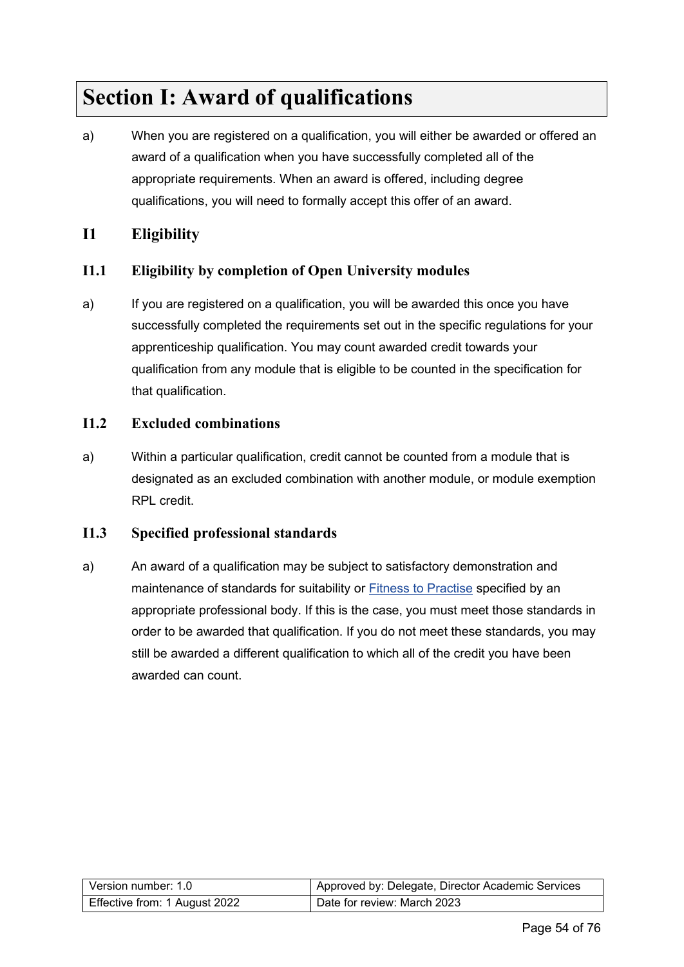# <span id="page-53-0"></span>**Section I: Award of qualifications**

a) When you are registered on a qualification, you will either be awarded or offered an award of a qualification when you have successfully completed all of the appropriate requirements. When an award is offered, including degree qualifications, you will need to formally accept this offer of an award.

### **I1 Eligibility**

#### **I1.1 Eligibility by completion of Open University modules**

a) If you are registered on a qualification, you will be awarded this once you have successfully completed the requirements set out in the specific regulations for your apprenticeship qualification. You may count awarded credit towards your qualification from any module that is eligible to be counted in the specification for that qualification.

#### **I1.2 Excluded combinations**

a) Within a particular qualification, credit cannot be counted from a module that is designated as an excluded combination with another module, or module exemption RPL credit.

#### **I1.3 Specified professional standards**

a) An award of a qualification may be subject to satisfactory demonstration and maintenance of standards for suitability or [Fitness to Practise](https://help.open.ac.uk/documents/policies/fitness-to-practise) specified by an appropriate professional body. If this is the case, you must meet those standards in order to be awarded that qualification. If you do not meet these standards, you may still be awarded a different qualification to which all of the credit you have been awarded can count.

| Version number: 1.0           | Approved by: Delegate, Director Academic Services |
|-------------------------------|---------------------------------------------------|
| Effective from: 1 August 2022 | Date for review: March 2023                       |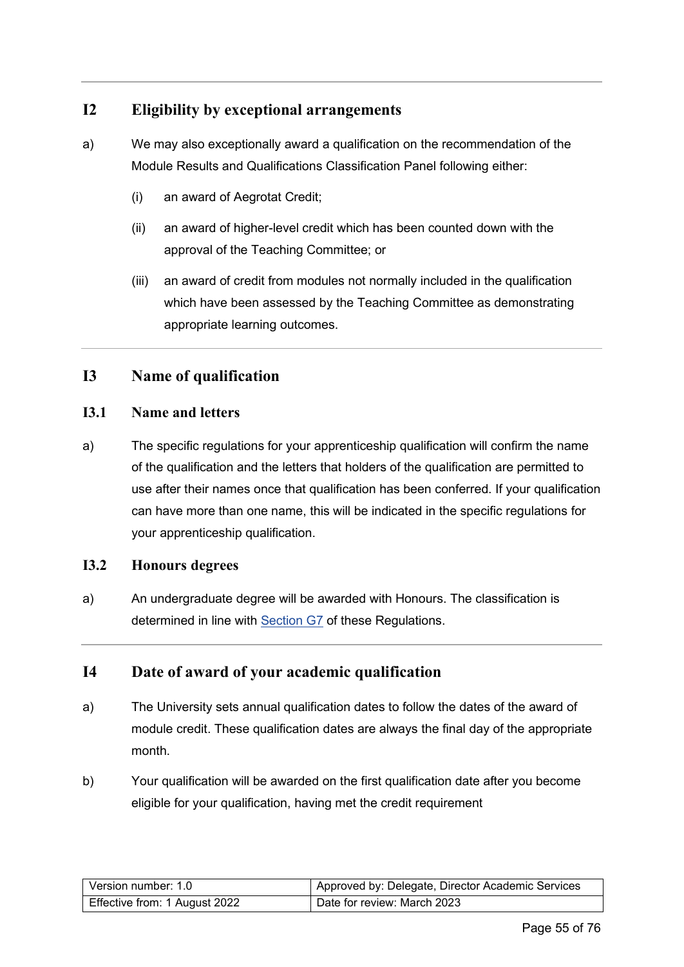### **I2 Eligibility by exceptional arrangements**

- a) We may also exceptionally award a qualification on the recommendation of the Module Results and Qualifications Classification Panel following either:
	- (i) an award of Aegrotat Credit;
	- (ii) an award of higher-level credit which has been counted down with the approval of the Teaching Committee; or
	- (iii) an award of credit from modules not normally included in the qualification which have been assessed by the Teaching Committee as demonstrating appropriate learning outcomes.

### **I3 Name of qualification**

#### **I3.1 Name and letters**

a) The specific regulations for your apprenticeship qualification will confirm the name of the qualification and the letters that holders of the qualification are permitted to use after their names once that qualification has been conferred. If your qualification can have more than one name, this will be indicated in the specific regulations for your apprenticeship qualification.

#### **I3.2 Honours degrees**

a) An undergraduate degree will be awarded with Honours. The classification is determined in line with [Section](#page-40-1) G7 of these Regulations.

### **I4 Date of award of your academic qualification**

- a) The University sets annual qualification dates to follow the dates of the award of module credit. These qualification dates are always the final day of the appropriate month.
- b) Your qualification will be awarded on the first qualification date after you become eligible for your qualification, having met the credit requirement

| Version number: 1.0           | Approved by: Delegate, Director Academic Services |
|-------------------------------|---------------------------------------------------|
| Effective from: 1 August 2022 | Date for review: March 2023                       |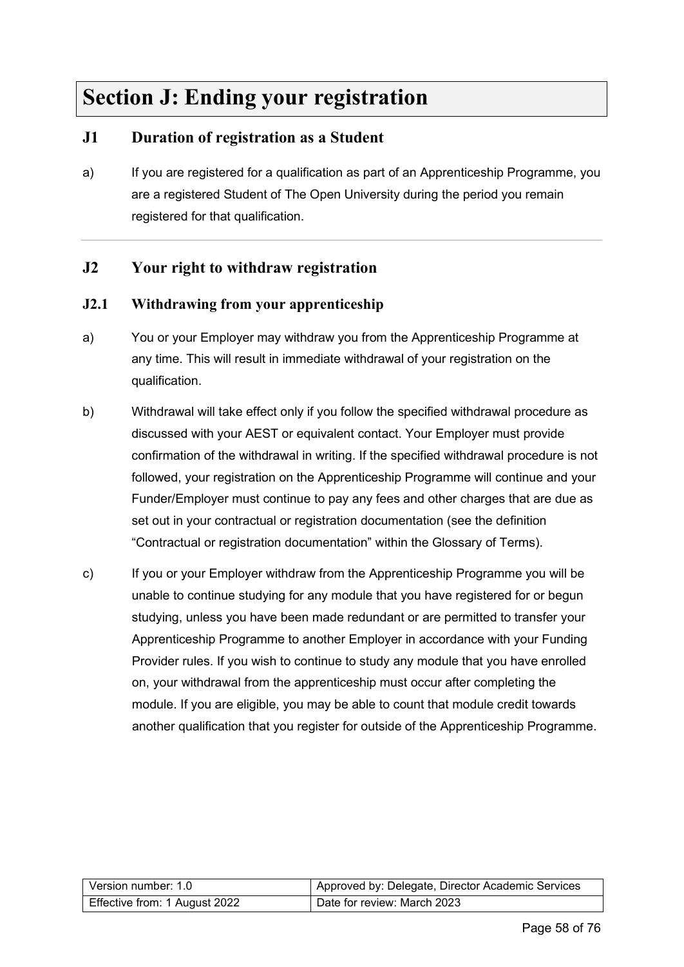# **Section J: Ending your registration**

#### **J1 Duration of registration as a Student**

a) If you are registered for a qualification as part of an Apprenticeship Programme, you are a registered Student of The Open University during the period you remain registered for that qualification.

#### **J2 Your right to withdraw registration**

#### **J2.1 Withdrawing from your apprenticeship**

- a) You or your Employer may withdraw you from the Apprenticeship Programme at any time. This will result in immediate withdrawal of your registration on the qualification.
- b) Withdrawal will take effect only if you follow the specified withdrawal procedure as discussed with your AEST or equivalent contact. Your Employer must provide confirmation of the withdrawal in writing. If the specified withdrawal procedure is not followed, your registration on the Apprenticeship Programme will continue and your Funder/Employer must continue to pay any fees and other charges that are due as set out in your contractual or registration documentation (see the definition "Contractual or registration documentation" within the Glossary of Terms).
- c) If you or your Employer withdraw from the Apprenticeship Programme you will be unable to continue studying for any module that you have registered for or begun studying, unless you have been made redundant or are permitted to transfer your Apprenticeship Programme to another Employer in accordance with your Funding Provider rules. If you wish to continue to study any module that you have enrolled on, your withdrawal from the apprenticeship must occur after completing the module. If you are eligible, you may be able to count that module credit towards another qualification that you register for outside of the Apprenticeship Programme.

| l Version number: 1.0         | Approved by: Delegate, Director Academic Services |
|-------------------------------|---------------------------------------------------|
| Effective from: 1 August 2022 | Date for review: March 2023                       |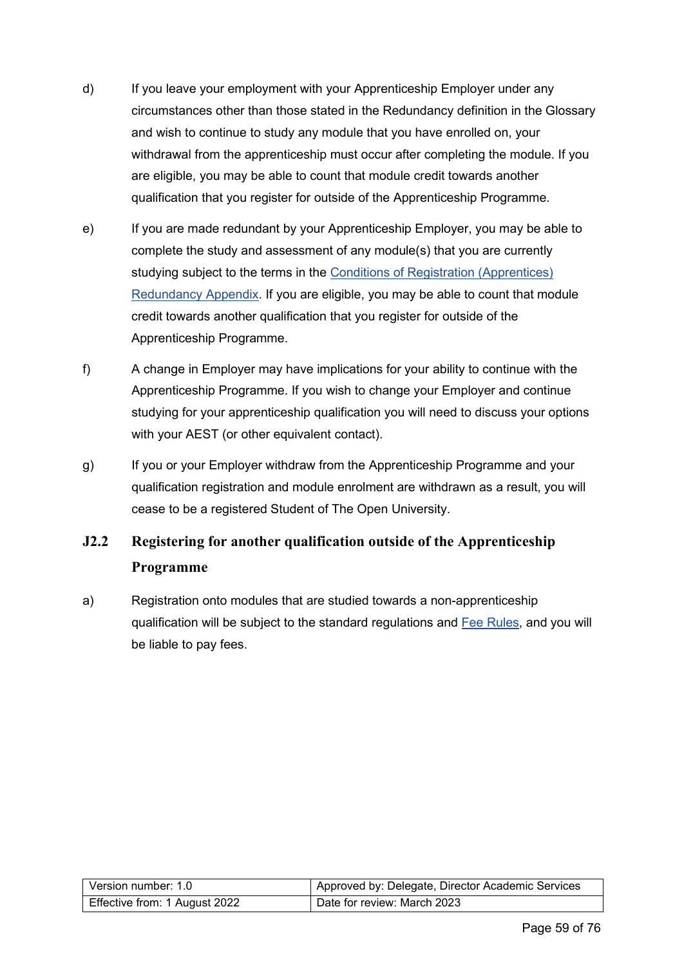- d) If you leave your employment with your Apprenticeship Employer under any circumstances other than those stated in the Redundancy definition in the Glossary and wish to continue to study any module that you have enrolled on, your withdrawal from the apprenticeship must occur after completing the module. If you are eligible, you may be able to count that module credit towards another qualification that you register for outside of the Apprenticeship Programme.
- e) If you are made redundant by your Apprenticeship Employer, you may be able to complete the study and assessment of any module(s) that you are currently studying subject to the terms in the [Conditions of Registration \(Apprentices\)](https://help.open.ac.uk/documents/policies/conditions-of-registration-apprentices)  [Redundancy Appendix.](https://help.open.ac.uk/documents/policies/conditions-of-registration-apprentices) If you are eligible, you may be able to count that module credit towards another qualification that you register for outside of the Apprenticeship Programme.
- f) A change in Employer may have implications for your ability to continue with the Apprenticeship Programme. If you wish to change your Employer and continue studying for your apprenticeship qualification you will need to discuss your options with your AEST (or other equivalent contact).
- g) If you or your Employer withdraw from the Apprenticeship Programme and your qualification registration and module enrolment are withdrawn as a result, you will cease to be a registered Student of The Open University.

## **J2.2 Registering for another qualification outside of the Apprenticeship Programme**

a) Registration onto modules that are studied towards a non-apprenticeship qualification will be subject to the standard regulations and [Fee Rules,](https://help.open.ac.uk/documents/policies/fee-rules) and you will be liable to pay fees.

| l Version number: 1.0         | Approved by: Delegate, Director Academic Services |
|-------------------------------|---------------------------------------------------|
| Effective from: 1 August 2022 | Date for review: March 2023                       |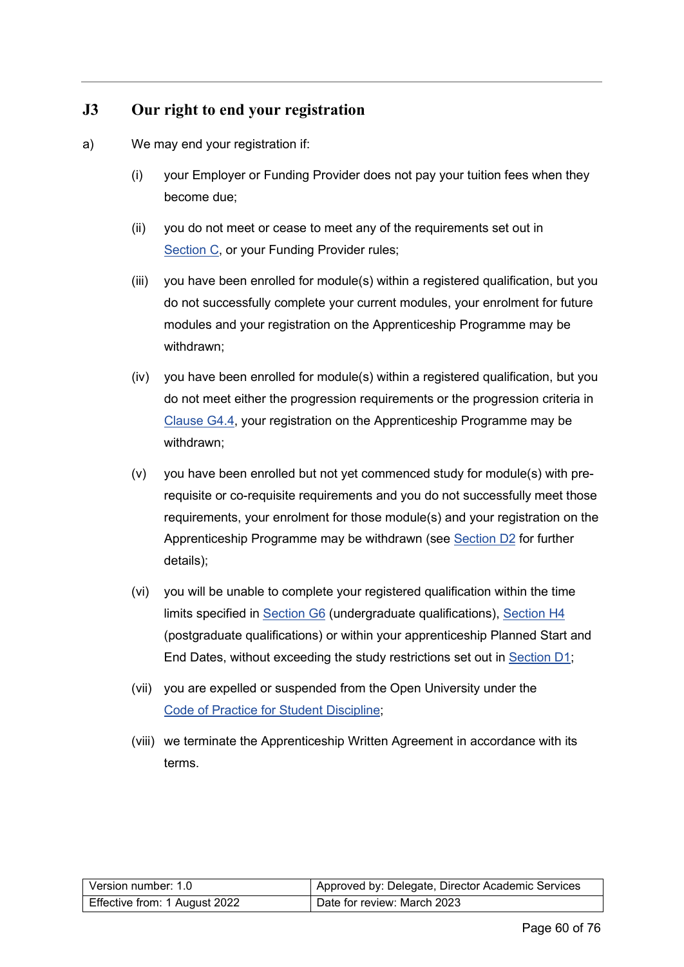### **J3 Our right to end your registration**

- a) We may end your registration if:
	- (i) your Employer or Funding Provider does not pay your tuition fees when they become due;
	- (ii) you do not meet or cease to meet any of the requirements set out in [Section C,](#page-15-0) or your Funding Provider rules;
	- (iii) you have been enrolled for module(s) within a registered qualification, but you do not successfully complete your current modules, your enrolment for future modules and your registration on the Apprenticeship Programme may be withdrawn;
	- (iv) you have been enrolled for module(s) within a registered qualification, but you do not meet either the progression requirements or the progression criteria in [Clause G4.4,](#page-34-0) your registration on the Apprenticeship Programme may be withdrawn;
	- (v) you have been enrolled but not yet commenced study for module(s) with prerequisite or co-requisite requirements and you do not successfully meet those requirements, your enrolment for those module(s) and your registration on the Apprenticeship Programme may be withdrawn (see [Section](#page-21-1) D2 for further details);
	- (vi) you will be unable to complete your registered qualification within the time limits specified in [Section](#page-37-0) G6 (undergraduate qualifications), [Section](#page-51-0) H4 (postgraduate qualifications) or within your apprenticeship Planned Start and End Dates, without exceeding the study restrictions set out in [Section D1;](#page-21-0)
	- (vii) you are expelled or suspended from the Open University under the Code [of Practice for](https://help.open.ac.uk/documents/policies/code-of-practice-student-discipline) Student Discipline;
	- (viii) we terminate the Apprenticeship Written Agreement in accordance with its terms.

| Version number: 1.0           | Approved by: Delegate, Director Academic Services |
|-------------------------------|---------------------------------------------------|
| Effective from: 1 August 2022 | Date for review: March 2023                       |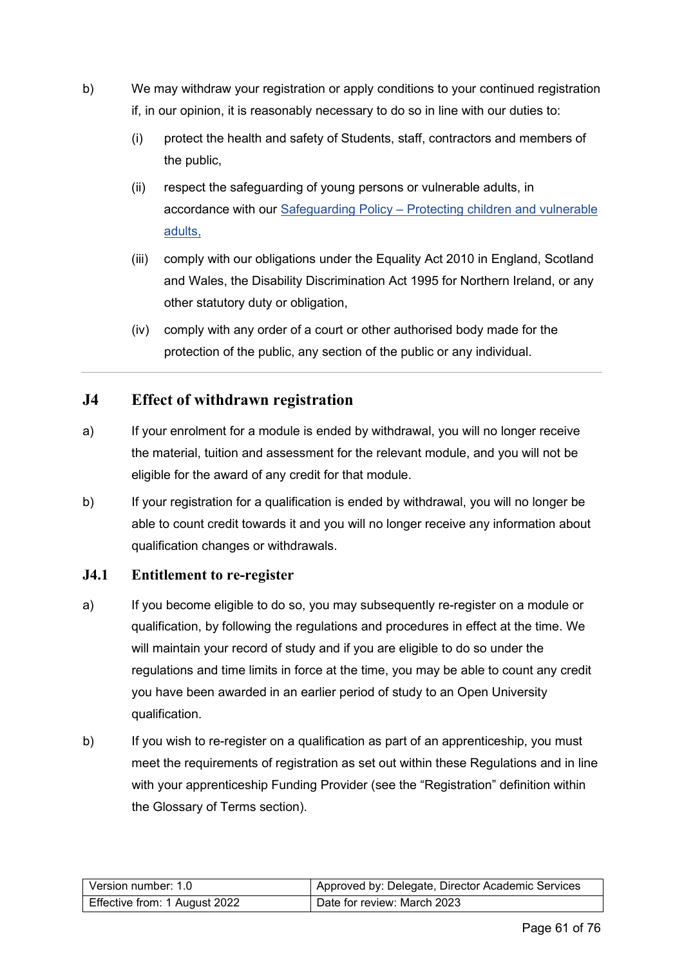- b) We may withdraw your registration or apply conditions to your continued registration if, in our opinion, it is reasonably necessary to do so in line with our duties to:
	- (i) protect the health and safety of Students, staff, contractors and members of the public,
	- (ii) respect the safeguarding of young persons or vulnerable adults, in accordance with our Safeguarding [Policy – Protecting](https://help.open.ac.uk/documents/policies/ensuring-the-safety-of-children-and-vulnerable-protected-adults) children and vulnerable [adults,](https://help.open.ac.uk/documents/policies/ensuring-the-safety-of-children-and-vulnerable-protected-adults)
	- (iii) comply with our obligations under the Equality Act 2010 in England, Scotland and Wales, the Disability Discrimination Act 1995 for Northern Ireland, or any other statutory duty or obligation,
	- (iv) comply with any order of a court or other authorised body made for the protection of the public, any section of the public or any individual.

#### **J4 Effect of withdrawn registration**

- a) If your enrolment for a module is ended by withdrawal, you will no longer receive the material, tuition and assessment for the relevant module, and you will not be eligible for the award of any credit for that module.
- b) If your registration for a qualification is ended by withdrawal, you will no longer be able to count credit towards it and you will no longer receive any information about qualification changes or withdrawals.

#### **J4.1 Entitlement to re-register**

- a) If you become eligible to do so, you may subsequently re-register on a module or qualification, by following the regulations and procedures in effect at the time. We will maintain your record of study and if you are eligible to do so under the regulations and time limits in force at the time, you may be able to count any credit you have been awarded in an earlier period of study to an Open University qualification.
- b) If you wish to re-register on a qualification as part of an apprenticeship, you must meet the requirements of registration as set out within these Regulations and in line with your apprenticeship Funding Provider (see the "Registration" definition within the Glossary of Terms section).

| l Version number: 1.0         | Approved by: Delegate, Director Academic Services |
|-------------------------------|---------------------------------------------------|
| Effective from: 1 August 2022 | Date for review: March 2023                       |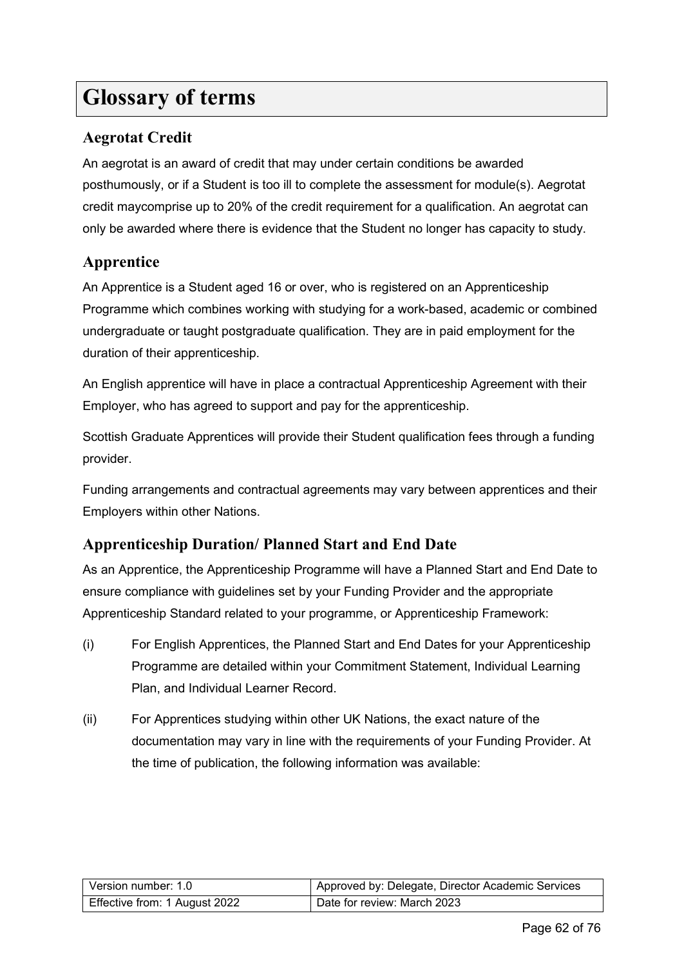# **Glossary of terms**

### **Aegrotat Credit**

An aegrotat is an award of credit that may under certain conditions be awarded posthumously, or if a Student is too ill to complete the assessment for module(s). Aegrotat credit maycomprise up to 20% of the credit requirement for a qualification. An aegrotat can only be awarded where there is evidence that the Student no longer has capacity to study.

### **Apprentice**

An Apprentice is a Student aged 16 or over, who is registered on an Apprenticeship Programme which combines working with studying for a work-based, academic or combined undergraduate or taught postgraduate qualification. They are in paid employment for the duration of their apprenticeship.

An English apprentice will have in place a contractual Apprenticeship Agreement with their Employer, who has agreed to support and pay for the apprenticeship.

Scottish Graduate Apprentices will provide their Student qualification fees through a funding provider.

Funding arrangements and contractual agreements may vary between apprentices and their Employers within other Nations.

### **Apprenticeship Duration/ Planned Start and End Date**

As an Apprentice, the Apprenticeship Programme will have a Planned Start and End Date to ensure compliance with guidelines set by your Funding Provider and the appropriate Apprenticeship Standard related to your programme, or Apprenticeship Framework:

- (i) For English Apprentices, the Planned Start and End Dates for your Apprenticeship Programme are detailed within your Commitment Statement, Individual Learning Plan, and Individual Learner Record.
- (ii) For Apprentices studying within other UK Nations, the exact nature of the documentation may vary in line with the requirements of your Funding Provider. At the time of publication, the following information was available:

| l Version number: 1.0         | Approved by: Delegate, Director Academic Services |
|-------------------------------|---------------------------------------------------|
| Effective from: 1 August 2022 | Date for review: March 2023                       |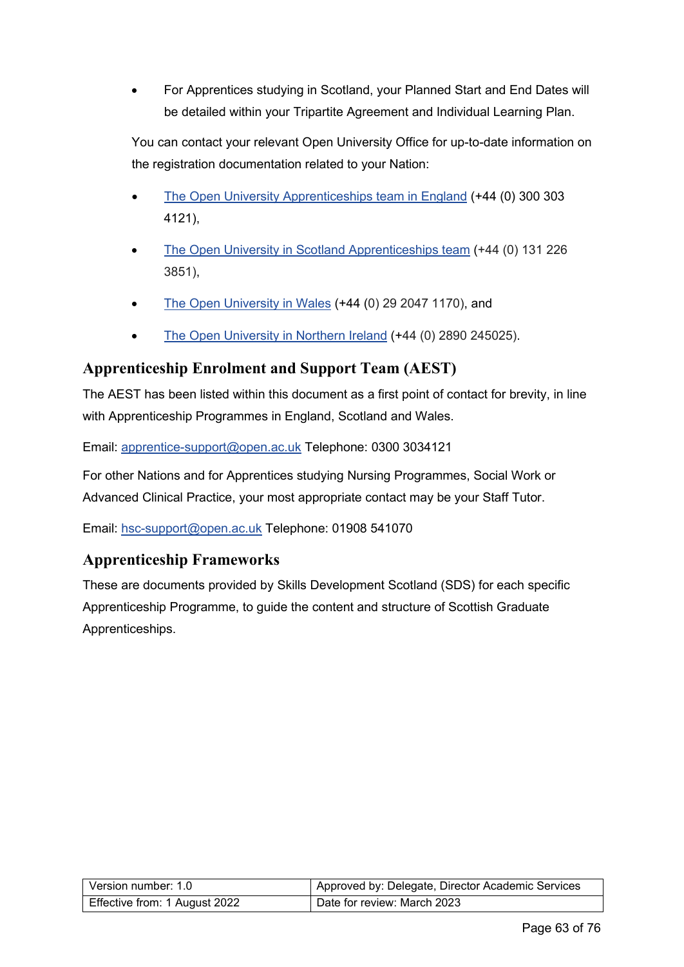• For Apprentices studying in Scotland, your Planned Start and End Dates will be detailed within your Tripartite Agreement and Individual Learning Plan.

You can contact your relevant Open University Office for up-to-date information on the registration documentation related to your Nation:

- The Open University [Apprenticeships](mailto:apprenticeships@open.ac.uk) team in England (+44 (0) 300 303 4121),
- [The Open University in Scotland Apprenticeships team](mailto:scotland-apprenticeships@open.ac.uk) (+44 (0) 131 226 3851),
- The Open [University](mailto:Wales-Support@open.ac.uk) in Wales (+44 (0) 29 2047 1170), and
- The Open [University](mailto:northernireland@open.ac.uk) in Northern Ireland (+44 (0) 2890 245025).

### **Apprenticeship Enrolment and Support Team (AEST)**

The AEST has been listed within this document as a first point of contact for brevity, in line with Apprenticeship Programmes in England, Scotland and Wales.

Email: [apprentice-support@open.ac.uk](mailto:apprentice-support@open.ac.uk) Telephone: 0300 3034121

For other Nations and for Apprentices studying Nursing Programmes, Social Work or Advanced Clinical Practice, your most appropriate contact may be your Staff Tutor.

Email: [hsc-support@open.ac.uk](mailto:hsc-support@open.ac.uk) Telephone: 01908 541070

### **Apprenticeship Frameworks**

These are documents provided by Skills Development Scotland (SDS) for each specific Apprenticeship Programme, to guide the content and structure of Scottish Graduate Apprenticeships.

| l Version number: 1.0         | Approved by: Delegate, Director Academic Services |
|-------------------------------|---------------------------------------------------|
| Effective from: 1 August 2022 | Date for review: March 2023                       |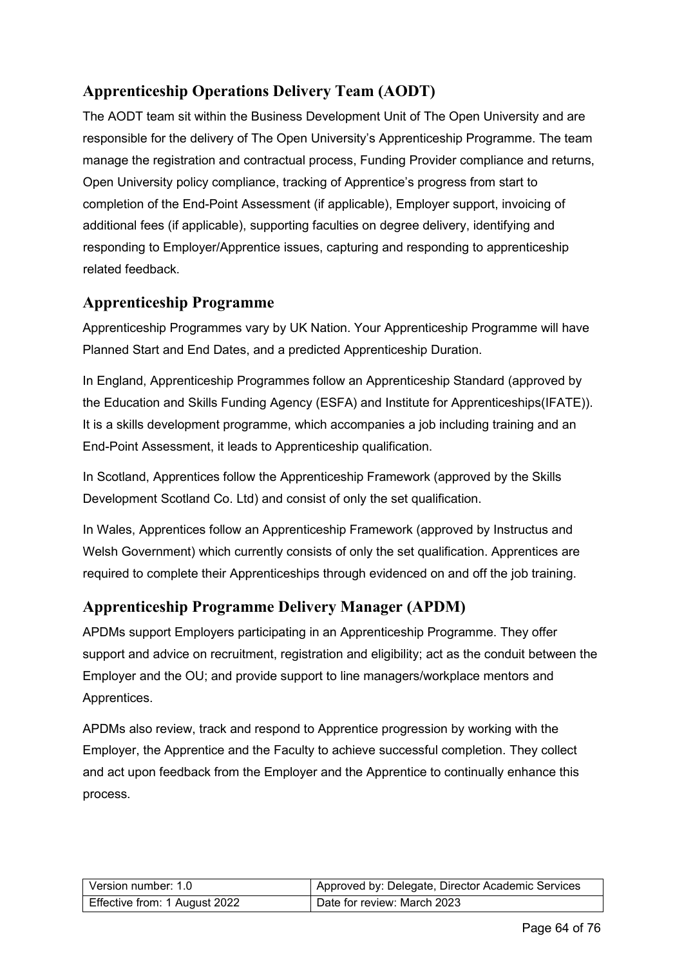## **Apprenticeship Operations Delivery Team (AODT)**

The AODT team sit within the Business Development Unit of The Open University and are responsible for the delivery of The Open University's Apprenticeship Programme. The team manage the registration and contractual process, Funding Provider compliance and returns, Open University policy compliance, tracking of Apprentice's progress from start to completion of the End-Point Assessment (if applicable), Employer support, invoicing of additional fees (if applicable), supporting faculties on degree delivery, identifying and responding to Employer/Apprentice issues, capturing and responding to apprenticeship related feedback.

### **Apprenticeship Programme**

Apprenticeship Programmes vary by UK Nation. Your Apprenticeship Programme will have Planned Start and End Dates, and a predicted Apprenticeship Duration.

In England, Apprenticeship Programmes follow an Apprenticeship Standard (approved by the Education and Skills Funding Agency (ESFA) and Institute for Apprenticeships(IFATE)). It is a skills development programme, which accompanies a job including training and an End-Point Assessment, it leads to Apprenticeship qualification.

In Scotland, Apprentices follow the Apprenticeship Framework (approved by the Skills Development Scotland Co. Ltd) and consist of only the set qualification.

In Wales, Apprentices follow an Apprenticeship Framework (approved by Instructus and Welsh Government) which currently consists of only the set qualification. Apprentices are required to complete their Apprenticeships through evidenced on and off the job training.

### **Apprenticeship Programme Delivery Manager (APDM)**

APDMs support Employers participating in an Apprenticeship Programme. They offer support and advice on recruitment, registration and eligibility; act as the conduit between the Employer and the OU; and provide support to line managers/workplace mentors and Apprentices.

APDMs also review, track and respond to Apprentice progression by working with the Employer, the Apprentice and the Faculty to achieve successful completion. They collect and act upon feedback from the Employer and the Apprentice to continually enhance this process.

| l Version number: 1.0         | Approved by: Delegate, Director Academic Services |
|-------------------------------|---------------------------------------------------|
| Effective from: 1 August 2022 | Date for review: March 2023                       |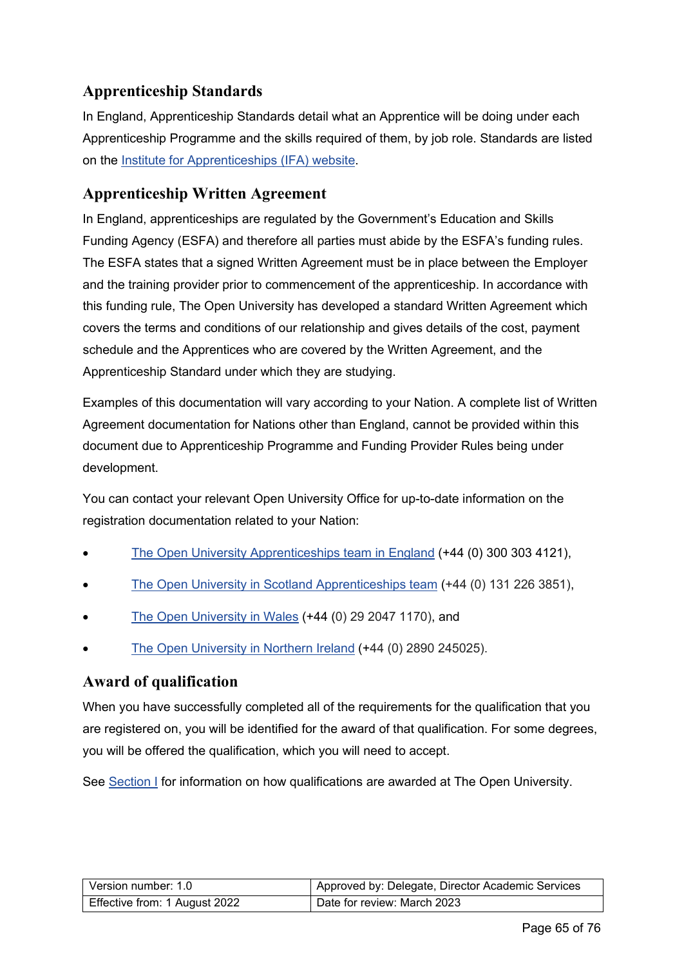### **Apprenticeship Standards**

In England, Apprenticeship Standards detail what an Apprentice will be doing under each Apprenticeship Programme and the skills required of them, by job role. Standards are listed on the Institute for [Apprenticeships](https://www.instituteforapprenticeships.org/apprenticeship-standards/) (IFA) website.

### **Apprenticeship Written Agreement**

In England, apprenticeships are regulated by the Government's Education and Skills Funding Agency (ESFA) and therefore all parties must abide by the ESFA's funding rules. The ESFA states that a signed Written Agreement must be in place between the Employer and the training provider prior to commencement of the apprenticeship. In accordance with this funding rule, The Open University has developed a standard Written Agreement which covers the terms and conditions of our relationship and gives details of the cost, payment schedule and the Apprentices who are covered by the Written Agreement, and the Apprenticeship Standard under which they are studying.

Examples of this documentation will vary according to your Nation. A complete list of Written Agreement documentation for Nations other than England, cannot be provided within this document due to Apprenticeship Programme and Funding Provider Rules being under development.

You can contact your relevant Open University Office for up-to-date information on the registration documentation related to your Nation:

- The Open University [Apprenticeships](mailto:apprenticeships@open.ac.uk) team in England (+44 (0) 300 303 4121),
- [The Open University in Scotland Apprenticeships team](mailto:scotland-apprenticeships@open.ac.uk) (+44 (0) 131 226 3851),
- The Open [University](mailto:Wales-Support@open.ac.uk) in Wales (+44 (0) 29 2047 1170), and
- The Open [University](mailto:northernireland@open.ac.uk) in Northern Ireland (+44 (0) 2890 245025).

#### **Award of qualification**

When you have successfully completed all of the requirements for the qualification that you are registered on, you will be identified for the award of that qualification. For some degrees, you will be offered the qualification, which you will need to accept.

See [Section I](#page-53-0) for information on how qualifications are awarded at The Open University.

| l Version number: 1.0         | Approved by: Delegate, Director Academic Services |
|-------------------------------|---------------------------------------------------|
| Effective from: 1 August 2022 | Date for review: March 2023                       |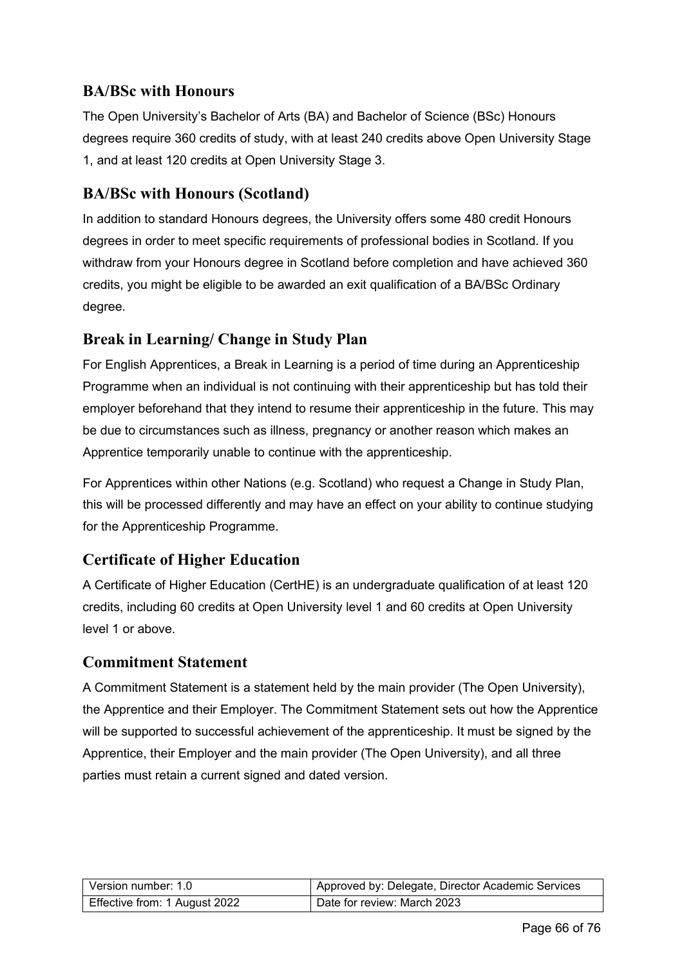### **BA/BSc with Honours**

The Open University's Bachelor of Arts (BA) and Bachelor of Science (BSc) Honours degrees require 360 credits of study, with at least 240 credits above Open University Stage 1, and at least 120 credits at Open University Stage 3.

### **BA/BSc with Honours (Scotland)**

In addition to standard Honours degrees, the University offers some 480 credit Honours degrees in order to meet specific requirements of professional bodies in Scotland. If you withdraw from your Honours degree in Scotland before completion and have achieved 360 credits, you might be eligible to be awarded an exit qualification of a BA/BSc Ordinary degree.

### **Break in Learning/ Change in Study Plan**

For English Apprentices, a Break in Learning is a period of time during an Apprenticeship Programme when an individual is not continuing with their apprenticeship but has told their employer beforehand that they intend to resume their apprenticeship in the future. This may be due to circumstances such as illness, pregnancy or another reason which makes an Apprentice temporarily unable to continue with the apprenticeship.

For Apprentices within other Nations (e.g. Scotland) who request a Change in Study Plan, this will be processed differently and may have an effect on your ability to continue studying for the Apprenticeship Programme.

### **Certificate of Higher Education**

A Certificate of Higher Education (CertHE) is an undergraduate qualification of at least 120 credits, including 60 credits at Open University level 1 and 60 credits at Open University level 1 or above.

### **Commitment Statement**

A Commitment Statement is a statement held by the main provider (The Open University), the Apprentice and their Employer. The Commitment Statement sets out how the Apprentice will be supported to successful achievement of the apprenticeship. It must be signed by the Apprentice, their Employer and the main provider (The Open University), and all three parties must retain a current signed and dated version.

| l Version number: 1.0         | Approved by: Delegate, Director Academic Services |
|-------------------------------|---------------------------------------------------|
| Effective from: 1 August 2022 | Date for review: March 2023                       |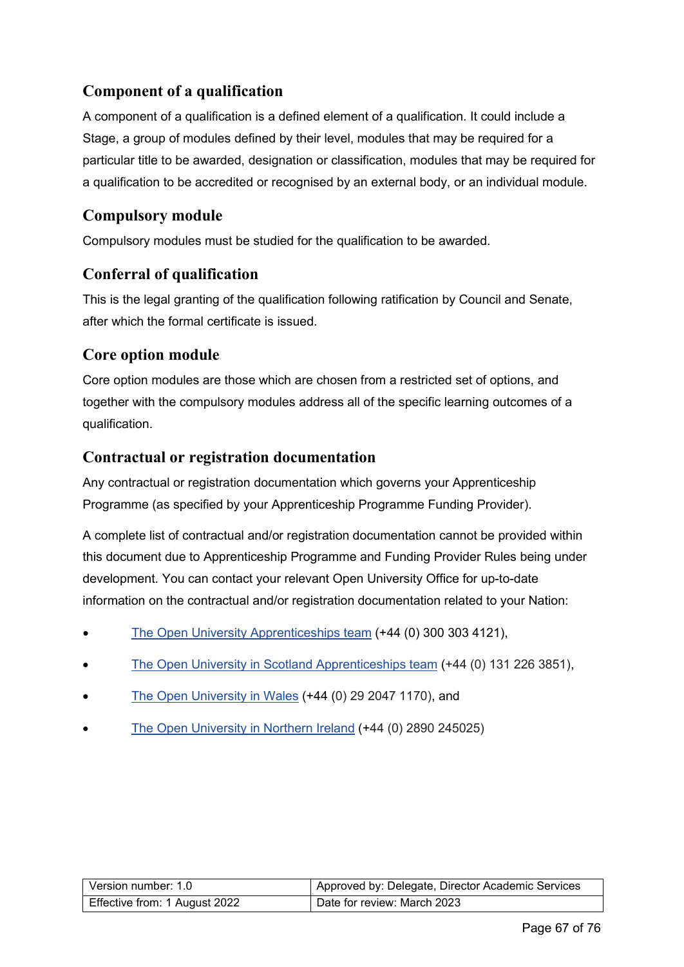### **Component of a qualification**

A component of a qualification is a defined element of a qualification. It could include a Stage, a group of modules defined by their level, modules that may be required for a particular title to be awarded, designation or classification, modules that may be required for a qualification to be accredited or recognised by an external body, or an individual module.

### **Compulsory module**

Compulsory modules must be studied for the qualification to be awarded.

### **Conferral of qualification**

This is the legal granting of the qualification following ratification by Council and Senate, after which the formal certificate is issued.

### **Core option module**

Core option modules are those which are chosen from a restricted set of options, and together with the compulsory modules address all of the specific learning outcomes of a qualification.

#### **Contractual or registration documentation**

Any contractual or registration documentation which governs your Apprenticeship Programme (as specified by your Apprenticeship Programme Funding Provider).

A complete list of contractual and/or registration documentation cannot be provided within this document due to Apprenticeship Programme and Funding Provider Rules being under development. You can contact your relevant Open University Office for up-to-date information on the contractual and/or registration documentation related to your Nation:

- The Open University [Apprenticeships](mailto:apprenticeships@open.ac.uk) team (+44 (0) 300 303 4121),
- [The Open University in Scotland Apprenticeships team](mailto:scotland-apprenticeships@open.ac.uk) (+44 (0) 131 226 3851),
- The Open [University](mailto:Wales-Support@open.ac.uk) in Wales (+44 (0) 29 2047 1170), and
- The Open [University](mailto:northernireland@open.ac.uk) in Northern Ireland (+44 (0) 2890 245025)

| l Version number: 1.0         | Approved by: Delegate, Director Academic Services |
|-------------------------------|---------------------------------------------------|
| Effective from: 1 August 2022 | Date for review: March 2023                       |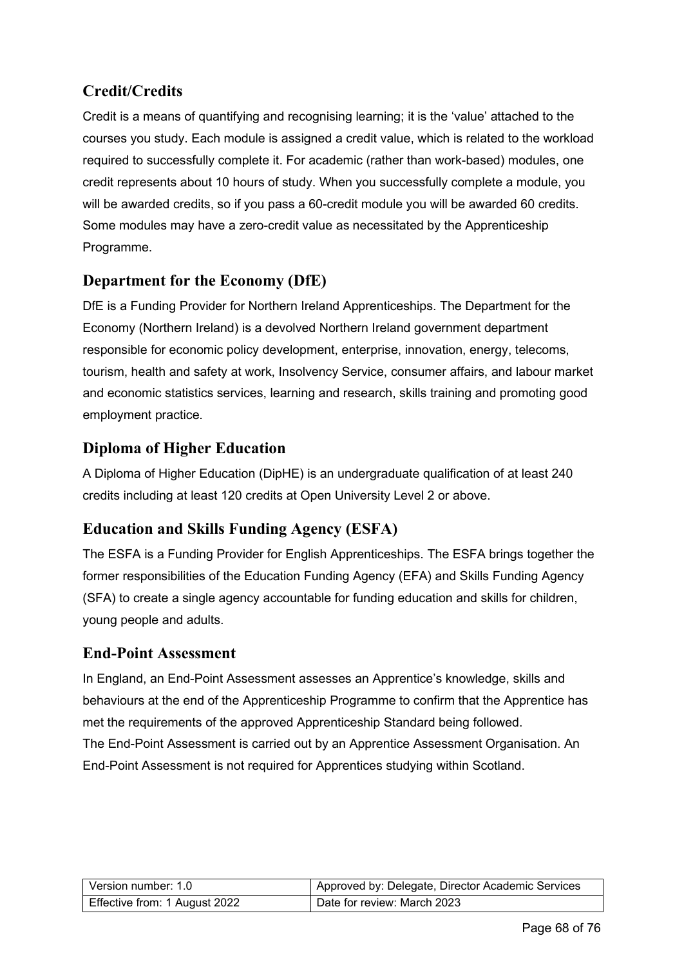## **Credit/Credits**

Credit is a means of quantifying and recognising learning; it is the 'value' attached to the courses you study. Each module is assigned a credit value, which is related to the workload required to successfully complete it. For academic (rather than work-based) modules, one credit represents about 10 hours of study. When you successfully complete a module, you will be awarded credits, so if you pass a 60-credit module you will be awarded 60 credits. Some modules may have a zero-credit value as necessitated by the Apprenticeship Programme.

### **Department for the Economy (DfE)**

DfE is a Funding Provider for Northern Ireland Apprenticeships. The Department for the Economy (Northern Ireland) is a devolved Northern Ireland government department responsible for economic policy development, enterprise, innovation, energy, telecoms, tourism, health and safety at work, Insolvency Service, consumer affairs, and labour market and economic statistics services, learning and research, skills training and promoting good employment practice.

### **Diploma of Higher Education**

A Diploma of Higher Education (DipHE) is an undergraduate qualification of at least 240 credits including at least 120 credits at Open University Level 2 or above.

## **Education and Skills Funding Agency (ESFA)**

The ESFA is a Funding Provider for English Apprenticeships. The ESFA brings together the former responsibilities of the Education Funding Agency (EFA) and Skills Funding Agency (SFA) to create a single agency accountable for funding education and skills for children, young people and adults.

### **End-Point Assessment**

In England, an End-Point Assessment assesses an Apprentice's knowledge, skills and behaviours at the end of the Apprenticeship Programme to confirm that the Apprentice has met the requirements of the approved Apprenticeship Standard being followed. The End-Point Assessment is carried out by an Apprentice Assessment Organisation. An End-Point Assessment is not required for Apprentices studying within Scotland.

| Version number: 1.0           | Approved by: Delegate, Director Academic Services |
|-------------------------------|---------------------------------------------------|
| Effective from: 1 August 2022 | Date for review: March 2023                       |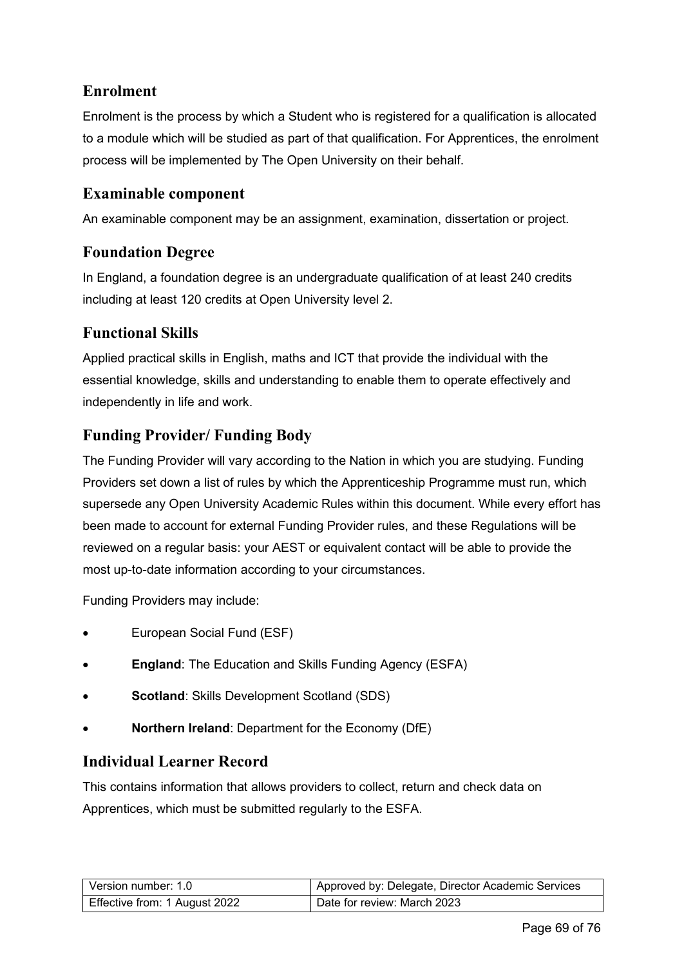### **Enrolment**

Enrolment is the process by which a Student who is registered for a qualification is allocated to a module which will be studied as part of that qualification. For Apprentices, the enrolment process will be implemented by The Open University on their behalf.

### **Examinable component**

An examinable component may be an assignment, examination, dissertation or project.

### **Foundation Degree**

In England, a foundation degree is an undergraduate qualification of at least 240 credits including at least 120 credits at Open University level 2.

### **Functional Skills**

Applied practical skills in English, maths and ICT that provide the individual with the essential knowledge, skills and understanding to enable them to operate effectively and independently in life and work.

### **Funding Provider/ Funding Body**

The Funding Provider will vary according to the Nation in which you are studying. Funding Providers set down a list of rules by which the Apprenticeship Programme must run, which supersede any Open University Academic Rules within this document. While every effort has been made to account for external Funding Provider rules, and these Regulations will be reviewed on a regular basis: your AEST or equivalent contact will be able to provide the most up-to-date information according to your circumstances.

Funding Providers may include:

- European Social Fund (ESF)
- **England**: The Education and Skills Funding Agency (ESFA)
- **Scotland: Skills Development Scotland (SDS)**
- **Northern Ireland**: Department for the Economy (DfE)

#### **Individual Learner Record**

This contains information that allows providers to collect, return and check data on Apprentices, which must be submitted regularly to the ESFA.

| l Version number: 1.0         | Approved by: Delegate, Director Academic Services |
|-------------------------------|---------------------------------------------------|
| Effective from: 1 August 2022 | Date for review: March 2023                       |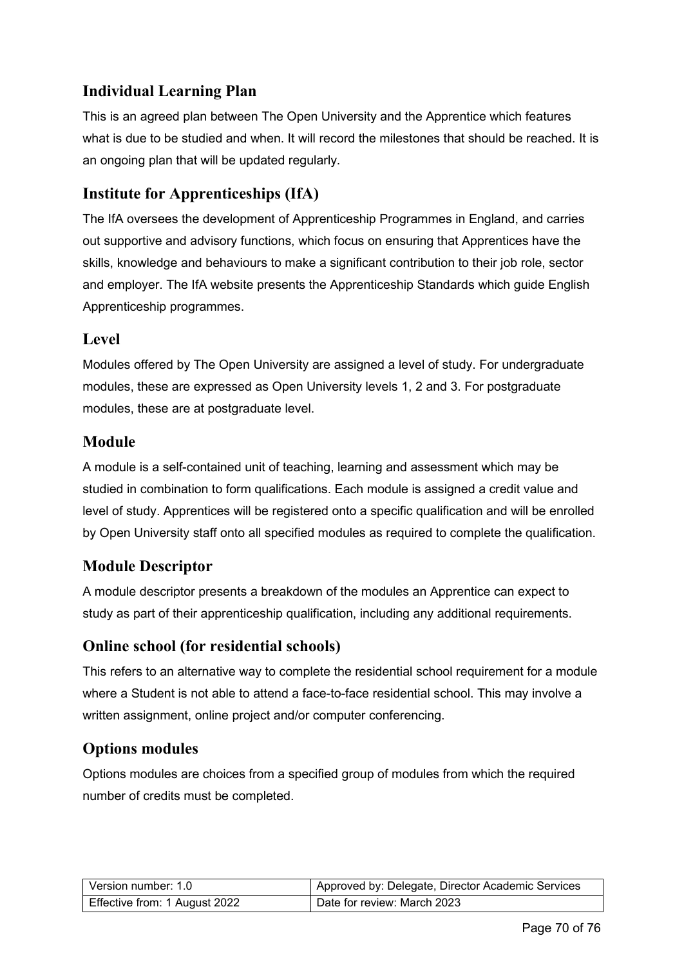### **Individual Learning Plan**

This is an agreed plan between The Open University and the Apprentice which features what is due to be studied and when. It will record the milestones that should be reached. It is an ongoing plan that will be updated regularly.

### **Institute for Apprenticeships (IfA)**

The IfA oversees the development of Apprenticeship Programmes in England, and carries out supportive and advisory functions, which focus on ensuring that Apprentices have the skills, knowledge and behaviours to make a significant contribution to their job role, sector and employer. The IfA website presents the Apprenticeship Standards which guide English Apprenticeship programmes.

### **Level**

Modules offered by The Open University are assigned a level of study. For undergraduate modules, these are expressed as Open University levels 1, 2 and 3. For postgraduate modules, these are at postgraduate level.

#### **Module**

A module is a self-contained unit of teaching, learning and assessment which may be studied in combination to form qualifications. Each module is assigned a credit value and level of study. Apprentices will be registered onto a specific qualification and will be enrolled by Open University staff onto all specified modules as required to complete the qualification.

### **Module Descriptor**

A module descriptor presents a breakdown of the modules an Apprentice can expect to study as part of their apprenticeship qualification, including any additional requirements.

#### **Online school (for residential schools)**

This refers to an alternative way to complete the residential school requirement for a module where a Student is not able to attend a face-to-face residential school. This may involve a written assignment, online project and/or computer conferencing.

### **Options modules**

Options modules are choices from a specified group of modules from which the required number of credits must be completed.

| Version number: 1.0           | Approved by: Delegate, Director Academic Services |
|-------------------------------|---------------------------------------------------|
| Effective from: 1 August 2022 | Date for review: March 2023                       |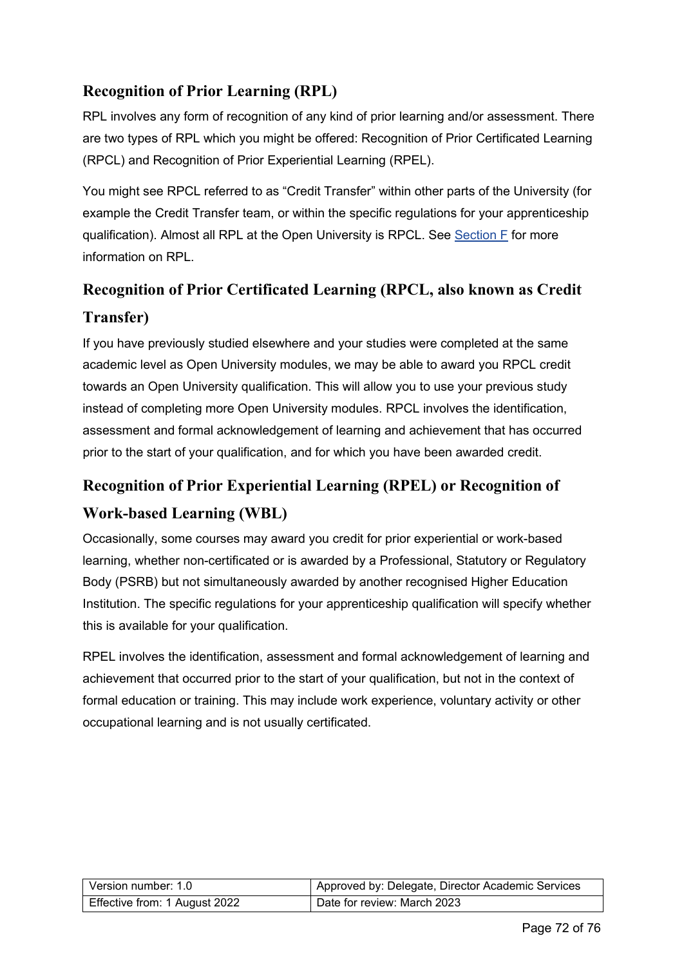#### $G7.3$ **Calculation of Weighted Grade Credit score**

- $a)$ Your Weighted Grade Credit score is calculated from the grades you have achieved from a maximum of 240 credits from Open University modules at level 2 or above (see Clause G7.2 for information on which modules will be used in this calculation).
- b) Your module grades are multiplied by the credit value of that module. For 360 credit Undergraduate Bachelor's Degrees with Honours, and Scottish 480 credit Undergraduate Bachelor's Degrees with Honours, modules which are included in the highest Stage of your qualification will be double-weighted.
- $c)$ The total of this calculation is referred to as your Weighted Grade Credit score and this score is the first element of the classification calculation.
- $\mathsf{d}$ If you have less than 240 credits of Open University study because of RPL credit, your classification will be based on reduced thresholds to reflect the reduced amount of Open University credit studied, as per Clause G7.7.

#### $G7.4$ **Quality Assurance Test**

- $a)$ There are four Honours classification grades and four undergraduate module grades. In the Quality Assurance Test, we check that for all classifications above Third class, the best grade(s) awarded for 60 credits of Open University level 3 study (or, exceptionally, Postgraduate study counted down in place of level 3) is as good as, or better than, the class of Honours indicated by the range in which your weighted grade credits sits.
- To pass the Quality Assurance Test for a first-class degree, you must have at least b) 60 level 3 credits at Distinction grade.
- $c)$ To pass the Quality Assurance Test for an upper-second class degree (2:1), you must have at least 60 level 3 credits at Grade 2 (or Merit), or the total of the 60 credit check requirement multiplied by your best grade must not exceed 120, e.g. 30 level 3 credits at Distinction and 30 level 3 credits at either Grade 2 (or Merit) or Grade 3

| Version number: 1.0           | Approved by: Delegate, Director Academic Services |
|-------------------------------|---------------------------------------------------|
| Effective from: 1 August 2022 | Date for review: March 2023                       |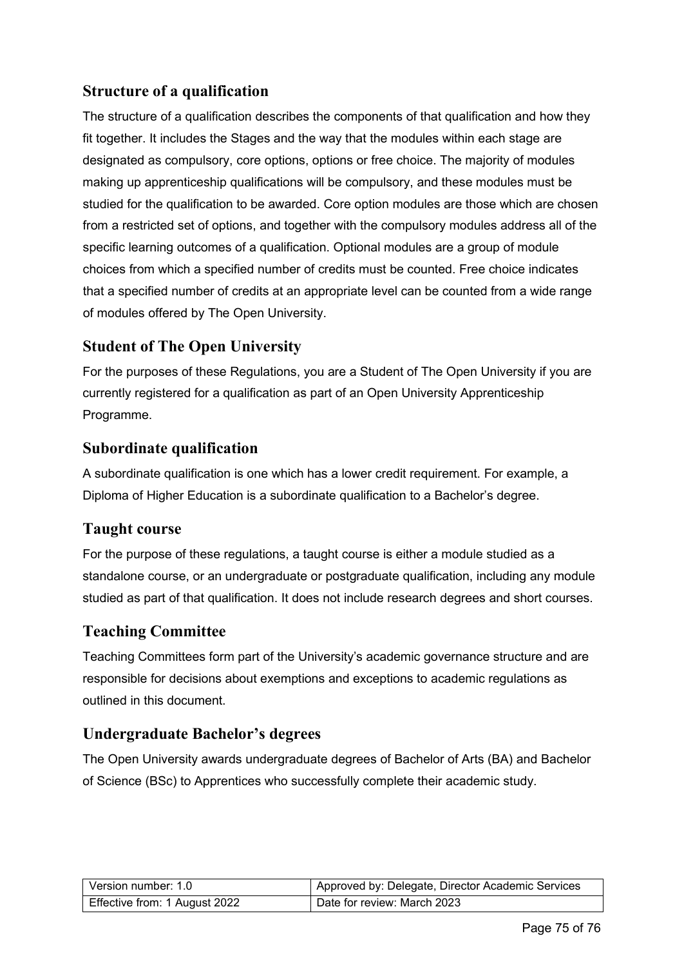# **Structure of a qualification**

The structure of a qualification describes the components of that qualification and how they fit together. It includes the Stages and the way that the modules within each stage are designated as compulsory, core options, options or free choice. The majority of modules making up apprenticeship qualifications will be compulsory, and these modules must be studied for the qualification to be awarded. Core option modules are those which are chosen from a restricted set of options, and together with the compulsory modules address all of the specific learning outcomes of a qualification. Optional modules are a group of module choices from which a specified number of credits must be counted. Free choice indicates that a specified number of credits at an appropriate level can be counted from a wide range of modules offered by The Open University.

# **Student of The Open University**

For the purposes of these Regulations, you are a Student of The Open University if you are currently registered for a qualification as part of an Open University Apprenticeship Programme.

### **Subordinate qualification**

A subordinate qualification is one which has a lower credit requirement. For example, a Diploma of Higher Education is a subordinate qualification to a Bachelor's degree.

### **Taught course**

For the purpose of these regulations, a taught course is either a module studied as a standalone course, or an undergraduate or postgraduate qualification, including any module studied as part of that qualification. It does not include research degrees and short courses.

# **Teaching Committee**

Teaching Committees form part of the University's academic governance structure and are responsible for decisions about exemptions and exceptions to academic regulations as outlined in this document.

# **Undergraduate Bachelor's degrees**

The Open University awards undergraduate degrees of Bachelor of Arts (BA) and Bachelor of Science (BSc) to Apprentices who successfully complete their academic study.

| l Version number: 1.0         | Approved by: Delegate, Director Academic Services |
|-------------------------------|---------------------------------------------------|
| Effective from: 1 August 2022 | Date for review: March 2023                       |